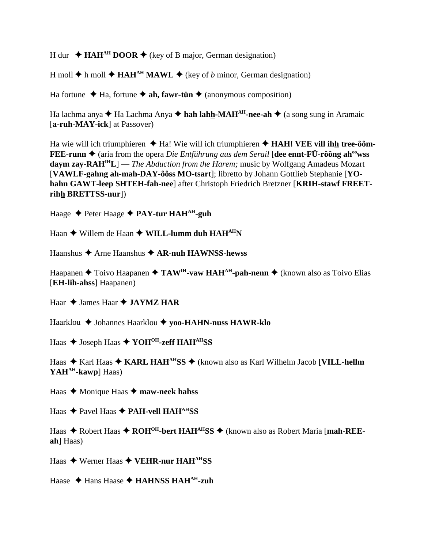H dur  $\triangleleft$  **HAH<sup>AH</sup> DOOR**  $\triangleleft$  (key of B major, German designation)

H moll  $\triangle$  h moll  $\triangle$  **HAH<sup>AH</sup> MAWL**  $\triangle$  (key of *b* minor, German designation)

Ha fortune  $\triangle$  Ha, fortune  $\triangle$  ah, fawr-tün  $\triangle$  (anonymous composition)

Ha lachma anya  $\triangle$  Ha Lachma Anya  $\triangle$  hah lahh-MAH<sup>AH</sup>-nee-ah  $\triangle$  (a song sung in Aramaic [**a-ruh-MAY-ick**] at Passover)

Ha wie will ich triumphieren ◆ Ha! Wie will ich triumphieren ◆ **HAH! VEE vill ih<u>h</u> tree-ôôm-FEE-runn ♦** (aria from the opera *Die Entführung aus dem Serail* [**dee ennt-FÜ-rôông ah<sup>oo</sup>wss daym zay-RAHIHL**] — *The Abduction from the Harem;* music by Wolfgang Amadeus Mozart [**VAWLF-gahng ah-mah-DAY-ôôss MO-tsart**]; libretto by Johann Gottlieb Stephanie [**YOhahn GAWT-leep SHTEH-fah-nee**] after Christoph Friedrich Bretzner [**KRIH-stawf FREETrihh BRETTSS-nur**])

Haage **→** Peter Haage **→ PAY-tur HAH<sup>AH</sup>-guh** 

Haan ◆ Willem de Haan ◆ WILL-lumm duh HAH<sup>AH</sup>N

Haanshus **→** Arne Haanshus ◆ AR-nuh HAWNSS-hewss

Haapanen **→** Toivo Haapanen → TAW<sup>IH</sup>-vaw HAH<sup>AH</sup>-pah-nenn → (known also as Toivo Elias [**EH-lih-ahss**] Haapanen)

Haar  $\triangle$  James Haar  $\triangle$  **JAYMZ HAR** 

Haarklou Johannes Haarklou **yoo-HAHN-nuss HAWR-klo**

Haas ◆ Joseph Haas ◆ YOH<sup>OH</sup>-zeff HAH<sup>AH</sup>SS

Haas ◆ Karl Haas ◆ KARL HAH<sup>AH</sup>SS ◆ (known also as Karl Wilhelm Jacob [VILL-hellm YAH<sup>AH</sup>-kawp] Haas)

Haas **→** Monique Haas → maw-neek hahss

Haas ◆ Pavel Haas ◆ PAH-vell HAH<sup>AH</sup>SS

Haas ◆ Robert Haas ◆ ROH<sup>OH</sup>-bert HAH<sup>AH</sup>SS ◆ (known also as Robert Maria [mah-REE**ah**] Haas)

Haas Werner Haas **VEHR-nur HAHAHSS**

Haase ◆ Hans Haase ◆ **HAHNSS HAH<sup>AH</sup>-zuh**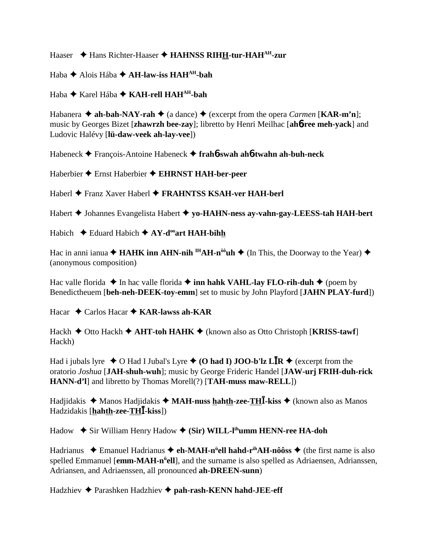# Haaser ◆ Hans Richter-Haaser ◆ HAHNSS RIHH-tur-HAH<sup>AH</sup>-zur

Haba Alois Hába **AH-law-iss HAHAH-bah**

Haba Karel Hába **KAH-rell HAHAH-bah**

Habanera  $\triangle$  **ah-bah-NAY-rah**  $\triangle$  (a dance)  $\triangle$  (excerpt from the opera *Carmen* [**KAR-m'n**]; music by Georges Bizet [**zhawrzh bee-zay**]; libretto by Henri Meilhac [**ah**6**-ree meh-yack**] and Ludovic Halévy [**lü-daw-veek ah-lay-vee**])

Habeneck François-Antoine Habeneck **frah**6**-swah ah**6**-twahn ah-buh-neck**

Haberbier Ernst Haberbier **EHRNST HAH-ber-peer**

Haberl Franz Xaver Haberl **FRAHNTSS KSAH-ver HAH-berl**

Habert Johannes Evangelista Habert **yo-HAHN-ness ay-vahn-gay-LEESS-tah HAH-bert**

Habich  $\rightarrow$  Eduard Habich  $\rightarrow$  AY-d<sup>oo</sup>art HAH-bihh

Hac in anni ianua  $\triangle$  **HAHK inn AHN-nih** <sup>IH</sup>**AH-n<sup>ôô</sup>uh**  $\triangle$  (In This, the Doorway to the Year)  $\triangle$ (anonymous composition)

Hac valle florida  $\triangle$  In hac valle florida  $\triangle$  inn hahk VAHL-lay FLO-rih-duh  $\triangle$  (poem by Benedictheuem [**beh-neh-DEEK-toy-emm**] set to music by John Playford [**JAHN PLAY-furd**])

Hacar ◆ Carlos Hacar ◆ **KAR-lawss ah-KAR** 

 $Hackh \rightarrow$  Otto Hackh  $\rightarrow$  AHT-toh HAHK  $\rightarrow$  (known also as Otto Christoph [**KRISS-tawf**] Hackh)

Had i jubals lyre  $\triangle$  O Had I Jubal's Lyre  $\triangle$  (O had I) **JOO-b'lz LIR**  $\triangle$  (excerpt from the oratorio *Joshua* [**JAH-shuh-wuh**]; music by George Frideric Handel [**JAW-urj FRIH-duh-rick HANN-d'l**] and libretto by Thomas Morell(?) [**TAH-muss maw-RELL**])

Hadjidakis ◆ Manos Hadjidakis ◆ MAH-nuss hahth-zee-TH**I**-kiss ◆ (known also as Manos Hadzidakis [**hahth-zee-TH-kiss**])

Hadow ◆ Sir William Henry Hadow ◆ (Sir) WILL-l<sup>ih</sup>umm HENN-ree HA-doh

Hadrianus ◆ Emanuel Hadrianus ◆ eh-MAH-n<sup>ü</sup>ell hahd-r<sup>ih</sup>AH-nôôss ◆ (the first name is also spelled Emmanuel [**emm-MAH-n<sup>ü</sup>ell**], and the surname is also spelled as Adriaensen, Adrianssen, Adriansen, and Adriaenssen, all pronounced **ah-DREEN-sunn**)

Hadzhiev Parashken Hadzhiev **pah-rash-KENN hahd-JEE-eff**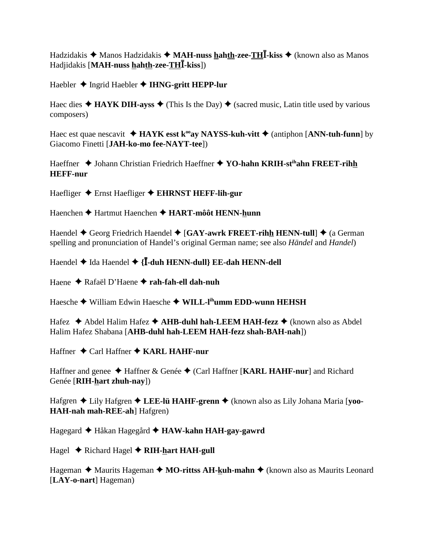Hadzidakis  $\triangleleft$  Manos Hadzidakis  $\triangleleft$  MAH-nuss hahth-zee-THI-kiss  $\triangleleft$  (known also as Manos Hadjidakis [MAH-nuss hahth-zee-THI-kiss])

Haebler  $\triangle$  Ingrid Haebler  $\triangle$  IHNG-gritt HEPP-lur

Haec dies  $\triangle$  HAYK DIH-ayss  $\triangle$  (This Is the Day)  $\triangle$  (sacred music, Latin title used by various composers)

Haec est quae nescavit  $\triangleleft$  HAYK esst k<sup>oo</sup>ay NAYSS-kuh-vitt  $\triangleleft$  (antiphon [ANN-tuh-funn] by Giacomo Finetti [JAH-ko-mo fee-NAYT-tee])

Haeffner ◆ Johann Christian Friedrich Haeffner ◆ YO-hahn KRIH-st<sup>ih</sup>ahn FREET-rihh **HEFF-nur** 

Haefliger  $\triangle$  Ernst Haefliger  $\triangle$  EHRNST HEFF-lih-gur

Haenchen ◆ Hartmut Haenchen ◆ HART-môôt HENN-hunn

Haendel  $\triangle$  Georg Friedrich Haendel  $\triangle$  [GAY-awrk FREET-rihh HENN-tull]  $\triangle$  (a German spelling and pronunciation of Handel's original German name; see also *Händel* and *Handel*)

Haendel  $\blacklozenge$  Ida Haendel  $\blacklozenge$  {**I**-duh HENN-dull} EE-dah HENN-dell

Haene ◆ Rafaël D'Haene ◆ rah-fah-ell dah-nuh

Haesche ◆ William Edwin Haesche ◆ WILL-I<sup>ih</sup>umm EDD-wunn HEHSH

Hafez  $\triangle$  Abdel Halim Hafez  $\triangle$  AHB-duhl hah-LEEM HAH-fezz  $\triangle$  (known also as Abdel Halim Hafez Shabana [AHB-duhl hah-LEEM HAH-fezz shah-BAH-nah])

Haffner ◆ Carl Haffner ◆ KARL HAHF-nur

Haffner and genee  $\triangle$  Haffner & Genée  $\triangle$  (Carl Haffner [KARL HAHF-nur] and Richard Genée [RIH-hart zhuh-nay])

Hafgren ◆ Lily Hafgren ◆ LEE-lü HAHF-grenn ◆ (known also as Lily Johana Maria [yoo-**HAH-nah mah-REE-ah**] Hafgren)

Hagegard ◆ Håkan Hagegård ◆ HAW-kahn HAH-gay-gawrd

Hagel  $\triangle$  Richard Hagel  $\triangle$  RIH-hart HAH-gull

Hageman  $\triangle$  Maurits Hageman  $\triangle$  MO-rittss AH-kuh-mahn  $\triangle$  (known also as Maurits Leonard [LAY-o-nart] Hageman)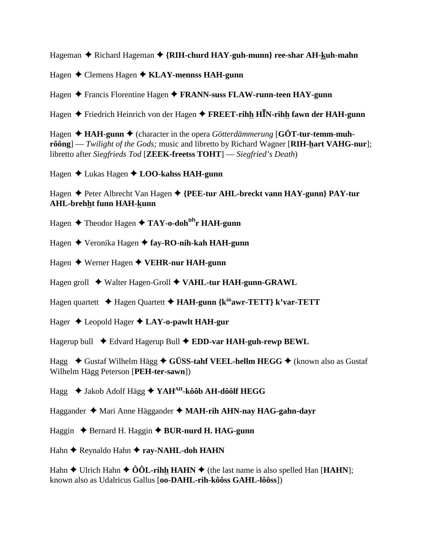Hageman ◆ Richard Hageman ◆ {RIH-churd HAY-guh-munn} ree-shar AH-kuh-mahn

Hagen Clemens Hagen **KLAY-mennss HAH-gunn**

Hagen Francis Florentine Hagen **FRANN-suss FLAW-runn-teen HAY-gunn**

Hagen Friedrich Heinrich von der Hagen **FREET-rihh HN-rihh fawn der HAH-gunn**

Hagen  $\triangleleft$  **HAH-gunn**  $\triangleleft$  (character in the opera *Götterdämmerung* [GÖT-tur-temm-muh**rôông**] — *Twilight of the Gods;* music and libretto by Richard Wagner [**RIH-hart VAHG-nur**]; libretto after *Siegfrieds Tod* [**ZEEK-freetss TOHT**] — *Siegfried's Death*)

Hagen Lukas Hagen **LOO-kahss HAH-gunn**

Hagen Peter Albrecht Van Hagen **{PEE-tur AHL-breckt vann HAY-gunn} PAY-tur AHL-brehht funn HAH-kunn**

Hagen **→** Theodor Hagen ◆ TAY-o-doh<sup>oh</sup>r HAH-gunn

Hagen Veronika Hagen **fay-RO-nih-kah HAH-gunn**

Hagen Werner Hagen **VEHR-nur HAH-gunn**

Hagen groll Walter Hagen-Groll **VAHL-tur HAH-gunn-GRAWL**

Hagen quartett **→** Hagen Quartett **→ HAH-gunn {k<sup>ôô</sup>awr-TETT} k'var-TETT** 

Hager Leopold Hager **LAY-o-pawlt HAH-gur**

Hagerup bull ◆ Edvard Hagerup Bull ◆ EDD-var HAH-guh-rewp BEWL

Hagg **→** Gustaf Wilhelm Hägg → GÜSS-tahf VEEL-hellm HEGG → (known also as Gustaf Wilhelm Hägg Peterson [**PEH-ter-sawn**])

Hagg ◆ Jakob Adolf Hägg ◆ YAH<sup>AH</sup>-kôôb AH-dôôlf HEGG

Haggander Mari Anne Häggander **MAH-rih AHN-nay HAG-gahn-dayr**

Haggin ♦ Bernard H. Haggin ♦ **BUR-nurd H. HAG-gunn** 

Hahn **←** Reynaldo Hahn ← ray-NAHL-doh HAHN

Hahn  $\triangle$  Ulrich Hahn  $\triangle$  ÔÔL-rihh HAHN  $\triangle$  (the last name is also spelled Han [HAHN]; known also as Udalricus Gallus [**oo-DAHL-rih-kôôss GAHL-lôôss**])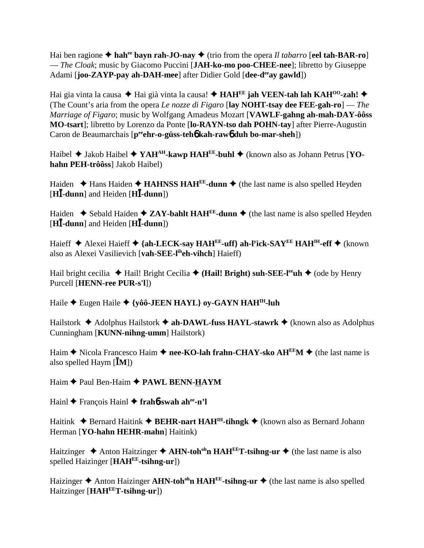Hai ben ragione  $\triangle$  hah<sup>ee</sup> bayn rah-JO-nay  $\triangle$  (trio from the opera *Il tabarro* [eel tah-BAR-ro] — *The Cloak*; music by Giacomo Puccini [**JAH-ko-mo poo-CHEE-nee**]; libretto by Giuseppe Adami [**joo-ZAYP-pay ah-DAH-mee**] after Didier Gold [**dee-d<sup>ee</sup>ay gawld**])

Hai gia vinta la causa ◆ Hai già vinta la causa! ◆ **HAH<sup>EE</sup> jah VEEN-tah lah KAH<sup>00</sup>-zah! ◆** (The Count's aria from the opera *Le nozze di Figaro* [**lay NOHT-tsay dee FEE-gah-ro**] — *The Marriage of Figaro*; music by Wolfgang Amadeus Mozart [**VAWLF-gahng ah-mah-DAY-ôôss MO-tsart**]; libretto by Lorenzo da Ponte [**lo-RAYN-tso dah POHN-tay**] after Pierre-Augustin Caron de Beaumarchais [p<sup>ee</sup>ehr-o-güss-teh**o** kah-rawo duh bo-mar-sheh])

Haibel ◆ Jakob Haibel ◆ YAH<sup>AH</sup>-kawp HAH<sup>EE</sup>-buhl ◆ (known also as Johann Petrus [YO**hahn PEH-trôôss**] Jakob Haibel)

Haiden  $\triangle$  Hans Haiden  $\triangle$  **HAHNSS HAH<sup>EE</sup>-dunn**  $\triangle$  (the last name is also spelled Heyden [**H-dunn**] and Heiden [**H-dunn**])

Haiden  $\triangle$  Sebald Haiden  $\triangle$  **ZAY-bahlt HAH<sup>EE</sup>-dunn**  $\triangle$  (the last name is also spelled Heyden [**H-dunn**] and Heiden [**H-dunn**])

Haieff Alexei Haieff **{ah-LECK-say HAHEE-uff} ah-ly ick-SAYEE HAHIH-eff** (known also as Alexei Vasilievich [**vah-SEE-liheh-vihch**] Haieff)

Hail bright cecilia  $\blacklozenge$  Hail! Bright Cecilia  $\blacklozenge$  (**Hail! Bright**) suh-SEE-l<sup>ee</sup>uh  $\blacklozenge$  (ode by Henry Purcell [**HENN-ree PUR-s'l**])

Haile Eugen Haile **{yôô-JEEN HAYL} oy-GAYN HAHIH-luh**

Hailstork Adolphus Hailstork **ah-DAWL-fuss HAYL-stawrk** (known also as Adolphus Cunningham [**KUNN-nihng-umm**] Hailstork)

Haim  $\triangle$  Nicola Francesco Haim  $\triangle$  nee-KO-lah frahn-CHAY-sko AH<sup>EE</sup>M  $\triangle$  (the last name is also spelled Haym [**M**])

Haim ◆ Paul Ben-Haim ◆ PAWL BENN-HAYM

Hainl François Hainl **frah**6**-swah ahee-n'l**

Haitink  $\triangle$  Bernard Haitink  $\triangle$  **BEHR-nart HAH<sup>IH</sup>-tihngk**  $\triangle$  (known also as Bernard Johann Herman [**YO-hahn HEHR-mahn**] Haitink)

Haitzinger  $\triangle$  Anton Haitzinger  $\triangle$  AHN-toh<sup>oh</sup>n HAH<sup>EE</sup>T-tsihng-ur  $\triangle$  (the last name is also spelled Haizinger [**HAHEE-tsihng-ur**])

Haizinger ◆ Anton Haizinger **AHN-toh<sup>oh</sup>n HAH<sup>EE</sup>-tsihng-ur ◆** (the last name is also spelled Haitzinger [**HAHEET-tsihng-ur**])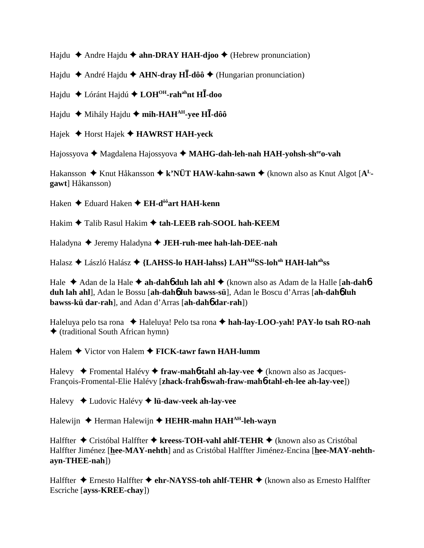Hajdu  $\triangle$  Andre Hajdu  $\triangle$  **ahn-DRAY HAH-djoo**  $\triangle$  (Hebrew pronunciation)

Hajdu André Hajdu **AHN-dray H-dôô** (Hungarian pronunciation)

Hajdu Lóránt Hajdú **LOHOH-rahahnt H-doo**

Hajdu **→** Mihály Hajdu → mih-HAH<sup>AH</sup>-yee H**I**-dôô

Hajek Horst Hajek **HAWRST HAH-yeck**

Hajossyova ◆ Magdalena Hajossyova ◆ MAHG-dah-leh-nah HAH-yohsh-sh<sup>ee</sup>o-vah

Hakansson ◆ Knut Håkansson ◆ k'NÜT HAW-kahn-sawn ◆ (known also as Knut Algot [A<sup>L</sup>**gawt**] Håkansson)

Haken Eduard Haken **EH-dôôart HAH-kenn**

Hakim **→** Talib Rasul Hakim → tah-LEEB rah-SOOL hah-KEEM

Haladyna ◆ Jeremy Haladyna ◆ **JEH-ruh-mee hah-lah-DEE-nah** 

Halasz László Halász **{LAHSS-lo HAH-lahss} LAHAHSS-lohoh HAH-lahahss**

Hale ◆ Adan de la Hale ◆ ah-dah6 duh lah ahl ◆ (known also as Adam de la Halle [ah-dah6 **duh lah ahl**], Adan le Bossu [**ah-dah**6 **luh bawss-sü**], Adan le Boscu d'Arras [**ah-dah**6 **luh bawss-kü dar-rah**], and Adan d'Arras [**ah-dah**6 **dar-rah**])

Haleluya pelo tsa rona Haleluya! Pelo tsa rona **hah-lay-LOO-yah! PAY-lo tsah RO-nah**  $\triangle$  (traditional South African hymn)

Halem Victor von Halem **FICK-tawr fawn HAH-lumm**

Halevy Fromental Halévy  **fraw-mah**6**-tahl ah-lay-vee** (known also as Jacques-François-Fromental-Elie Halévy [**zhack-frah**6**-swah-fraw-mah**6**-tahl-eh-lee ah-lay-vee**])

Halevy Ludovic Halévy **lü-daw-veek ah-lay-vee**

Halewijn **← Herman Halewijn ← HEHR-mahn HAH<sup>AH</sup>-leh-wayn** 

Halffter ◆ Cristóbal Halffter ◆ kreess-TOH-vahl ahlf-TEHR ◆ (known also as Cristóbal Halffter Jiménez [**hee-MAY-nehth**] and as Cristóbal Halffter Jiménez-Encina [**hee-MAY-nehthayn-THEE-nah**])

Halffter ◆ Ernesto Halffter ◆ ehr-NAYSS-toh ahlf-TEHR ◆ (known also as Ernesto Halffter Escriche [**ayss-KREE-chay**])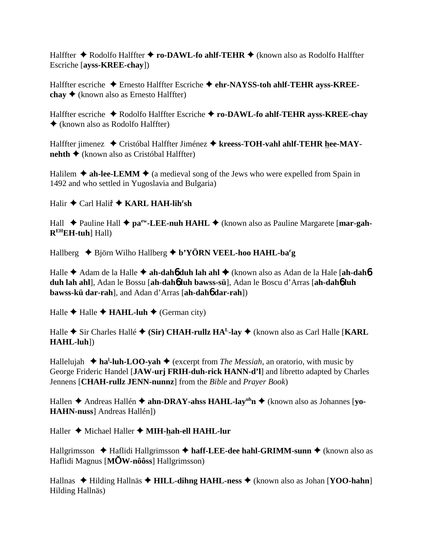Halffter **◆** Rodolfo Halffter ◆ **ro-DAWL-fo ahlf-TEHR** ◆ (known also as Rodolfo Halffter Escriche [**ayss-KREE-chay**])

Halffter escriche Ernesto Halffter Escriche **ehr-NAYSS-toh ahlf-TEHR ayss-KREEchay**  $\triangle$  (known also as Ernesto Halffter)

Halffter escriche Rodolfo Halffter Escriche **ro-DAWL-fo ahlf-TEHR ayss-KREE-chay** (known also as Rodolfo Halffter)

Halffter jimenez ◆ Cristóbal Halffter Jiménez ◆ kreess-TOH-vahl ahlf-TEHR hee-MAY**nehth ♦** (known also as Cristóbal Halffter)

Halilem  $\triangle$  ah-lee-LEMM  $\triangle$  (a medieval song of the Jews who were expelled from Spain in 1492 and who settled in Yugoslavia and Bulgaria)

Halir ◆ Carl Haliř ◆ KARL HAH-lih<sup>r</sup>sh

Hall ◆ Pauline Hall ◆ pa<sup>ew</sup>-LEE-nuh HAHL ◆ (known also as Pauline Margarete [mar-gah-**REHEH-tuh**] Hall)

Hallberg  $\rightarrow$  Björn Wilho Hallberg  $\rightarrow$  b'YÖRN VEEL-hoo HAHL-ba<sup>r</sup>g

Halle **→** Adam de la Halle → ah-dah**6** duh lah ahl → (known also as Adan de la Hale [ah-dah6 **duh lah ahl**], Adan le Bossu [**ah-dah**6 **luh bawss-sü**], Adan le Boscu d'Arras [**ah-dah**6 **luh bawss-kü dar-rah**], and Adan d'Arras [**ah-dah**6 **dar-rah**])

Halle  $\triangle$  Halle  $\triangle$  **HAHL-luh**  $\triangle$  (German city)

Halle  $\triangle$  Sir Charles Hallé  $\triangle$  (Sir) CHAH-rullz HA<sup>L</sup>-lay  $\triangle$  (known also as Carl Halle [KARL] **HAHL-luh**])

Hallelujah **→ ha<sup>l</sup>-luh-LOO-yah →** (excerpt from *The Messiah*, an oratorio, with music by George Frideric Handel [**JAW-urj FRIH-duh-rick HANN-d'l**] and libretto adapted by Charles Jennens [**CHAH-rullz JENN-nunnz**] from the *Bible* and *Prayer Book*)

Hallen **→** Andreas Hallén ◆ ahn-DRAY-ahss HAHL-lay<sup>uh</sup>n ◆ (known also as Johannes [yo-**HAHN-nuss**] Andreas Hallén])

Haller ◆ Michael Haller ◆ MIH-hah-ell HAHL-lur

Hallgrimsson **→** Haflidi Hallgrimsson → haff-LEE-dee hahl-GRIMM-sunn → (known also as Haflidi Magnus [**MW-nôôss**] Hallgrimsson)

Hallnas ◆ Hilding Hallnäs ◆ **HILL-dihng HAHL-ness** ◆ (known also as Johan [**YOO-hahn**] Hilding Hallnäs)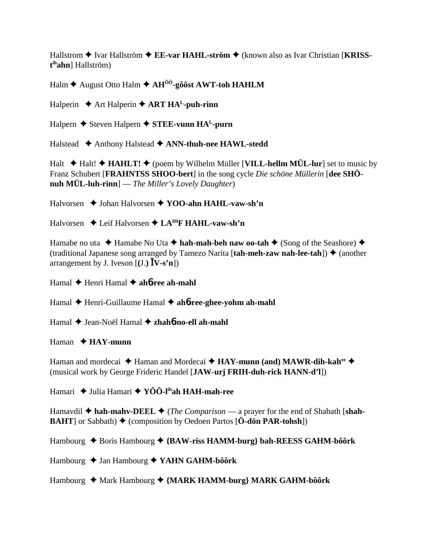Hallstrom  $\triangle$  Ivar Hallström  $\triangle$  EE-var HAHL-ström  $\triangle$  (known also as Ivar Christian [KRISS $t<sup>ih</sup>ahn$ ] Hallström)

Halm  $\triangle$  August Otto Halm  $\triangle$  AH<sup>00</sup>-gôôst AWT-toh HAHLM

Halperin  $\triangle$  Art Halperin  $\triangle$  ART HA<sup>L</sup>-puh-rinn

Halpern ◆ Steven Halpern ◆ STEE-vunn HA<sup>L</sup>-purn

Halstead ◆ Anthony Halstead ◆ ANN-thuh-nee HAWL-stedd

Halt  $\triangle$  Halt!  $\triangle$  HAHLT!  $\triangle$  (poem by Wilhelm Müller [VILL-hellm MÜL-lur] set to music by Franz Schubert [FRAHNTSS SHOO-bert] in the song cycle Die schöne Müllerin [dee SHÖnuh MÜL-luh-rinn $]-$  The Miller's Lovely Daughter)

Halvorsen → Johan Halvorsen → YOO-ahn HAHL-vaw-sh'n

Halvorsen  $\triangle$  Leif Halvorsen  $\triangle$  LA<sup>IH</sup>F HAHL-vaw-sh'n

Hamabe no uta  $\triangle$  Hamabe No Uta  $\triangle$  hah-mah-beh naw oo-tah  $\triangle$  (Song of the Seashore)  $\triangle$ (traditional Japanese song arranged by Tamezo Narita [tah-meh-zaw nah-lee-tah])  $\triangleq$  (another arrangement by J. Iveson  $[(J.) \mathbf{\bar{I}} \mathbf{V} - \mathbf{s}^{\prime} \mathbf{n}]$ 

Hamal  $\triangle$  Henri Hamal  $\triangle$  ah6-ree ah-mahl

Hamal  $\triangle$  Henri-Guillaume Hamal  $\triangle$  ah**ó-ree-ghee-yohm ah-mahl** 

Hamal ◆ Jean-Noël Hamal ◆ zhah6-no-ell ah-mahl

### $\mathbf{H}$ aman  $\blacklozenge$  **HAY-munn**

Haman and mordecai  $\triangleq$  Haman and Mordecai  $\triangleq$  HAY-munn (and) MAWR-dih-kah<sup>ee</sup> (musical work by George Frideric Handel [JAW-urj FRIH-duh-rick HANN-d'l])

Hamari  $\rightarrow$  Julia Hamari  $\rightarrow$  YOO-I<sup>ih</sup>ah HAH-mah-ree

Hamavdil  $\triangle$  hah-mahv-DEEL  $\triangle$  (*The Comparison* — a prayer for the end of Shabath [shah-**BAHT** or Sabbath)  $\blacklozenge$  (composition by Oedoen Partos [ $\ddot{\textbf{O}}$ -don **PAR-tohsh**])

Hambourg  $\triangle$  Boris Hambourg  $\triangle$  {BAW-riss HAMM-burg} bah-REESS GAHM-bôôrk

Hambourg  $\triangle$  Jan Hambourg  $\triangle$  YAHN GAHM-bôôrk

Hambourg ◆ Mark Hambourg ◆ {MARK HAMM-burg} MARK GAHM-bôôrk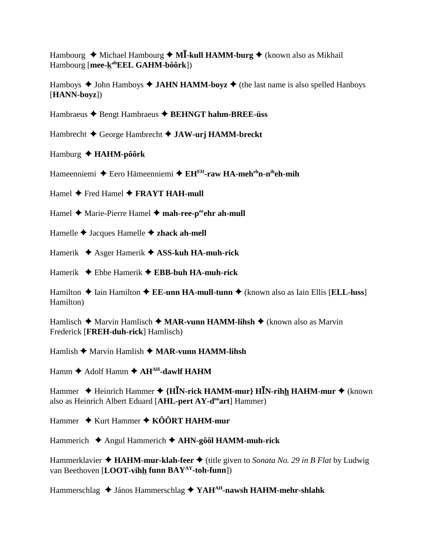Hambourg  $\triangle$  Michael Hambourg  $\triangle$  M**I**-kull HAMM-burg  $\triangle$  (known also as Mikhail Hambourg [**mee-kahEEL GAHM-bôôrk**])

Hamboys  $\triangle$  John Hamboys  $\triangle$  **JAHN HAMM-boyz**  $\triangle$  (the last name is also spelled Hanboys [**HANN-boyz**])

Hambraeus Bengt Hambraeus **BEHNGT hahm-BREE-üss**

Hambrecht George Hambrecht **JAW-urj HAMM-breckt**

Hamburg **HAHM-pôôrk**

Hameenniemi ◆ Eero Hämeenniemi ◆ EH<sup>EH</sup>-raw HA-meh<sup>eh</sup>n-n<sup>ih</sup>eh-mih

Hamel **→** Fred Hamel **→ FRAYT HAH-mull** 

Hamel ◆ Marie-Pierre Hamel ◆ mah-ree-p<sup>ee</sup>ehr ah-mull

Hamelle Jacques Hamelle **zhack ah-mell**

Hamerik Asger Hamerik **ASS-kuh HA-muh-rick**

Hamerik Ebbe Hamerik **EBB-buh HA-muh-rick**

Hamilton  $\triangle$  Iain Hamilton  $\triangle$  **EE-unn HA-mull-tunn**  $\triangle$  (known also as Iain Ellis [**ELL-luss**] Hamilton)

Hamlisch **→** Marvin Hamlisch ◆ **MAR-vunn HAMM-lihsh** ◆ (known also as Marvin Frederick [**FREH-duh-rick**] Hamlisch)

Hamlish **→** Marvin Hamlish ◆ **MAR-vunn HAMM-lihsh** 

Hamm  $\triangle$  Adolf Hamm  $\triangle$  AH<sup>AH</sup>-dawlf HAHM

Hammer **→** Heinrich Hammer → {H**IN-rick HAMM-mur**} HIN-rihh HAHM-mur → (known also as Heinrich Albert Eduard [AHL-pert AY-d<sup>oo</sup>art] Hammer)

Hammer **→** Kurt Hammer ◆ KÔÔRT HAHM-mur

Hammerich Angul Hammerich **AHN-gôôl HAMM-muh-rick**

Hammerklavier  $\triangleleft$  **HAHM-mur-klah-feer**  $\triangleleft$  (title given to *Sonata No. 29 in B Flat* by Ludwig van Beethoven [**LOOT-vihh funn BAYAY-toh-funn**])

Hammerschlag ◆ János Hammerschlag ◆ YAH<sup>AH</sup>-nawsh HAHM-mehr-shlahk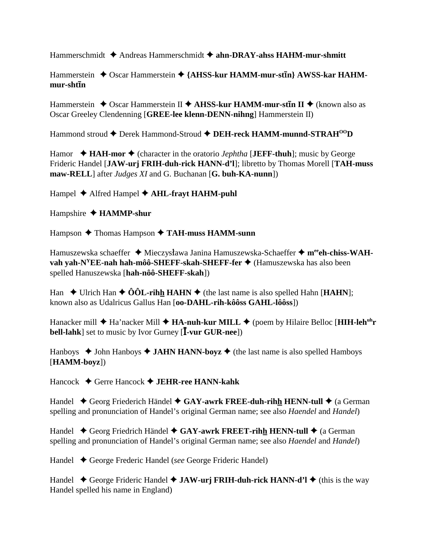Hammerschmidt Andreas Hammerschmidt **ahn-DRAY-ahss HAHM-mur-shmitt**

Hammerstein  $\triangle$  Oscar Hammerstein  $\triangle$  {AHSS-kur HAMM-mur-st**in**} AWSS-kar HAHMmur-sht**ī**n

Hammerstein ◆ Oscar Hammerstein II ◆ AHSS-kur HAMM-mur-st**in II** ◆ (known also as Oscar Greeley Clendenning [**GREE-lee klenn-DENN-nihng**] Hammerstein II)

Hammond stroud ◆ Derek Hammond-Stroud ◆ DEH-reck HAMM-munnd-STRAH<sup>00</sup>D

Hamor  $\triangleleft$  **HAH-mor**  $\triangleleft$  (character in the oratorio *Jephtha* [**JEFF-thuh**]; music by George Frideric Handel [**JAW-urj FRIH-duh-rick HANN-d'l**]; libretto by Thomas Morell [**TAH-muss maw-RELL**] after *Judges XI* and G. Buchanan [**G. buh-KA-nunn**])

Hampel Alfred Hampel **AHL-frayt HAHM-puhl**

Hampshire  $\triangle$  **HAMMP-shur** 

Hampson ◆ Thomas Hampson ◆ TAH-muss HAMM-sunn

Hamuszewska schaeffer **+** Mieczysława Janina Hamuszewska-Schaeffer **+ m<sup>ee</sup>eh-chiss-WAHvah yah-N<sup>Y</sup>EE-nah hah-môô-SHEFF-skah-SHEFF-fer ♦ (Hamuszewska has also been** spelled Hanuszewska [**hah-nôô-SHEFF-skah**])

Han  $\blacklozenge$  Ulrich Han  $\blacklozenge$   $\hat{O}$ **OL-rihh HAHN**  $\blacklozenge$  (the last name is also spelled Hahn [**HAHN**]; known also as Udalricus Gallus Han [**oo-DAHL-rih-kôôss GAHL-lôôss**])

Hanacker mill ◆ Ha'nacker Mill ◆ **HA-nuh-kur MILL** ◆ (poem by Hilaire Belloc [**HIH-leh<sup>uh</sup>r**</sup> **bell-lahk**] set to music by Ivor Gurney [**I**-vur GUR-nee])

Hanboys  $\triangle$  John Hanboys  $\triangle$  **JAHN HANN-boyz**  $\triangle$  (the last name is also spelled Hamboys [**HAMM-boyz**])

Hancock Gerre Hancock **JEHR-ree HANN-kahk**

Handel ◆ Georg Friederich Händel ◆ GAY-awrk FREE-duh-rihh HENN-tull ◆ (a German spelling and pronunciation of Handel's original German name; see also *Haendel* and *Handel*)

Handel ◆ Georg Friedrich Händel ◆ GAY-awrk FREET-rihh HENN-tull ◆ (a German spelling and pronunciation of Handel's original German name; see also *Haendel* and *Handel*)

Handel George Frederic Handel (*see* George Frideric Handel)

Handel ◆ George Frideric Handel ◆ **JAW-urj FRIH-duh-rick HANN-d'l ◆** (this is the way Handel spelled his name in England)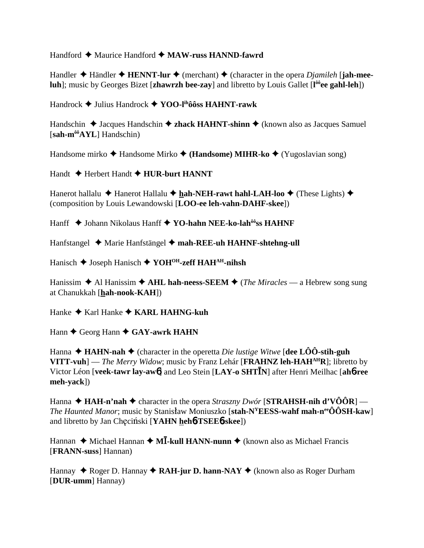#### Handford ◆ Maurice Handford ◆ MAW-russ HANND-fawrd

Handler  $\triangle$  Händler  $\triangle$  **HENNT-lur**  $\triangle$  (merchant)  $\triangle$  (character in the opera *Djamileh* [**jah-meeluh**]; music by Georges Bizet [**zhawrzh bee-zay**] and libretto by Louis Gallet [**l ôôee gahl-leh**])

Handrock Julius Handrock **YOO-lihôôss HAHNT-rawk**

Handschin  $\triangle$  Jacques Handschin  $\triangle$  **zhack HAHNT-shinn**  $\triangle$  (known also as Jacques Samuel [**sah-môôAYL**] Handschin)

Handsome mirko **→** Handsome Mirko ◆ (**Handsome**) **MIHR-ko ◆** (Yugoslavian song)

Handt **→** Herbert Handt **→ HUR-burt HANNT** 

Hanerot hallalu  $\triangle$  Hanerot Hallalu  $\triangle$  hah-NEH-rawt hahl-LAH-loo  $\triangle$  (These Lights)  $\triangle$ (composition by Louis Lewandowski [**LOO-ee leh-vahn-DAHF-skee**])

Hanff ◆ Johann Nikolaus Hanff ◆ YO-hahn NEE-ko-lah<sup>ôô</sup>ss HAHNF

Hanfstangel ◆ Marie Hanfstängel ◆ mah-REE-uh HAHNF-shtehng-ull

Hanisch **→** Joseph Hanisch ◆ YOH<sup>OH</sup>-zeff HAH<sup>AH</sup>-nihsh

Hanissim  $\triangle$  Al Hanissim  $\triangle$  AHL hah-neess-SEEM  $\triangle$  (*The Miracles* — a Hebrew song sung at Chanukkah [**hah-nook-KAH**])

Hanke ◆ Karl Hanke ◆ **KARL HAHNG-kuh** 

Hann ♦ Georg Hann ♦ GAY-awrk HAHN

Hanna  $\blacklozenge$  **HAHN-nah**  $\blacklozenge$  (character in the operetta *Die lustige Witwe* [dee LÔÔ-stih-guh **VITT-vuh**] — *The Merry Widow*; music by Franz Lehár [**FRAHNZ leh-HAHAHR**]; libretto by Victor Léon [**veek-tawr lay-aw**6] and Leo Stein [**LAY-o SHTN**] after Henri Meilhac [**ah**6**-ree meh-yack**])

Hanna  $\triangle$  **HAH-n'nah**  $\triangle$  character in the opera *Straszny Dwór* [**STRAHSH-nih d'VÔÔR**] — *The Haunted Manor*; music by Stanisław Moniuszko [**stah-N<sup>Y</sup>EESS-wahf mah-n<sup>ee</sup>ÔÔSH-kaw**] and libretto by Jan Checiński [YAHN heh**6-TSEE6-skee**])

Hannan ◆ Michael Hannan ◆ M**Ī-kull HANN-nunn** ◆ (known also as Michael Francis [**FRANN-suss**] Hannan)

Hannay ◆ Roger D. Hannay ◆ RAH-jur D. hann-NAY ◆ (known also as Roger Durham [**DUR-umm**] Hannay)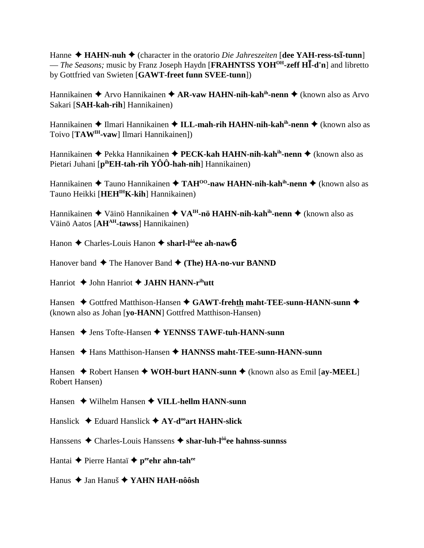Hanne ◆ HAHN-nuh ◆ (character in the oratorio *Die Jahreszeiten* [dee YAH-ress-ts**ī**-tunn] — *The Seasons;* music by Franz Joseph Haydn [**FRAHNTSS YOHOH-zeff H-d'n**] and libretto by Gottfried van Swieten [**GAWT-freet funn SVEE-tunn**])

Hannikainen ◆ Arvo Hannikainen ◆ AR-vaw HAHN-nih-kah<sup>ih</sup>-nenn ◆ (known also as Arvo Sakari [**SAH-kah-rih**] Hannikainen)

Hannikainen ◆ Ilmari Hannikainen ◆ ILL-mah-rih HAHN-nih-kah<sup>ih</sup>-nenn ◆ (known also as Toivo [**TAWIH-vaw**] Ilmari Hannikainen])

Hannikainen Pekka Hannikainen **PECK-kah HAHN-nih-kahih-nenn** (known also as Pietari Juhani [**pihEH-tah-rih YÔÔ-hah-nih**] Hannikainen)

Hannikainen ◆ Tauno Hannikainen ◆ TAH<sup>00</sup>-naw HAHN-nih-kah<sup>ih</sup>-nenn ◆ (known also as Tauno Heikki [**HEHIHK-kih**] Hannikainen)

Hannikainen ◆ Väinö Hannikainen ◆ VA<sup>IH</sup>-nö HAHN-nih-kahih-nenn ◆ (known also as Väinö Aatos [**AHAH-tawss**] Hannikainen)

Hanon Charles-Louis Hanon **sharl-lôôee ah-naw**6

Hanover band **◆** The Hanover Band ◆ (The) HA-no-vur BANND

Hanriot ♦ John Hanriot ♦ JAHN HANN-r<sup>ih</sup>utt

Hansen ◆ Gottfred Matthison-Hansen ◆ GAWT-frehth maht-TEE-sunn-HANN-sunn ◆ (known also as Johan [**yo-HANN**] Gottfred Matthison-Hansen)

Hansen **→** Jens Tofte-Hansen ◆ **YENNSS TAWF-tuh-HANN-sunn** 

Hansen Hans Matthison-Hansen **HANNSS maht-TEE-sunn-HANN-sunn**

Hansen  $\triangle$  Robert Hansen  $\triangle$  WOH-burt HANN-sunn  $\triangle$  (known also as Emil [ay-MEEL] Robert Hansen)

Hansen Wilhelm Hansen **VILL-hellm HANN-sunn**

Hanslick Eduard Hanslick **AY-dooart HAHN-slick**

Hanssens Charles-Louis Hanssens **shar-luh-lôôee hahnss-sunnss**

Hantai **←** Pierre Hantaï ← peehr ahn-tahee

Hanus **→ Jan Hanuš → YAHN HAH-nôôsh**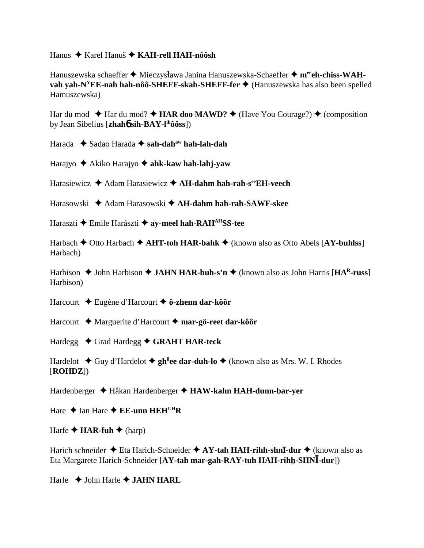Hanus Karel Hanuš **KAH-rell HAH-nôôsh**

Hanuszewska schaeffer ◆ Mieczysława Janina Hanuszewska-Schaeffer ◆ **m<sup>ee</sup>eh-chiss-WAHvah yah-N<sup>Y</sup>EE-nah hah-nôô-SHEFF-skah-SHEFF-fer ♦** (Hanuszewska has also been spelled Hamuszewska)

Har du mod  $\triangle$  Har du mod?  $\triangle$  **HAR doo MAWD?**  $\triangle$  (Have You Courage?)  $\triangle$  (composition by Jean Sibelius [**zhah**6 **sih-BAY-lihôôss**])

Harada ◆ Sadao Harada ◆ sah-dah<sup>aw</sup> hah-lah-dah

Harajyo Akiko Harajyo **ahk-kaw hah-lahj-yaw**

Harasiewicz **→** Adam Harasiewicz **→ AH-dahm hah-rah-s<sup>ee</sup>EH-veech** 

Harasowski Adam Harasowski **AH-dahm hah-rah-SAWF-skee**

Haraszti **→** Emile Harászti **→ ay-meel hah-RAH**<sup>AH</sup>SS-tee

Harbach Otto Harbach **AHT-toh HAR-bahk** (known also as Otto Abels [**AY-buhlss**] Harbach)

Harbison  $\triangle$  John Harbison  $\triangle$  **JAHN HAR-buh-s'n**  $\triangle$  (known also as John Harris [**HA<sup>R</sup>-russ**] Harbison)

Harcourt Eugène d'Harcourt **ö-zhenn dar-kôôr**

Harcourt Marguerite d'Harcourt **mar-gö-reet dar-kôôr**

Hardegg **→ Grad Hardegg → GRAHT HAR-teck** 

Hardelot **→** Guy d'Hardelot ◆ gh<sup>ü</sup>ee dar-duh-lo ◆ (known also as Mrs. W. I. Rhodes [**ROHDZ**])

Hardenberger Håkan Hardenberger **HAW-kahn HAH-dunn-bar-yer**

Hare  $\triangle$  Ian Hare  $\triangle$  **EE-unn HEH**<sup>UH</sup>**R** 

Harfe  $\triangle$  **HAR-fuh**  $\triangle$  (harp)

Harich schneider ◆ Eta Harich-Schneider ◆ AY-tah HAH-rihh-shn**ī-dur** ◆ (known also as Eta Margarete Harich-Schneider [**AY-tah mar-gah-RAY-tuh HAH-rihh-SHN-dur**])

Harle  $\triangle$  John Harle  $\triangle$  **JAHN HARL**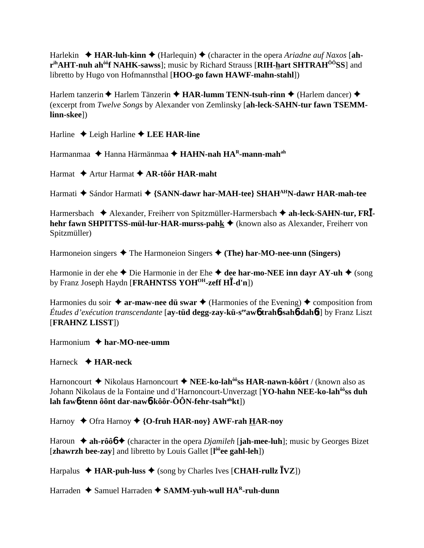Harlekin **→ HAR-luh-kinn →** (Harlequin) ◆ (character in the opera *Ariadne auf Naxos* [ah**rihAHT-nuh ahôôf NAHK-sawss**]; music by Richard Strauss [**RIH-hart SHTRAHÔÔSS**] and libretto by Hugo von Hofmannsthal [**HOO-go fawn HAWF-mahn-stahl**])

Harlem tanzerin **◆** Harlem Tänzerin ◆ **HAR-lumm TENN-tsuh-rinn ◆** (Harlem dancer) ◆ (excerpt from *Twelve Songs* by Alexander von Zemlinsky [**ah-leck-SAHN-tur fawn TSEMMlinn-skee**])

Harline Leigh Harline **LEE HAR-line**

Harmanmaa ◆ Hanna Härmänmaa ◆ **HAHN-nah HA<sup>R</sup>-mann-mah**<sup>ah</sup>

Harmat **→** Artur Harmat ◆ **AR-tôôr HAR-maht** 

Harmati  $\blacklozenge$  Sándor Harmati  $\blacklozenge$  {SANN-dawr har-MAH-tee} SHAH<sup>AH</sup>N-dawr HAR-mah-tee

Harmersbach Alexander, Freiherr von Spitzmüller-Harmersbach **ah-leck-SAHN-tur, FR hehr fawn SHPITTSS-mül-lur-HAR-murss-pahk ♦** (known also as Alexander, Freiherr von Spitzmüller)

Harmoneion singers  $\triangle$  The Harmoneion Singers  $\triangle$  (The) har-MO-nee-unn (Singers)

Harmonie in der ehe  $\triangle$  Die Harmonie in der Ehe  $\triangle$  dee har-mo-NEE inn dayr AY-uh  $\triangle$  (song by Franz Joseph Haydn [**FRAHNTSS YOHOH-zeff H-d'n**])

Harmonies du soir  $\triangleq$  ar-maw-nee du swar  $\triangleq$  (Harmonies of the Evening)  $\triangleq$  composition from *Études d'exécution transcendante* [**ay-tüd degg-zay-kü-seeaw**6 **trah**6**-sah**6**-dah**6**t**] by Franz Liszt [**FRAHNZ LISST**])

Harmonium **har-MO-nee-umm**

Harneck **HAR-neck**

Harnoncourt Nikolaus Harnoncourt **NEE-ko-lahôôss HAR-nawn-kôôrt** / (known also as Johann Nikolaus de la Fontaine und d'Harnoncourt-Unverzagt [**YO-hahn NEE-ko-lahôôss duh lah faw**6**-tenn ôônt dar-naw**6**-kôôr-ÔÔN-fehr-tsahahkt**])

Harnoy ◆ Ofra Harnoy ◆ {**O-fruh HAR-noy**} AWF-rah **HAR-noy** 

Haroun  $\triangleq$  ah-rôô<sup>6</sup>  $\triangleq$  (character in the opera *Djamileh* [**jah-mee-luh**]; music by Georges Bizet [**zhawrzh bee-zay**] and libretto by Louis Gallet [**l ôôee gahl-leh**])

Harpalus  $\triangleleft$  **HAR-puh-luss**  $\triangleleft$  (song by Charles Ives [**CHAH-rullz**  $\overline{I}VZ$ ])

Harraden ◆ Samuel Harraden ◆ SAMM-yuh-wull HA<sup>R</sup>-ruh-dunn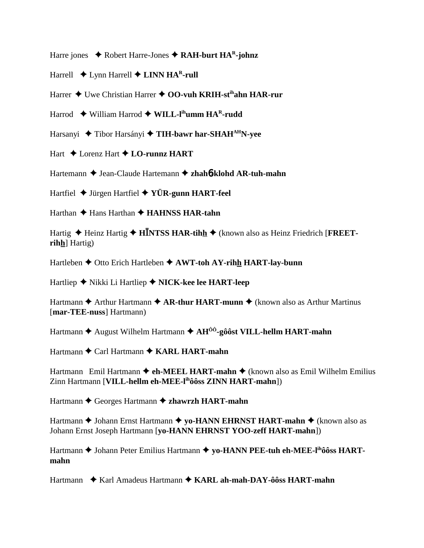- Harre jones  $\triangle$  Robert Harre-Jones  $\triangle$  RAH-burt HA<sup>R</sup>-johnz
- Harrell  $\triangle$  Lynn Harrell  $\triangle$  LINN HA<sup>R</sup>-rull
- Harrer ♦ Uwe Christian Harrer ♦ OO-vuh KRIH-st<sup>ih</sup>ahn HAR-rur
- Harrod  $\blacklozenge$  William Harrod  $\blacklozenge$  WILL-I<sup>th</sup>umm HA<sup>R</sup>-rudd
- Harsanyi ◆ Tibor Harsányi ◆ TIH-bawr har-SHAH<sup>AH</sup>N-yee
- Hart  $\triangle$  Lorenz Hart  $\triangle$  LO-runnz HART
- Hartemann ♦ Jean-Claude Hartemann ♦ zhahb-klohd AR-tuh-mahn
- Hartfiel  $\blacklozenge$  Jürgen Hartfiel  $\blacklozenge$  YÜR-gunn HART-feel
- Harthan ◆ Hans Harthan ◆ HAHNSS HAR-tahn

Hartig  $\triangle$  Heinz Hartig  $\triangle$  HINTSS HAR-tihh  $\triangle$  (known also as Heinz Friedrich [FREETrihh] Hartig)

Hartleben  $\triangle$  Otto Erich Hartleben  $\triangle$  AWT-toh AY-rihh HART-lay-bunn

Hartliep ◆ Nikki Li Hartliep ◆ NICK-kee lee HART-leep

Hartmann  $\triangle$  Arthur Hartmann  $\triangle$  AR-thur HART-munn  $\triangle$  (known also as Arthur Martinus [mar-TEE-nuss] Hartmann)

Hartmann  $\triangle$  August Wilhelm Hartmann  $\triangle$  AH<sup> $\hat{0}$ ô-gôôst VILL-hellm HART-mahn</sup>

Hartmann ◆ Carl Hartmann ◆ KARL HART-mahn

Hartmann Emil Hartmann  $\triangle$  eh-MEEL HART-mahn  $\triangle$  (known also as Emil Wilhelm Emilius Zinn Hartmann [VILL-hellm eh-MEE-l<sup>ih</sup>ôôss **ZINN HART-mahn**])

Hartmann ♦ Georges Hartmann ♦ zhawrzh HART-mahn

Hartmann ♦ Johann Ernst Hartmann ♦ vo-HANN EHRNST HART-mahn ♦ (known also as Johann Ernst Joseph Hartmann [yo-HANN EHRNST YOO-zeff HART-mahn])

Hartmann ♦ Johann Peter Emilius Hartmann ♦ yo-HANN PEE-tuh eh-MEE-l<sup>ih</sup>ôôss HARTmahn

Hartmann ◆ Karl Amadeus Hartmann ◆ KARL ah-mah-DAY-ôôss HART-mahn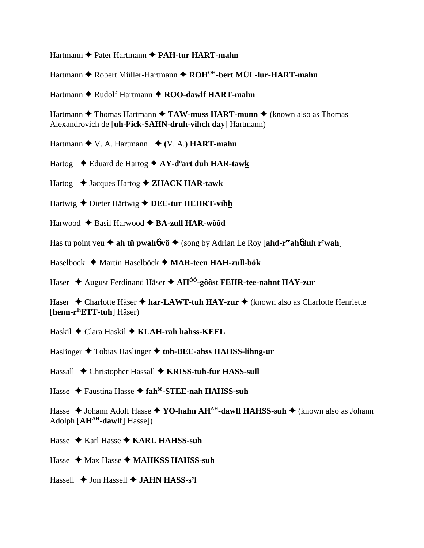Hartmann ♦ Pater Hartmann ♦ PAH-tur HART-mahn

Hartmann ♦ Robert Müller-Hartmann ♦ ROH<sup>OH</sup>-bert MÜL-lur-HART-mahn

Hartmann  $\triangle$  Rudolf Hartmann  $\triangle$  ROO-dawlf HART-mahn

Hartmann  $\triangle$  Thomas Hartmann  $\triangle$  TAW-muss HART-munn  $\triangle$  (known also as Thomas Alexandrovich de [**uh-l<sup>y</sup>ick-SAHN-druh-vihch day**] Hartmann)

Hartmann  $\blacklozenge$  V. A. Hartmann  $\blacklozenge$  (V. A.) **HART-mahn** 

- Hartog  $\triangle$  Eduard de Hartog  $\triangle$  AY-d<sup>"</sup>art duh HAR-tawk
- Hartog  $\rightarrow$  Jacques Hartog  $\rightarrow$  **ZHACK HAR-tawk**
- Hartwig  $\triangle$  Dieter Härtwig  $\triangle$  DEE-tur HEHRT-vihh
- Harwood  $\triangle$  Basil Harwood  $\triangle$  BA-zull HAR-wôôd
- Has tu point veu  $\triangleq$  ah tu pwahó vö  $\triangleq$  (song by Adrian Le Roy [ahd-r<sup>ee</sup> ahó luh r'wah]
- Haselbock ◆ Martin Haselböck ◆ MAR-teen HAH-zull-bök
- Haser  $\triangle$  August Ferdinand Häser  $\triangle$  AH<sup> $\hat{0}$ o<sup>2</sup>-gôost FEHR-tee-nahnt HAY-zur</sup>

Haser  $\triangle$  Charlotte Häser  $\triangle$  har-LAWT-tuh HAY-zur  $\triangle$  (known also as Charlotte Henriette [henn-r<sup>ih</sup>ETT-tuh] Häser)

- Haskil ◆ Clara Haskil ◆ KLAH-rah hahss-KEEL
- Haslinger  $\triangle$  Tobias Haslinger  $\triangle$  toh-BEE-ahss HAHSS-lihng-ur
- Hassall ◆ Christopher Hassall ◆ KRISS-tuh-fur HASS-sull
- Hasse ◆ Faustina Hasse ◆ fah<sup>ôô</sup>-STEE-nah HAHSS-suh

Hasse  $\triangle$  Johann Adolf Hasse  $\triangle$  YO-hahn AH<sup>AH</sup>-dawlf HAHSS-suh  $\triangle$  (known also as Johann  $Adolph [AH<sup>AH</sup>-dawIf] Hasse])$ 

- Hasse  $\triangle$  Karl Hasse  $\triangle$  KARL HAHSS-suh
- Hasse  $\triangleleft$  Max Hasse  $\triangleleft$  MAHKSS HAHSS-suh
- Hassell  $\triangle$  Jon Hassell  $\triangle$  JAHN HASS-s'l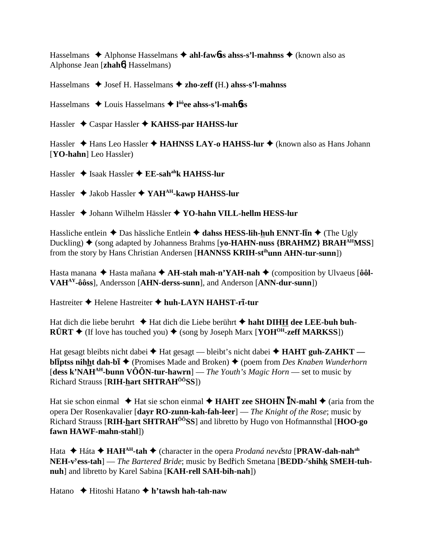Hasselmans  $\triangle$  Alphonse Hasselmans  $\triangle$  ahl-fawbs ahss-s'l-mahnss  $\triangle$  (known also as Alphonse Jean [zhahó] Hasselmans)

Hasselmans  $\blacklozenge$  Josef H. Hasselmans  $\blacklozenge$  zho-zeff (H.) ahss-s'l-mahnss

Hasselmans  $\triangle$  Louis Hasselmans  $\triangle$  l<sup>ôô</sup>ee ahss-s'l-mahbss

Hassler  $\triangle$  Caspar Hassler  $\triangle$  KAHSS-par HAHSS-lur

Hassler ◆ Hans Leo Hassler ◆ HAHNSS LAY-o HAHSS-lur ◆ (known also as Hans Johann [YO-hahn] Leo Hassler)

Hassler  $\triangle$  Isaak Hassler  $\triangle$  EE-sah<sup>ah</sup>k HAHSS-lur

Hassler  $\triangleq$  Jakob Hassler  $\triangleq$  YAH<sup>AH</sup>-kawp HAHSS-lur

Hassler ◆ Johann Wilhelm Hässler ◆ YO-hahn VILL-hellm HESS-lur

Hassliche entlein  $\triangle$  Das hässliche Entlein  $\triangle$  dahss HESS-lih-huh ENNT-lin  $\triangle$  (The Ugly Duckling)  $\blacklozenge$  (song adapted by Johanness Brahms [yo-HAHN-nuss {BRAHMZ} BRAH<sup>AH</sup>MSS] from the story by Hans Christian Andersen [HANNSS KRIH-st<sup>ih</sup>unn AHN-tur-sunn])

Hasta manana  $\triangle$  Hasta mañana  $\triangle$  AH-stah mah-n'YAH-nah  $\triangle$  (composition by Ulvaeus [ôôl-VAH<sup>AY</sup>-ôôss], Andersson [AHN-derss-sunn], and Anderson [ANN-dur-sunn])

Hastreiter ◆ Helene Hastreiter ◆ huh-LAYN HAHST-rī-tur

Hat dich die liebe beruhrt ◆ Hat dich die Liebe berührt ◆ haht DIHH dee LEE-buh buh- $\angle$ **RÜRT**  $\triangle$  (If love has touched you)  $\triangle$  (song by Joseph Marx [**YOH<sup>OH</sup>-zeff MARKSS**])

Hat gesagt bleibts nicht dabei ◆ Hat gesagt — bleibt's nicht dabei ◆ HAHT guh-ZAHKT **bliptss nihht dah-bi**  $\blacklozenge$  (Promises Made and Broken)  $\blacklozenge$  (poem from *Des Knaben Wunderhorn*) [dess k'NAH<sup>AH</sup>-bunn VÔÔN-tur-hawrn] — The Youth's Magic Horn — set to music by Richard Strauss [RIH-hart SHTRAH<sup>00</sup>SS])

Hat sie schon einmal  $\triangle$  Hat sie schon einmal  $\triangle$  **HAHT zee SHOHN IN-mahl**  $\triangle$  (aria from the opera Der Rosenkavalier [davr RO-zunn-kah-fah-leer] — The Knight of the Rose; music by Richard Strauss [RIH-hart SHTRAH<sup>00</sup>SS] and libretto by Hugo von Hofmannsthal [HOO-go] fawn HAWF-mahn-stahl])

Hata  $\triangle$  Háta  $\triangle$  HAH<sup>AH</sup>-tah  $\triangle$  (character in the opera *Prodaná nev* Čsta [PRAW-dah-nah<sup>ah</sup>] NEH-v<sup>y</sup>ess-tah] — The Bartered Bride; music by Bedřich Smetana [BEDD-'shihk SMEH-tuhnuh] and libretto by Karel Sabina [KAH-rell SAH-bih-nah])

Hatano  $\rightarrow$  Hitoshi Hatano  $\rightarrow$  h'tawsh hah-tah-naw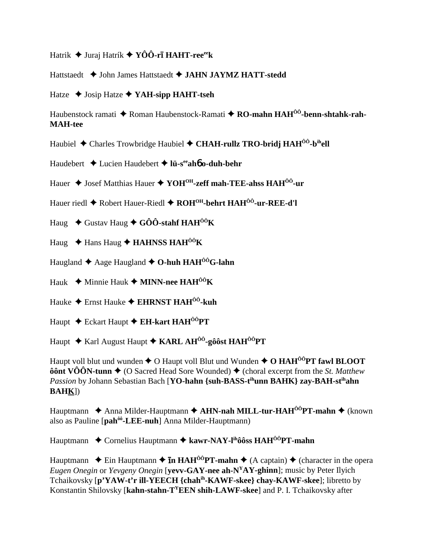Hatrik  $\blacklozenge$  Juraj Hatrík  $\blacklozenge$  YÔÔ-rī HAHT-ree<sup>ee</sup>k

Hattstaedt ♦ John James Hattstaedt ♦ JAHN JAYMZ HATT-stedd

Hatze  $\triangleleft$  Josip Hatze  $\triangleleft$  YAH-sipp HAHT-tseh

Haubenstock ramati  $\triangle$  Roman Haubenstock-Ramati  $\triangle$  RO-mahn HAH<sup>00</sup>-benn-shtahk-rah-**MAH-tee** 

Haubiel ◆ Charles Trowbridge Haubiel ◆ CHAH-rullz TRO-bridj HAH<sup>00</sup>-b<sup>ih</sup>ell

Haudebert  $\triangleleft$  Lucien Haudebert  $\triangleleft$  lü-s<sup>ee</sup>aho o-duh-behr

Hauer  $\triangle$  Josef Matthias Hauer  $\triangle$  YOH<sup>OH</sup>-zeff mah-TEE-ahss HAH<sup>ÔÔ</sup>-ur

Hauer riedl ◆ Robert Hauer-Riedl ◆ ROH<sup>OH</sup>-behrt HAH<sup>ÔÔ</sup>-ur-REE-d'l

Haug  $\div$  Gustav Haug  $\div$  GÔÔ-stahf HAH<sup>ÔÔ</sup>K

Haug  $\triangle$  Hans Haug  $\triangle$  HAHNSS HAH<sup>00</sup>K

Haugland  $\triangle$  Aage Haugland  $\triangle$  O-huh HAH<sup> $0$ 0</sup>G-lahn

Hauk  $\blacklozenge$  Minnie Hauk  $\blacklozenge$  MINN-nee HAH<sup>00</sup>K

Hauke  $\triangleq$  Ernst Hauke  $\triangleq$  EHRNST HAH<sup> $\hat{0}$ 0-kuh</sup>

Haupt ◆ Eckart Haupt ◆ EH-kart HAH<sup>ôô</sup>PT

Haupt  $\triangle$  Karl August Haupt  $\triangle$  KARL AH<sup>00</sup>-gôôst HAH<sup>00</sup>PT

Haupt voll blut und wunden  $\triangle$  O Haupt voll Blut und Wunden  $\triangle$  O HAH<sup> $\hat{0}$ 0 $\hat{P}$ T fawl BLOOT</sup> **ôônt VÔÔN-tunn ♦** (O Sacred Head Sore Wounded) ♦ (choral excerpt from the *St. Matthew* Passion by Johann Sebastian Bach [YO-hahn {suh-BASS-t<sup>ih</sup>unn BAHK} zay-BAH-st<sup>ih</sup>ahn  $BAHK$ ])

Hauptmann  $\triangle$  Anna Milder-Hauptmann  $\triangle$  AHN-nah MILL-tur-HAH<sup> $00$ </sup>PT-mahn  $\triangle$  (known also as Pauline [pah<sup>ôo</sup>-LEE-nuh] Anna Milder-Hauptmann)

Hauptmann  $\triangle$  Cornelius Hauptmann  $\triangle$  kawr-NAY-l<sup>ih</sup>ôôss HAH<sup>ôô</sup>PT-mahn

Hauptmann  $\triangle$  Ein Hauptmann  $\triangle$  **In HAH<sup>ôô</sup>PT-mahn**  $\triangle$  (A captain)  $\triangle$  (character in the opera *Eugen Onegin* or *Yevgeny Onegin* [yevv-GAY-nee ah-N<sup>Y</sup>AY-ghinn]; music by Peter Ilyich Tchaikovsky [p'YAW-t'r ill-YEECH {chah<sup>ih</sup>-KAWF-skee} chay-KAWF-skee]; libretto by Konstantin Shilovsky [kahn-stahn-T<sup>Y</sup>EEN shih-LAWF-skee] and P. I. Tchaikovsky after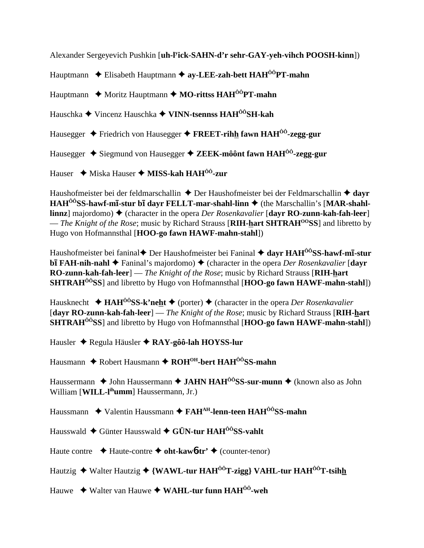Alexander Sergeyevich Pushkin [**uh-ly ick-SAHN-d'r sehr-GAY-yeh-vihch POOSH-kinn**]) Hauptmann Elisabeth Hauptmann **ay-LEE-zah-bett HAHÔÔPT-mahn** Hauptmann ◆ Moritz Hauptmann ◆ MO-rittss HAH<sup>ÔÔ</sup>PT-mahn Hauschka Vincenz Hauschka **VINN-tsennss HAHÔÔSH-kah** Hausegger Friedrich von Hausegger **FREET-rihh fawn HAHÔÔ-zegg-gur** Hausegger Siegmund von Hausegger **ZEEK-môônt fawn HAHÔÔ-zegg-gur** Hauser **↓** Miska Hauser ◆ MISS-kah HAH<sup>ôô</sup>-zur

Haushofmeister bei der feldmarschallin ◆ Der Haushofmeister bei der Feldmarschallin ◆ dayr HAH<sup>ÔÔ</sup>SS-hawf-mī-stur bī dayr FELLT-mar-shahl-linn  $\triangleq$  (the Marschallin's [MAR-shahl**linnz**] majordomo) ♦ (character in the opera *Der Rosenkavalier* [dayr **RO-zunn-kah-fah-leer**] — *The Knight of the Rose*; music by Richard Strauss [**RIH-hart SHTRAHOOSS**] and libretto by Hugo von Hofmannsthal [**HOO-go fawn HAWF-mahn-stahl**])

Haushofmeister bei faninal♦ Der Haushofmeister bei Faninal ♦ **dayr HAH<sup>ôô</sup>SS-hawf-mī-stur bI** FAH-nih-nahl ♦ Faninal's majordomo) ♦ (character in the opera *Der Rosenkavalier* [dayr **RO-zunn-kah-fah-leer**] — *The Knight of the Rose*; music by Richard Strauss [**RIH-hart SHTRAHÔÔSS**] and libretto by Hugo von Hofmannsthal [**HOO-go fawn HAWF-mahn-stahl**])

Hausknecht **→ HAH<sup>ôô</sup>SS-k'neht →** (porter) → (character in the opera *Der Rosenkavalier* [**dayr RO-zunn-kah-fah-leer**] — *The Knight of the Rose*; music by Richard Strauss [**RIH-hart SHTRAHÔÔSS**] and libretto by Hugo von Hofmannsthal [**HOO-go fawn HAWF-mahn-stahl**])

Hausler Regula Häusler **RAY-gôô-lah HOYSS-lur**

Hausmann ◆ Robert Hausmann ◆ ROH<sup>OH</sup>-bert HAH<sup>00</sup>SS-mahn

Haussermann **→** John Haussermann → JAHN HAH<sup>ÔÔ</sup>SS-sur-munn → (known also as John William [**WILL-l<sup>ih</sup>umm**] Haussermann, Jr.)

Haussmann ◆ Valentin Haussmann ◆ FAH<sup>AH</sup>-lenn-teen HAH<sup>ÔÔ</sup>SS-mahn

Hausswald Günter Hausswald **GÜN-tur HAHÔÔSS-vahlt**

Haute contre Haute-contre **oht-kaw**6**-tr'** (counter-tenor)

Hautzig ◆ Walter Hautzig ◆ {WAWL-tur HAH<sup>ÔÔ</sup>T-zigg} VAHL-tur HAH<sup>ÔÔ</sup>T-tsihh

Hauwe Walter van Hauwe **WAHL-tur funn HAHÔÔ-weh**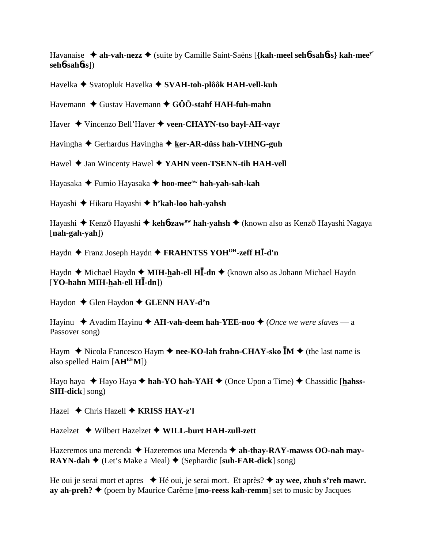Havanaise **ah-vah-nezz** (suite by Camille Saint-Saëns [**{kah-meel seh**6**-sah**6**ss} kah-meey' seh**6**-sah**6**ss**])

Havelka ◆ Svatopluk Havelka ◆ SVAH-toh-plôôk HAH-vell-kuh

Havemann ◆ Gustav Havemann ◆ GÔÔ-stahf HAH-fuh-mahn

Haver Vincenzo Bell'Haver **veen-CHAYN-tso bayl-AH-vayr**

Havingha **→** Gerhardus Havingha → ker-AR-düss hah-VIHNG-guh

Hawel **→** Jan Wincenty Hawel ◆ **YAHN veen-TSENN-tih HAH-vell** 

Hayasaka Fumio Hayasaka **hoo-meeaw hah-yah-sah-kah**

Hayashi Hikaru Hayashi **h'kah-loo hah-yahsh**

Hayashi ◆ Kenzō Hayashi ◆ keh**6-zaw<sup>aw</sup> hah-yahsh** ◆ (known also as Kenzō Hayashi Nagaya [**nah-gah-yah**])

Haydn Franz Joseph Haydn **FRAHNTSS YOHOH-zeff H-d'n**

Haydn ◆ Michael Haydn ◆ MIH-hah-ell HI-dn ◆ (known also as Johann Michael Haydn [**YO-hahn MIH-hah-ell H-dn**])

Haydon **←** Glen Haydon ← GLENN HAY-d'n

Hayinu  $\triangle$  Avadim Hayinu  $\triangle$  A**H-vah-deem hah-YEE-noo**  $\triangle$  (*Once we were slaves* — a Passover song)

Haym  $\blacklozenge$  Nicola Francesco Haym  $\blacklozenge$  nee-KO-lah frahn-CHAY-sko  $\overline{M} \blacklozenge$  (the last name is also spelled Haim [**AHEEM**])

Hayo haya ◆ Hayo Haya ◆ hah-YO hah-YAH ◆ (Once Upon a Time) ◆ Chassidic [hahss-**SIH-dick**] song)

Hazel Chris Hazell **KRISS HAY-z'l**

Hazelzet Wilbert Hazelzet **WILL-burt HAH-zull-zett**

Hazeremos una merenda  $\triangle$  Hazeremos una Merenda  $\triangle$  ah-thay-RAY-mawss OO-nah may-**RAYN-dah**  $\blacklozenge$  (Let's Make a Meal)  $\blacklozenge$  (Sephardic [suh-FAR-dick] song)

He oui je serai mort et apres ◆ Hé oui, je serai mort. Et après? ◆ ay wee, zhuh s'reh mawr. **ay ah-preh? ♦** (poem by Maurice Carême [**mo-reess kah-remm**] set to music by Jacques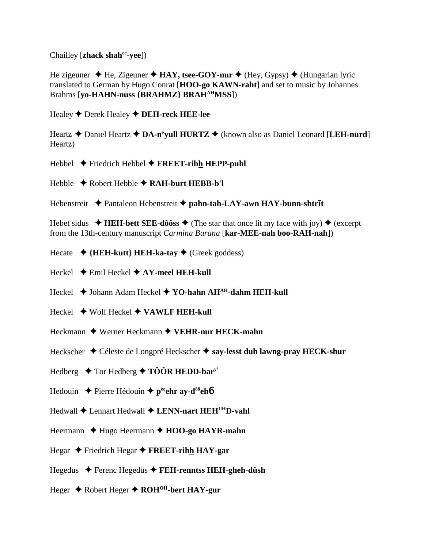Chailley [zhack shah<sup>ee</sup>-vee])

He zigeuner  $\triangleleft$  He, Zigeuner  $\triangleleft$  HAY, tsee-GOY-nur  $\triangleleft$  (Hey, Gypsy)  $\triangleleft$  (Hungarian lyric translated to German by Hugo Conrat [HOO-go KAWN-raht] and set to music by Johannes Brahms [yo-HAHN-nuss {BRAHMZ} BRAH<sup>AH</sup>MSS])

Healey  $\blacklozenge$  Derek Healey  $\blacklozenge$  DEH-reck HEE-lee

Heartz  $\triangle$  Daniel Heartz  $\triangle$  DA-n'vull HURTZ  $\triangle$  (known also as Daniel Leonard [LEH-nurd] Heartz)

Hebbel  $\triangle$  Friedrich Hebbel  $\triangle$  FREET-rihh HEPP-puhl

Hebble  $\triangle$  Robert Hebble  $\triangle$  RAH-burt HEBB-b'l

Hebenstreit ◆ Pantaleon Hebenstreit ◆ pahn-tah-LAY-awn HAY-bunn-shtrīt

Hebet sidus  $\blacklozenge$  HEH-bett SEE-dôôss  $\blacklozenge$  (The star that once lit my face with joy)  $\blacklozenge$  (excerpt from the 13th-century manuscript *Carmina Burana* [kar-MEE-nah boo-RAH-nah])

- Hecate  $\rightarrow$  {HEH-kutt} HEH-ka-tay  $\rightarrow$  (Greek goddess)
- Heckel  $\triangle$  Emil Heckel  $\triangle$  AY-meel HEH-kull

Heckel ◆ Johann Adam Heckel ◆ YO-hahn AH<sup>AH</sup>-dahm HEH-kull

- Heckel  $\rightarrow$  Wolf Heckel  $\rightarrow$  VAWLF HEH-kull
- Heckmann  $\triangle$  Werner Heckmann  $\triangle$  VEHR-nur HECK-mahn
- Heckscher ◆ Céleste de Longpré Heckscher ◆ say-lesst duh lawng-pray HECK-shur
- Hedberg  $\triangle$  Tor Hedberg  $\triangle$  TÔÔR HEDD-bar<sup>y</sup>
- Hedouin  $\triangle$  Pierre Hédouin  $\triangle$  p<sup>ee</sup>ehr ay-d<sup>ôô</sup>eh**ó**
- $\text{Hedwall} \triangleq \text{Lennart}$  Hedwall  $\triangleq \text{LENN-nart}$  HEH<sup>UH</sup>D-vahl
- Heermann  $\triangle$  Hugo Heermann  $\triangle$  HOO-go HAYR-mahn
- Hegar  $\triangle$  Friedrich Hegar  $\triangle$  FREET-rihh HAY-gar
- Hegedus ◆ Ferenc Hegedüs ◆ FEH-renntss HEH-gheh-düsh
- Heger  $\triangle$  Robert Heger  $\triangle$  ROH<sup>OH</sup>-bert HAY-gur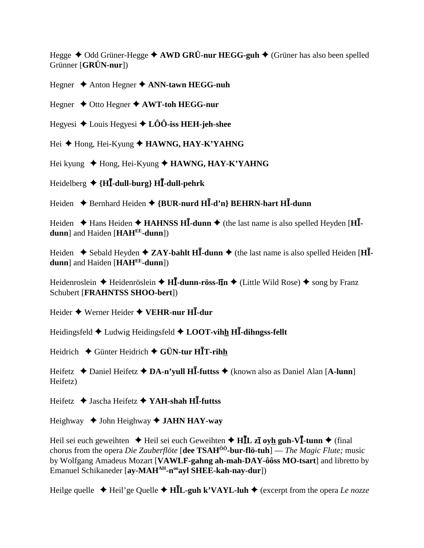Hegge  $\triangle$  Odd Grüner-Hegge  $\triangle$  AWD GRÜ-nur HEGG-guh  $\triangle$  (Grüner has also been spelled Grünner [GRÜN-nur])

Hegner  $\triangle$  Anton Hegner  $\triangle$  ANN-tawn HEGG-nuh

Hegner  $\triangle$  Otto Hegner  $\triangle$  AWT-toh HEGG-nur

Hegyesi ◆ Louis Hegyesi ◆ LÔÔ-iss HEH-jeh-shee

Hei ♦ Hong, Hei-Kyung ♦ HAWNG, HAY-K'YAHNG

Hei kyung  $\triangleleft$  Hong, Hei-Kyung  $\triangleleft$  HAWNG, HAY-K'YAHNG

Heidelberg  $\triangleleft \{ H\overline{I}$ -dull-burg}  $H\overline{I}$ -dull-pehrk

Heiden  $\triangle$  Bernhard Heiden  $\triangle$  {BUR-nurd HI-d'n} BEHRN-hart HI-dunn

Heiden  $\triangle$  Hans Heiden  $\triangle$  HAHNSS HI-dunn  $\triangle$  (the last name is also spelled Heyden [HI**dunn**] and Haiden [HAH<sup>EE</sup>-dunn])

Heiden  $\triangle$  Sebald Heyden  $\triangle$  ZAY-bahlt HI-dunn  $\triangle$  (the last name is also spelled Heiden [HIdunn] and Haiden  $[HAH<sup>EE</sup>$ -dunn])

Heidenroslein  $\triangle$  Heidenröslein  $\triangle$  H**I**-dunn-röss-lin  $\triangle$  (Little Wild Rose)  $\triangle$  song by Franz Schubert [FRAHNTSS SHOO-bert])

Heider  $\triangle$  Werner Heider  $\triangle$  VEHR-nur HI-dur

Heidingsfeld  $\triangle$  Ludwig Heidingsfeld  $\triangle$  LOOT-vihh HI-dihngss-fellt

Heidrich  $\blacklozenge$  Günter Heidrich  $\blacklozenge$  GÜN-tur HIT-rihh

Heifetz  $\triangle$  Daniel Heifetz  $\triangle$  DA-n'vull HI-futtss  $\triangle$  (known also as Daniel Alan [A-lunn] Heifetz)

Heifetz  $\triangleleft$  Jascha Heifetz  $\triangleleft$  YAH-shah HI-futtss

Heighway  $\blacklozenge$  John Heighway  $\blacklozenge$  JAHN HAY-way

Heil sei euch geweihten  $\triangle$  Heil sei euch Geweihten  $\triangle$  H $\overline{L}$  zī oyh guh-V $\overline{I}$ -tunn  $\triangle$  (final chorus from the opera Die Zauberflöte [dee TSAH<sup> $\hat{0}$ 0-bur-flö-tuh] — The Magic Flute; music</sup> by Wolfgang Amadeus Mozart [VAWLF-gahng ah-mah-DAY-ôôss MO-tsart] and libretto by Emanuel Schikaneder [ay-MAH<sup>AH</sup>-n<sup>oo</sup>ayl SHEE-kah-nay-dur])

Heilge quelle  $\triangle$  Heil'ge Quelle  $\triangle$  HIL-guh k'VAYL-luh  $\triangle$  (excerpt from the opera Le nozze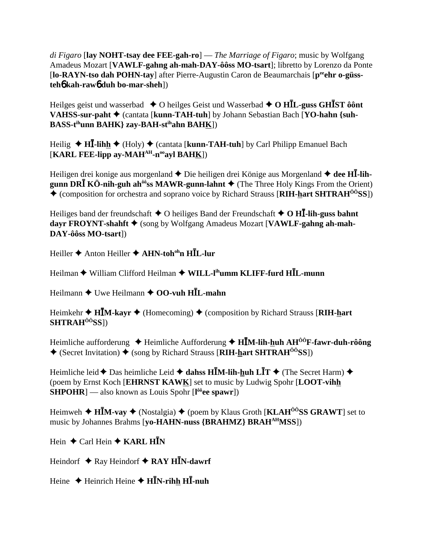di Figaro [lay NOHT-tsay dee FEE-gah-ro] — The Marriage of Figaro; music by Wolfgang Amadeus Mozart [VAWLF-gahng ah-mah-DAY-ôôss MO-tsart]; libretto by Lorenzo da Ponte [lo-RAYN-tso dah POHN-tay] after Pierre-Augustin Caron de Beaumarchais [pee hr o-güss $teh6$  kah-raw $6$  duh bo-mar-sheh])

Heilges geist und wasserbad  $\triangle$  O heilges Geist und Wasserbad  $\triangle$  O HIL-guss GHIST ôont VAHSS-sur-paht ♦ (cantata [kunn-TAH-tuh] by Johann Sebastian Bach [YO-hahn {suh-**BASS-tihunn BAHK} zav-BAH-stihahn BAHK])** 

Heilig  $\triangleleft H\overline{I}$ -lihh  $\triangleleft$  (Holy)  $\triangleleft$  (cantata [kunn-TAH-tuh] by Carl Philipp Emanuel Bach [KARL FEE-lipp ay-MAH $^{AH}$ -n<sup>oo</sup>ayl BAHK])

Heiligen drei konige aus morgenland  $\triangle$  Die heiligen drei Könige aus Morgenland  $\triangle$  dee HI-lihgunn DR $\overline{I}$  KÖ-nih-guh ah<sup> $\hat{\theta}$ os MAWR-gunn-lahnt  $\blacklozenge$  (The Three Holy Kings From the Orient)</sup> ♦ (composition for orchestra and soprano voice by Richard Strauss [RIH-hart SHTRAH<sup>00</sup>SS])

Heiliges band der freundschaft  $\triangle$  O heiliges Band der Freundschaft  $\triangle$  O HI. Iih-guss bahnt dayr FROYNT-shahft ♦ (song by Wolfgang Amadeus Mozart [VAWLF-gahng ah-mah-DAY-ôôss MO-tsart])

Heiller  $\triangle$  Anton Heiller  $\triangle$  AHN-toh<sup>oh</sup>n HIL-lur

Heilman ◆ William Clifford Heilman ◆ WILL-I<sup>ih</sup>umm KLIFF-furd HIL-munn

Heilmann  $\triangle$  Uwe Heilmann  $\triangle$  OO-vuh HIL-mahn

Heimkehr  $\triangle$  HIM-kayr  $\triangle$  (Homecoming)  $\triangle$  (composition by Richard Strauss [RIH-hart  $SHTRAH<sup>ÔÔ</sup>SS$ ])

Heimliche aufforderung  $\triangleq$  Heimliche Aufforderung  $\triangleq$  HIM-lih-huh AH<sup>00</sup>F-fawr-duh-rôông **♦** (Secret Invitation) ♦ (song by Richard Strauss [RIH-hart SHTRAH<sup> $\hat{o}$ o<sup>3</sup>SS])</sup>

Heimliche leid  $\triangle$  Das heimliche Leid  $\triangle$  dahss HIM-lih-huh LIT  $\triangle$  (The Secret Harm)  $\triangle$ (poem by Ernst Koch [EHRNST KAWK] set to music by Ludwig Spohr [LOOT-vihh]  $SHPOHR$ ] — also known as Louis Spohr  $[1\degree$  ( $1\degree$  ee spawr])

Heimweh  $\triangle$  HIM-vay  $\triangle$  (Nostalgia)  $\triangle$  (poem by Klaus Groth [KLAH<sup> $\hat{o}$ o<sup>o</sup>SS GRAWT] set to</sup> music by Johannes Brahms [vo-HAHN-nuss {BRAHMZ} BRAH<sup>AH</sup>MSS])

Hein  $\triangle$  Carl Hein  $\triangle$  KARL HIN

Heindorf  $\triangle$  Ray Heindorf  $\triangle$  RAY HIN-dawrf

Heine  $\triangle$  Heinrich Heine  $\triangle$  HIN-rihh HI-nuh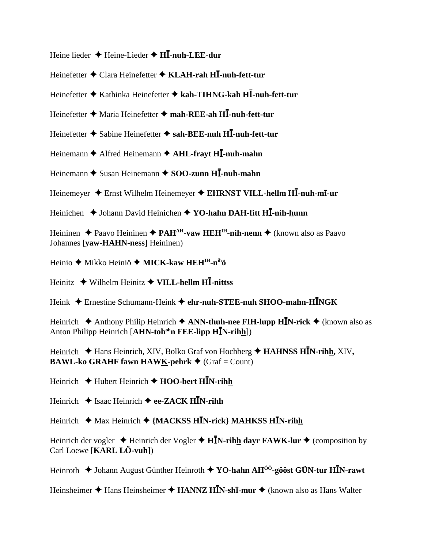Heine lieder ♦ Heine-Lieder ♦ H**I-nuh-LEE-dur** 

Heinefetter ◆ Clara Heinefetter ◆ KLAH-rah H**I-nuh-fett-tur** 

Heinefetter Kathinka Heinefetter **kah-TIHNG-kah H-nuh-fett-tur**

Heinefetter ◆ Maria Heinefetter ◆ mah-REE-ah H**I**-nuh-fett-tur

Heinefetter **◆** Sabine Heinefetter ◆ sah-BEE-nuh HI-nuh-fett-tur

Heinemann ◆ Alfred Heinemann ◆ AHL-frayt H**I**-nuh-mahn

Heinemann **→** Susan Heinemann → SOO-zunn H**I**-nuh-mahn

Heinemeyer  $\triangle$  Ernst Wilhelm Heinemeyer  $\triangle$  EHRNST VILL-hellm HI-nuh-mi-ur

Heinichen **→** Johann David Heinichen → **YO-hahn DAH-fitt HI-nih-hunn** 

Heininen ◆ Paavo Heininen ◆ PAH<sup>AH</sup>-vaw HEH<sup>IH</sup>-nih-nenn ◆ (known also as Paavo Johannes [**yaw-HAHN-ness**] Heininen)

Heinio ◆ Mikko Heiniö ◆ MICK-kaw HEH<sup>IH</sup>-n<sup>ih</sup>ö

Heinitz Wilhelm Heinitz **VILL-hellm H-nittss**

Heink Ernestine Schumann-Heink **ehr-nuh-STEE-nuh SHOO-mahn-HNGK**

Heinrich Anthony Philip Heinrich **ANN-thuh-nee FIH-lupp HN-rick** (known also as Anton Philipp Heinrich [AHN-toh<sup>oh</sup>n FEE-lipp H**I**N-rihh])

Heinrich  $\blacklozenge$  Hans Heinrich, XIV, Bolko Graf von Hochberg  $\blacklozenge$  **HAHNSS HIN-rihh,** XIV, **BAWL-ko GRAHF fawn HAWK-pehrk**  $\triangle$  (Graf = Count)

Heinrich Hubert Heinrich **HOO-bert HN-rihh**

Heinrich **→** Isaac Heinrich ◆ ee-ZACK H**I**N-rihh

Heinrich ◆ Max Heinrich ◆ {MACKSS H**I**N-rick} MAHKSS H**I**N-rihh

Heinrich der vogler  $\triangle$  Heinrich der Vogler  $\triangle$  H**IN-rihh dayr FAWK-lur**  $\triangle$  (composition by Carl Loewe [**KARL LÖ-vuh**])

Heinroth Johann August Günther Heinroth **YO-hahn AHÔÔ-gôôst GÜN-tur HN-rawt**

Heinsheimer ◆ Hans Heinsheimer ◆ HANNZ H**IN-shī-mur** ◆ (known also as Hans Walter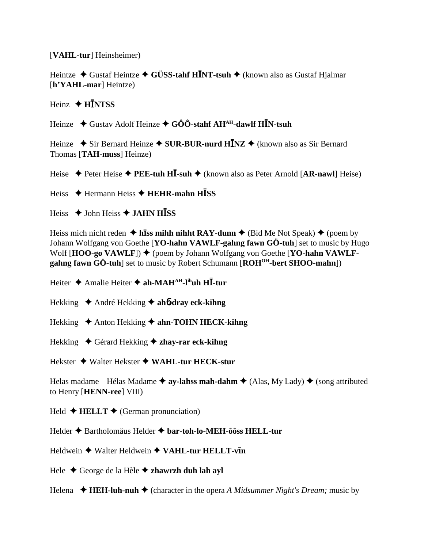[VAHL-tur] Heinsheimer)

Heintze  $\triangle$  Gustaf Heintze  $\triangle$  GÜSS-tahf HINT-tsuh  $\triangle$  (known also as Gustaf Hialmar  $[h'YAHL\text{-}mar]$  Heintze)

Heinz  $\triangle$  HINTSS

Heinze  $\triangle$  Gustav Adolf Heinze  $\triangle$  GÔÔ-stahf AH<sup>AH</sup>-dawlf HIN-tsuh

Heinze  $\triangle$  Sir Bernard Heinze  $\triangle$  SUR-BUR-nurd HINZ  $\triangle$  (known also as Sir Bernard Thomas [TAH-muss] Heinze)

Heise  $\rightarrow$  Peter Heise  $\rightarrow$  PEE-tuh HI-suh  $\rightarrow$  (known also as Peter Arnold [AR-nawl] Heise)

Heiss  $\triangle$  Hermann Heiss  $\triangle$  HEHR-mahn HISS

Heiss  $\triangle$  John Heiss  $\triangle$  JAHN HISS

Heiss mich nicht reden  $\triangle$  hiss mihh nihht RAY-dunn  $\triangle$  (Bid Me Not Speak)  $\triangle$  (poem by Johann Wolfgang von Goethe [YO-hahn VAWLF-gahng fawn GÖ-tuh] set to music by Hugo Wolf  $[HOO-go VAWLF]$   $\blacklozenge$  (poem by Johann Wolfgang von Goethe [YO-hahn VAWLFgahng fawn GÖ-tuh] set to music by Robert Schumann [ROH<sup>OH</sup>-bert SHOO-mahn])

Heiter ◆ Amalie Heiter ◆ ah-MAH<sup>AH</sup>-l<sup>ih</sup>uh Hll-tur

Hekking  $\triangle$  André Hekking  $\triangle$  ah*b***-dray eck-kihng** 

- Hekking  $\triangle$  Anton Hekking  $\triangle$  ahn-TOHN HECK-kihng
- Hekking  $\bullet$  Gérard Hekking  $\bullet$  zhay-rar eck-kihng

Hekster  $\triangleleft$  Walter Hekster  $\triangleleft$  WAHL-tur HECK-stur

Helas madame Hélas Madame  $\triangleq$  av-lahss mah-dahm  $\triangleq$  (Alas, My Lady)  $\triangleq$  (song attributed to Henry [HENN-ree] VIII)

Held  $\triangle$  **HELLT**  $\triangle$  (German pronunciation)

Helder ♦ Bartholomäus Helder ♦ bar-toh-lo-MEH-ôôss HELL-tur

Heldwein  $\triangle$  Walter Heldwein  $\triangle$  VAHL-tur HELLT-vIn

Hele ◆ George de la Hèle ◆ zhawrzh duh lah ayl

Helena  $\triangleleft$  HEH-luh-nuh  $\triangleleft$  (character in the opera A Midsummer Night's Dream; music by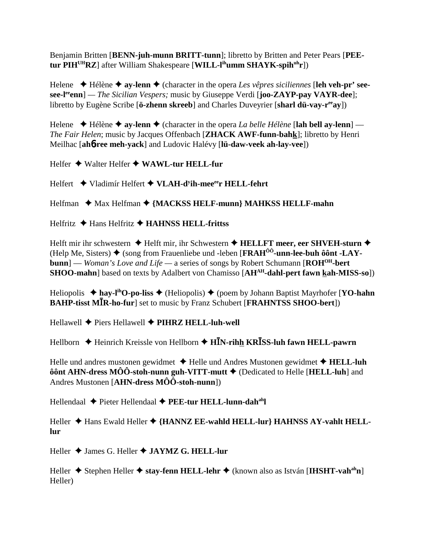Benjamin Britten [**BENN-juh-munn BRITT-tunn**]; libretto by Britten and Peter Pears [**PEEtur PIHUHRZ**] after William Shakespeare [**WILL-lihumm SHAYK-spihuhr**])

Helene Hélène **ay-lenn** (character in the opera *Les vêpres siciliennes* [**leh veh-pr' seesee-leeenn**] *— The Sicilian Vespers;* music by Giuseppe Verdi [**joo-ZAYP-pay VAYR-dee**]; libretto by Eugène Scribe [**ö-zhenn skreeb**] and Charles Duveyrier [**sharl dü-vay-r<sup>ee</sup>ay**])

Helene  $\blacklozenge$  Hélène  $\blacklozenge$  ay-lenn  $\blacklozenge$  (character in the opera *La belle Hélène* [lah bell ay-lenn] — *The Fair Helen*; music by Jacques Offenbach [**ZHACK AWF-funn-bahk**]; libretto by Henri Meilhac [**ah**6**-ree meh-yack**] and Ludovic Halévy [**lü-daw-veek ah-lay-vee**])

Helfer **→** Walter Helfer ◆ WAWL-tur HELL-fur

Helfert Vladimír Helfert **VLAH-dy ih-meeeer HELL-fehrt**

Helfman  $\triangle$  Max Helfman  $\triangle$  {MACKSS HELF-munn} MAHKSS HELLF-mahn

Helfritz **→** Hans Helfritz **→ HAHNSS HELL-frittss** 

Helft mir ihr schwestern ◆ Helft mir, ihr Schwestern ◆ HELLFT meer, eer SHVEH-sturn ◆  $(Help\ Me, Sisters) \triangleq (song from Frauenliebe und -leben [FRAH<sup>ÔÔ</sup>-unn-lee-buh  $\hat{o} \hat{o} nt - LAY$$ **bunn**] — *Woman's Love and Life —* a series of songs by Robert Schumann [**ROHOH-bert SHOO-mahn**] based on texts by Adalbert von Chamisso [AH<sup>AH</sup>-dahl-pert fawn kah-MISS-so])

Heliopolis **hay-lihO-po-liss** (Heliopolis) (poem by Johann Baptist Mayrhofer [**YO-hahn BAHP-tisst MR-ho-fur**] set to music by Franz Schubert [**FRAHNTSS SHOO-bert**])

Hellawell Piers Hellawell **PIHRZ HELL-luh-well**

Hellborn **←** Heinrich Kreissle von Hellborn ← H**I**N-rihh KR**ISS-luh fawn HELL-pawrn** 

Helle und andres mustonen gewidmet **→** Helle und Andres Mustonen gewidmet ◆ **HELL-luh ôônt AHN-dress MÔÔ-stoh-nunn guh-VITT-mutt ♦** (Dedicated to Helle [**HELL-luh**] and Andres Mustonen [**AHN-dress MÔÔ-stoh-nunn**])

Hellendaal ◆ Pieter Hellendaal ◆ PEE-tur HELL-lunn-dah<sup>ah</sup>l

Heller  $\blacklozenge$  Hans Ewald Heller  $\blacklozenge$  {HANNZ EE-wahld HELL-lur} HAHNSS AY-vahlt HELL**lur**

Heller James G. Heller **JAYMZ G. HELL-lur**

Heller ◆ Stephen Heller ◆ stay-fenn HELL-lehr ◆ (known also as István [IHSHT-vah<sup>ah</sup>n] Heller)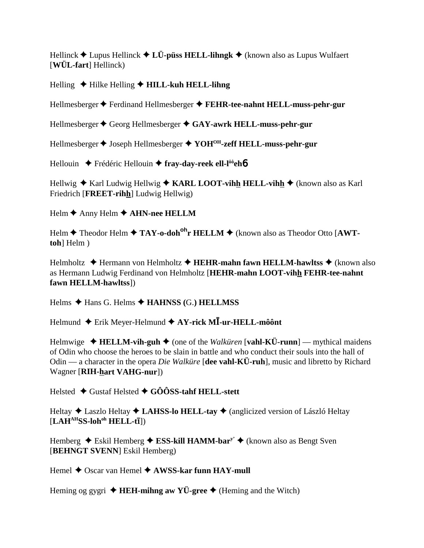Hellinck  $\triangle$  Lupus Hellinck  $\triangle$  LÜ-püss HELL-lihngk  $\triangle$  (known also as Lupus Wulfaert  $[W\ddot{U}L\text{-}fart]$  Hellinck)

### Helling  $\blacklozenge$  Hilke Helling  $\blacklozenge$  HILL-kuh HELL-lihng

Hellmesberger ♦ Ferdinand Hellmesberger ♦ FEHR-tee-nahnt HELL-muss-pehr-gur

Hellmesberger ♦ Georg Hellmesberger ♦ GAY-awrk HELL-muss-pehr-gur

Hellmesberger ♦ Joseph Hellmesberger ♦ YOH<sup>OH</sup>-zeff HELL-muss-pehr-gur

Hellouin  $\div$  Frédéric Hellouin  $\div$  fray-day-reek ell-l<sup>ôô</sup>eh**ó** 

Hellwig  $\triangle$  Karl Ludwig Hellwig  $\triangle$  KARL LOOT-vihh HELL-vihh  $\triangle$  (known also as Karl Friedrich [FREET-rihh] Ludwig Hellwig)

Helm  $\triangle$  Anny Helm  $\triangle$  AHN-nee HELLM

Helm  $\triangle$  Theodor Helm  $\triangle$  TAY-o-doh<sup>oh</sup>r HELLM  $\triangle$  (known also as Theodor Otto [AWTtoh] Helm )

Helmholtz  $\triangleleft$  Hermann von Helmholtz  $\triangleleft$  HEHR-mahn fawn HELLM-hawltss  $\triangleleft$  (known also as Hermann Ludwig Ferdinand von Helmholtz [HEHR-mahn LOOT-vihh FEHR-tee-nahnt fawn HELLM-hawltssl)

Helms  $\triangle$  Hans G. Helms  $\triangle$  HAHNSS (G.) HELLMSS

Helmund  $\triangle$  Erik Meyer-Helmund  $\triangle$  AY-rick MI-ur-HELL-môônt

Helmwige  $\triangleleft$  HELLM-vih-guh  $\triangleleft$  (one of the *Walküren* [vahl-KÜ-runn] — mythical maidens of Odin who choose the heroes to be slain in battle and who conduct their souls into the hall of Odin — a character in the opera *Die Walküre* [dee vahl-KÜ-ruh], music and libretto by Richard Wagner [RIH-hart VAHG-nur])

Helsted ◆ Gustaf Helsted ◆ GÔÔSS-tahf HELL-stett

Heltay  $\triangle$  Laszlo Heltay  $\triangle$  LAHSS-lo HELL-tay  $\triangle$  (anglicized version of László Heltay  $[LAH<sup>AH</sup>SS-loh<sup>oh</sup> HELL-t<sub>I</sub>])$ 

Hemberg  $\triangle$  Eskil Hemberg  $\triangle$  ESS-kill HAMM-bar<sup>y</sup>  $\triangle$  (known also as Bengt Sven [BEHNGT SVENN] Eskil Hemberg)

Hemel ♦ Oscar van Hemel ♦ AWSS-kar funn HAY-mull

Heming og gygri  $\triangleleft$  HEH-mihng aw YÜ-gree  $\triangleleft$  (Heming and the Witch)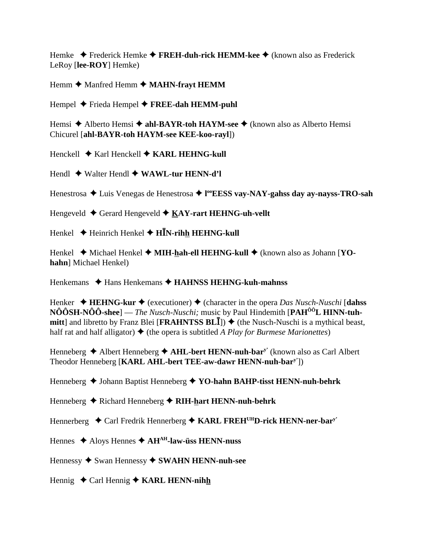Hemke  $\triangle$  Frederick Hemke  $\triangle$  FREH-duh-rick HEMM-kee  $\triangle$  (known also as Frederick LeRoy [lee-ROY] Hemke)

Hemm  $\triangle$  Manfred Hemm  $\triangle$  MAHN-frayt HEMM

Hempel  $\blacklozenge$  Frieda Hempel  $\blacklozenge$  FREE-dah HEMM-puhl

Hemsi  $\triangle$  Alberto Hemsi  $\triangle$  ahl-BAYR-toh HAYM-see  $\triangle$  (known also as Alberto Hemsi Chicurel [ahl-BAYR-toh HAYM-see KEE-koo-rayl])

Henckell ◆ Karl Henckell ◆ KARL HEHNG-kull

Hendl  $\leftrightarrow$  Walter Hendl  $\leftrightarrow$  WAWL-tur HENN-d'l

Henestrosa ◆ Luis Venegas de Henestrosa ◆ l<sup>oo</sup>EESS vay-NAY-gahss day ay-nayss-TRO-sah

Hengeveld  $\triangleleft$  Gerard Hengeveld  $\triangleleft$  KAY-rart HEHNG-uh-vellt

Henkel  $\triangle$  Heinrich Henkel  $\triangle$  H $\bar{I}$ N-rihh HEHNG-kull

Henkel  $\blacklozenge$  Michael Henkel  $\blacklozenge$  MIH-hah-ell HEHNG-kull  $\blacklozenge$  (known also as Johann [YOhahn] Michael Henkel)

Henkemans  $\triangleleft$  Hans Henkemans  $\triangleleft$  HAHNSS HEHNG-kuh-mahnss

Henker  $\triangleleft$  HEHNG-kur  $\triangleleft$  (executioner)  $\triangleleft$  (character in the opera *Das Nusch-Nuschi* [dahss  $N\hat{O} \hat{O} S H - N\hat{O} \hat{O} S$ hee] — *The Nusch-Nuschi*; music by Paul Hindemith [PAH<sup> $\hat{O} \hat{O} L$  HINN-tuh-</sup> mitt] and libretto by Franz Blei [FRAHNTSS BLI])  $\blacklozenge$  (the Nusch-Nuschi is a mythical beast, half rat and half alligator)  $\blacklozenge$  (the opera is subtitled A Play for Burmese Marionettes)

Henneberg  $\triangle$  Albert Henneberg  $\triangle$  AHL-bert HENN-nuh-bar<sup>y</sup>' (known also as Carl Albert Theodor Henneberg [KARL AHL-bert TEE-aw-dawr HENN-nuh-bar<sup>y'</sup>])

Henneberg  $\triangle$  Johann Baptist Henneberg  $\triangle$  YO-hahn BAHP-tisst HENN-nuh-behrk

Henneberg  $\triangle$  Richard Henneberg  $\triangle$  RIH-hart HENN-nuh-behrk

Hennerberg  $\triangleleft$  Carl Fredrik Hennerberg  $\triangleleft$  KARL FREH<sup>UH</sup>D-rick HENN-ner-bar<sup>y</sup>

Hennes  $\triangle$  Aloys Hennes  $\triangle$  AH<sup>AH</sup>-law-üss HENN-nuss

Hennessy  $\blacklozenge$  Swan Hennessy  $\blacklozenge$  SWAHN HENN-nuh-see

Hennig  $\triangleleft$  Carl Hennig  $\triangleleft$  KARL HENN-nihh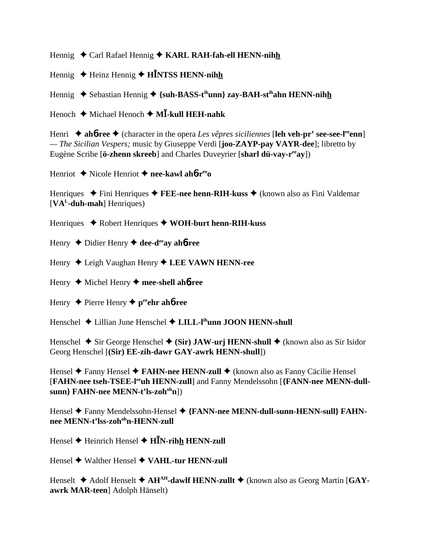Hennig ◆ Carl Rafael Hennig ◆ KARL RAH-fah-ell HENN-nihh

Hennig ◆ Heinz Hennig ◆ **HINTSS HENN-nihh** 

Hennig ◆ Sebastian Hennig ◆ {suh-BASS-t<sup>ih</sup>unn} zay-BAH-st<sup>ih</sup>ahn HENN-nih<u>h</u>

Henoch **→** Michael Henoch **→ MI-kull HEH-nahk** 

Henri ◆ ah**6-ree** ◆ (character in the opera *Les vêpres siciliennes* [leh veh-pr' see-see-l<sup>ee</sup>enn] *— The Sicilian Vespers;* music by Giuseppe Verdi [**joo-ZAYP-pay VAYR-dee**]; libretto by Eugène Scribe [**ö-zhenn skreeb**] and Charles Duveyrier [**sharl dü-vay-r<sup>ee</sup>ay**])

Henriot Nicole Henriot **nee-kawl ah**6**-reeo**

Henriques ◆ Fini Henriques ◆ **FEE-nee henn-RIH-kuss** ◆ (known also as Fini Valdemar [**VAL-duh-mah**] Henriques)

Henriques Robert Henriques **WOH-burt henn-RIH-kuss**

Henry ♦ Didier Henry ♦ dee-d<sup>ee</sup>ay ah**6-ree** 

Henry ◆ Leigh Vaughan Henry **◆ LEE VAWN HENN-ree** 

Henry Michel Henry **mee-shell ah**6**-ree**

Henry **↓** Pierre Henry ♦ peehr ah**6-ree** 

Henschel **→** Lillian June Henschel → LILL-l<sup>ih</sup>unn JOON HENN-shull

Henschel  $\blacklozenge$  Sir George Henschel  $\blacklozenge$  (Sir) JAW-urj HENN-shull  $\blacklozenge$  (known also as Sir Isidor Georg Henschel [**(Sir) EE-zih-dawr GAY-awrk HENN-shull**])

Hensel ◆ Fanny Hensel ◆ FAHN-nee HENN-zull ◆ (known also as Fanny Cäcilie Hensel [**FAHN-nee tseh-TSEE-l<sup>ee</sup>uh HENN-zull**] and Fanny Mendelssohn [**{FANN-nee MENN-dull**sunn} FAHN-nee MENN-t'ls-zoh<sup>oh</sup>n])

Hensel ◆ Fanny Mendelssohn-Hensel ◆ {FANN-nee MENN-dull-sunn-HENN-sull} FAHN**nee MENN-t'lss-zohohn-HENN-zull**

Hensel **→** Heinrich Hensel **→ HIN-rihh HENN-zull** 

Hensel ◆ Walther Hensel ◆ VAHL-tur HENN-zull

Henselt ◆ Adolf Henselt ◆ AH<sup>AH</sup>-dawlf HENN-zullt ◆ (known also as Georg Martin [GAY**awrk MAR-teen**] Adolph Hänselt)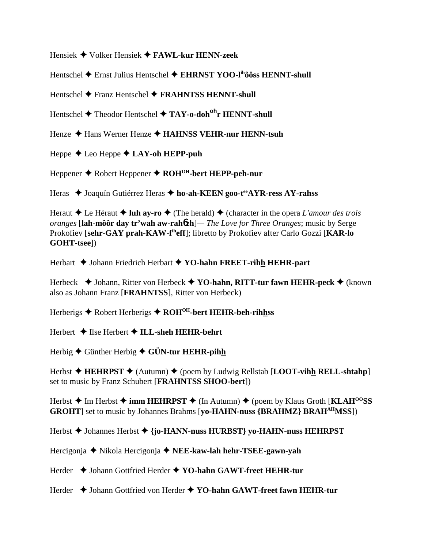Hensiek Volker Hensiek **FAWL-kur HENN-zeek**

Hentschel Ernst Julius Hentschel **EHRNST YOO-lihôôss HENNT-shull**

Hentschel **→** Franz Hentschel **→ FRAHNTSS HENNT-shull** 

Hentschel Theodor Hentschel **TAY-o-dohohr HENNT-shull**

Henze ◆ Hans Werner Henze **◆ HAHNSS VEHR-nur HENN-tsuh** 

Heppe **←** Leo Heppe **← LAY-oh HEPP-puh** 

Heppener Robert Heppener **ROHOH-bert HEPP-peh-nur**

Heras ◆ Joaquín Gutiérrez Heras ◆ ho-ah-KEEN goo-t<sup>ee</sup>AYR-ress AY-rahss

Heraut  $\triangle$  Le Héraut  $\triangle$  luh ay-ro  $\triangle$  (The herald)  $\triangle$  (character in the opera *L'amour des trois oranges* [**lah-môôr day tr'wah aw-rah**6**zh**]*— The Love for Three Oranges*; music by Serge Prokofiev [**sehr-GAY prah-KAW-fiheff**]; libretto by Prokofiev after Carlo Gozzi [**KAR-lo GOHT-tsee**])

Herbart Johann Friedrich Herbart **YO-hahn FREET-rihh HEHR-part**

Herbeck **→** Johann, Ritter von Herbeck → YO-hahn, RITT-tur fawn HEHR-peck → (known also as Johann Franz [**FRAHNTSS**], Ritter von Herbeck)

Herberigs ◆ Robert Herberigs ◆ ROH<sup>OH</sup>-bert HEHR-beh-rihhss

Herbert **→ Ilse Herbert → ILL-sheh HEHR-behrt** 

Herbig Günther Herbig **GÜN-tur HEHR-pihh**

Herbst  $\triangleleft$  **HEHRPST**  $\triangleleft$  (Autumn)  $\triangleleft$  (poem by Ludwig Rellstab [**LOOT-vihh RELL-shtahp**] set to music by Franz Schubert [**FRAHNTSS SHOO-bert**])

Herbst **→** Im Herbst **→ imm HEHRPST** → (In Autumn) → (poem by Klaus Groth [KLAH<sup>00</sup>SS] **GROHT**] set to music by Johannes Brahms [**yo-HAHN-nuss {BRAHMZ} BRAHAHMSS**])

Herbst Johannes Herbst **{jo-HANN-nuss HURBST} yo-HAHN-nuss HEHRPST**

Hercigonja Nikola Hercigonja **NEE-kaw-lah hehr-TSEE-gawn-yah**

Herder Johann Gottfried Herder **YO-hahn GAWT-freet HEHR-tur**

Herder ◆ Johann Gottfried von Herder ◆ YO-hahn GAWT-freet fawn HEHR-tur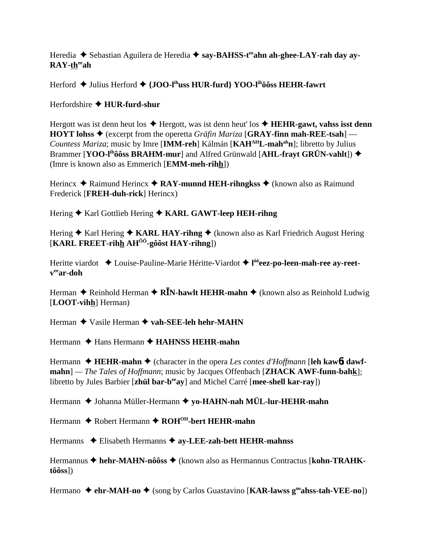Heredia ◆ Sebastian Aguilera de Heredia ◆ say-BAHSS-t<sup>ee</sup>ahn ah-ghee-LAY-rah day ay-RAY-theeah

Herford  $\triangle$  Julius Herford  $\triangle$  {JOO-I<sup>ih</sup>uss HUR-furd} YOO-I<sup>ih</sup>ôôss HEHR-fawrt

Herfordshire  $\triangle$  HUR-furd-shur

Hergott was ist denn heut los  $\triangle$  Hergott, was ist denn heut' los  $\triangle$  HEHR-gawt, vahss isst denn **HOYT** lohss  $\triangle$  (excerpt from the operetta *Gräfin Mariza* [GRAY-finn mah-REE-tsah] — *Countess Mariza*; music by Imre [IMM-reh] Kálmán [KAH<sup>AH</sup>L-mah<sup>ah</sup>n]; libretto by Julius Brammer [YOO-l<sup>ih</sup>ôôss BRAHM-mur] and Alfred Grünwald [AHL-frayt GRÜN-vahlt]) ◆ (Imre is known also as Emmerich [**EMM-meh-rihh**])

Herincx  $\triangle$  Raimund Herincx  $\triangle$  RAY-munnd HEH-rihngkss  $\triangle$  (known also as Raimund Frederick [FREH-duh-rick] Herincx)

Hering ♦ Karl Gottlieb Hering ♦ KARL GAWT-leep HEH-rihng

Hering  $\triangle$  Karl Hering  $\triangle$  KARL HAY-rihng  $\triangle$  (known also as Karl Friedrich August Hering [KARL FREET-rihh  $AH^{00}$ -gôôst HAY-rihng])

Heritte viardot ◆ Louise-Pauline-Marie Héritte-Viardot ◆ l<sup>ôô</sup>eez-po-leen-mah-ree ay-reet- $\mathbf{v}^{\text{ee}}$ ar-doh

Herman  $\triangle$  Reinhold Herman  $\triangle$  RIN-hawlt HEHR-mahn  $\triangle$  (known also as Reinhold Ludwig [LOOT-vihh] Herman)

Herman ◆ Vasile Herman ◆ vah-SEE-leh hehr-MAHN

Hermann  $\triangle$  Hans Hermann  $\triangle$  HAHNSS HEHR-mahn

Hermann  $\triangleleft$  HEHR-mahn  $\triangleleft$  (character in the opera Les contes d'Hoffmann [leh kawbt dawfmahn] — The Tales of Hoffmann; music by Jacques Offenbach [ZHACK AWF-funn-bahk]; libretto by Jules Barbier [zhül bar-b<sup>ee</sup>ay] and Michel Carré [mee-shell kar-ray])

Hermann ♦ Johanna Müller-Hermann ♦ yo-HAHN-nah MÜL-lur-HEHR-mahn

Hermann ◆ Robert Hermann ◆ ROH<sup>OH</sup>-bert HEHR-mahn

Hermanns ◆ Elisabeth Hermanns ◆ ay-LEE-zah-bett HEHR-mahnss

Hermannus ◆ hehr-MAHN-nôôss ◆ (known also as Hermannus Contractus [kohn-TRAHK $t\hat{o}\hat{o}ss$ ])

Hermano  $\triangle$  ehr-MAH-no  $\triangle$  (song by Carlos Guastavino [KAR-lawss g<sup>oo</sup>ahss-tah-VEE-no])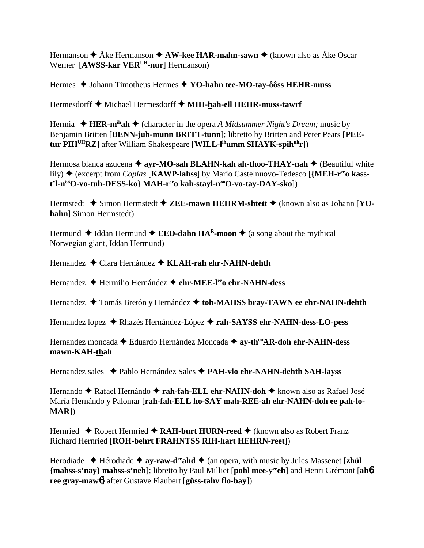Hermanson  $\triangle$  Åke Hermanson  $\triangle$  AW-kee HAR-mahn-sawn  $\triangle$  (known also as Åke Oscar Werner [AWSS-kar VER<sup>UH</sup>-nur] Hermanson)

Hermes  $\triangle$  Johann Timotheus Hermes  $\triangle$  YO-hahn tee-MO-tay-ôôss HEHR-muss

Hermesdorff ♦ Michael Hermesdorff ♦ MIH-hah-ell HEHR-muss-tawrf

Hermia  $\triangle$  HER-m<sup>ih</sup>ah  $\triangle$  (character in the opera A Midsummer Night's Dream; music by Benjamin Britten [BENN-juh-munn BRITT-tunn]; libretto by Britten and Peter Pears [PEEtur PIH<sup>UH</sup>RZ] after William Shakespeare [WILL- $I<sup>ih</sup>$ umm SHAYK-spih $<sup>uh</sup>r$ ])</sup>

Hermosa blanca azucena  $\triangleq$  avr-MO-sah BLAHN-kah ah-thoo-THAY-nah  $\triangleq$  (Beautiful white lily)  $\triangle$  (excerpt from *Coplas* [KAWP-lahss] by Mario Castelnuovo-Tedesco [{MEH- $r^{ee}$ o kasst'l-n<sup>ôô</sup>O-vo-tuh-DESS-ko} MAH-r<sup>ee</sup>o kah-stayl-n<sup>oo</sup>O-vo-tay-DAY-sko])

Hermstedt  $\triangle$  Simon Hermstedt  $\triangle$  ZEE-mawn HEHRM-shtett  $\triangle$  (known also as Johann [YOhahn] Simon Hermstedt)

Hermund  $\triangleleft$  Iddan Hermund  $\triangleleft$  EED-dahn HA<sup>R</sup>-moon  $\triangleleft$  (a song about the mythical Norwegian giant, Iddan Hermund)

Hernandez ◆ Clara Hernández ◆ KLAH-rah ehr-NAHN-dehth

Hernandez ◆ Hermilio Hernández ◆ ehr-MEE-l<sup>ee</sup>o ehr-NAHN-dess

Hernandez ◆ Tomás Bretón y Hernández ◆ toh-MAHSS bray-TAWN ee ehr-NAHN-dehth

Hernandez lopez ◆ Rhazés Hernández-López ◆ rah-SAYSS ehr-NAHN-dess-LO-pess

Hernandez moncada ◆ Eduardo Hernández Moncada ◆ ay-th<sup>oo</sup>AR-doh ehr-NAHN-dess mawn-KAH-thah

Hernandez sales ◆ Pablo Hernández Sales ◆ PAH-vlo ehr-NAHN-dehth SAH-layss

Hernando ◆ Rafael Hernándo ◆ rah-fah-ELL ehr-NAHN-doh ◆ known also as Rafael José María Hernándo y Palomar [rah-fah-ELL ho-SAY mah-REE-ah ehr-NAHN-doh ee pah-lo-**)** 

Hernried  $\triangle$  Robert Hernried  $\triangle$  RAH-burt HURN-reed  $\triangle$  (known also as Robert Franz Richard Hernried [ROH-behrt FRAHNTSS RIH-hart HEHRN-reet])

Herodiade  $\rightarrow$  Hérodiade  $\rightarrow$  ay-raw-d<sup>ee</sup> and  $\rightarrow$  (an opera, with music by Jules Massenet [zhul] {mahss-s'nay} mahss-s'neh]; libretto by Paul Milliet [pohl mee-yeeh] and Henri Grémont [ah6ree gray-maw<sub>0</sub> after Gustave Flaubert [güss-tahv flo-bay])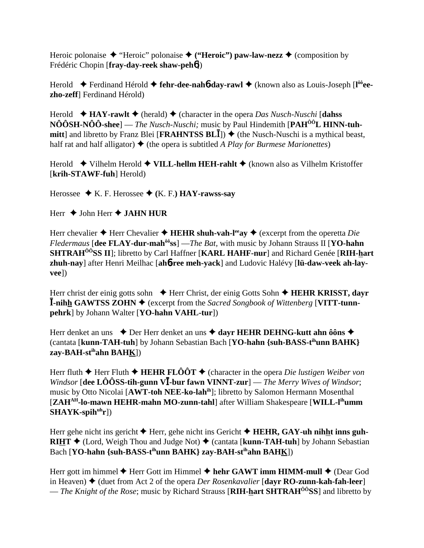Heroic polonaise  $\triangleq$  "Heroic" polonaise  $\triangleq$  ("Heroic") paw-law-nezz  $\triangleq$  (composition by Frédéric Chopin [fray-day-reek shaw-peh6])

Herold  $\blacklozenge$  Ferdinand Hérold  $\blacklozenge$  fehr-dee-naho day-rawl  $\blacklozenge$  (known also as Louis-Joseph [l<sup>oo</sup>eezho-zeff] Ferdinand Hérold)

Herold  $\bullet$  HAY-rawlt  $\bullet$  (herald)  $\bullet$  (character in the opera *Das Nusch-Nuschi* [dahss  $N\hat{O} \hat{O} S H - N\hat{O} \hat{O} S$ hee] — *The Nusch-Nuschi*; music by Paul Hindemith [PAH<sup> $\hat{O} \hat{O} L$  HINN-tuh-</sup> **mitt**] and libretto by Franz Blei [**FRAHNTSS BLI**])  $\blacklozenge$  (the Nusch-Nuschi is a mythical beast, half rat and half alligator)  $\blacklozenge$  (the opera is subtitled A Play for Burmese Marionettes)

Herold  $\blacklozenge$  Vilhelm Herold  $\blacklozenge$  VILL-hellm HEH-rahlt  $\blacklozenge$  (known also as Vilhelm Kristoffer [krih-STAWF-fuh] Herold)

Herossee  $\blacklozenge$  K. F. Herossee  $\blacklozenge$  (K. F.) **HAY-rawss-say** 

Herr  $\triangle$  John Herr  $\triangle$  JAHN HUR

Herr chevalier  $\triangle$  Herr Chevalier  $\triangle$  HEHR shuh-vah-l<sup>ee</sup>ay  $\triangle$  (excerpt from the operetta *Die Fledermaus* [dee FLAY-dur-mah<sup>ôô</sup>ss] —*The Bat*, with music by Johann Strauss II [YO-hahn] **SHTRAH<sup>ÔÔ</sup>SS II**]; libretto by Carl Haffner [KARL HAHF-nur] and Richard Genée [RIH-hart zhuh-nav] after Henri Meilhac [ahb-ree meh-vack] and Ludovic Halévy [lü-daw-veek ah-lav- $|vec\rangle$ 

Herr christ der einig gotts sohn  $\triangle$  Herr Christ, der einig Gotts Sohn  $\triangle$  HEHR KRISST, dayr **I-nihh GAWTSS ZOHN**  $\blacklozenge$  (excerpt from the *Sacred Songbook of Wittenberg* [VITT-tunnpehrk] by Johann Walter [YO-hahn VAHL-tur])

Herr denket an uns  $\bullet$  Der Herr denket an uns  $\bullet$  dayr HEHR DEHNG-kutt ahn ôôns  $\bullet$ (cantata [kunn-TAH-tuh] by Johann Sebastian Bach [YO-hahn {suh-BASS-t<sup>ih</sup>unn BAHK}  $zav-BAH-st<sup>ih</sup>ahn BAHK$ ])

Herr fluth  $\blacklozenge$  Herr Fluth  $\blacklozenge$  HEHR FLOOT  $\blacklozenge$  (character in the opera *Die lustigen Weiber von* Windsor [dee  $\hat{LO}$ OSS-tih-gunn VI-bur fawn VINNT-zur] — The Merry Wives of Windsor; music by Otto Nicolai [AWT-toh NEE-ko-lah<sup>ih</sup>]; libretto by Salomon Hermann Mosenthal [ZAH<sup>AH</sup>-lo-mawn HEHR-mahn MO-zunn-tahl] after William Shakespeare [WILL-l<sup>ih</sup>umm]  $SHAYK$ -spih $<sup>uh</sup>r$ ])</sup>

Herr gehe nicht ins gericht  $\blacklozenge$  Herr, gehe nicht ins Gericht  $\blacklozenge$  HEHR, GAY-uh nihht inns guh-**RIHT**  $\blacklozenge$  (Lord, Weigh Thou and Judge Not)  $\blacklozenge$  (cantata [kunn-TAH-tuh] by Johann Sebastian Bach [YO-hahn {suh-BASS-t<sup>ih</sup>unn BAHK} zay-BAH-st<sup>ih</sup>ahn BAHK])

Herr gott im himmel  $\blacklozenge$  Herr Gott im Himmel  $\blacklozenge$  hehr GAWT imm HIMM-mull  $\blacklozenge$  (Dear God in Heaven)  $\blacklozenge$  (duet from Act 2 of the opera *Der Rosenkavalier* [dayr **RO-zunn-kah-fah-leer**] — *The Knight of the Rose*; music by Richard Strauss [**RIH-hart SHTRAH<sup>** $\hat{o}$ **</sup>SS**] and libretto by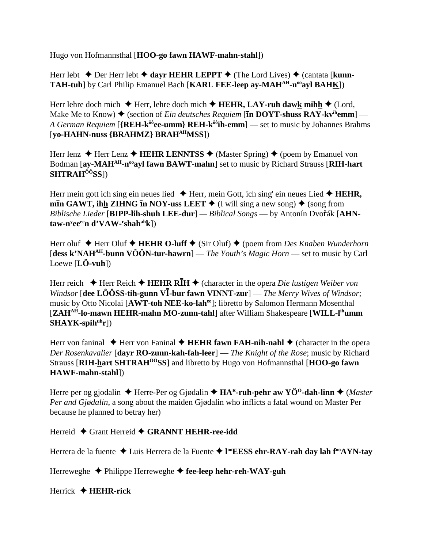Hugo von Hofmannsthal [**HOO-go fawn HAWF-mahn-stahl**])

Herr lebt  $\triangle$  Der Herr lebt  $\triangle$  dayr HEHR LEPPT  $\triangle$  (The Lord Lives)  $\triangle$  (cantata [**kunn**-**TAH-tuh**] by Carl Philip Emanuel Bach [KARL FEE-leep ay-MAH<sup>AH</sup>-n<sup>oo</sup>ayl BAHK])

Herr lehre doch mich  $\blacklozenge$  Herr, lehre doch mich  $\blacklozenge$  **HEHR, LAY-ruh daw<u>k</u>** mihh  $\blacklozenge$  (Lord, Make Me to Know)  $\triangleq$  (section of *Ein deutsches Requiem* [**In DOYT-shuss RAY-kv<sup>ih</sup>emm**] — *A German Requiem* [{REH-k<sup>ôô</sup>ee-umm} REH-k<sup>ôô</sup>ih-emm] — set to music by Johannes Brahms [**yo-HAHN-nuss {BRAHMZ} BRAHAHMSS**])

Herr lenz  $\triangle$  Herr Lenz  $\triangle$  **HEHR LENNTSS**  $\triangle$  (Master Spring)  $\triangle$  (poem by Emanuel von Bodman [ay-MAH<sup>AH</sup>-n<sup>oo</sup>ayl fawn BAWT-mahn] set to music by Richard Strauss [RIH-hart **SHTRAHÔÔSS**])

Herr mein gott ich sing ein neues lied  $\blacklozenge$  Herr, mein Gott, ich sing' ein neues Lied  $\blacklozenge$  **HEHR**,  $\min$  GAWT, ihh ZIHNG **In NOY-uss LEET**  $\blacklozenge$  (I will sing a new song)  $\blacklozenge$  (song from *Biblische Lieder* [**BIPP-lih-shuh LEE-dur**] — *Biblical Songs* — by Antonín Dvořák [AHN- ${\bf t}$ aw-n<sup>y</sup>ee<sup>ee</sup>n d'VAW-<sup>r</sup>shah<sup>ah</sup>k])

Herr oluf ◆ Herr Oluf ◆ **HEHR O-luff** ◆ (Sir Oluf) ◆ (poem from *Des Knaben Wunderhorn* [**dess k'NAHAH-bunn VÔÔN-tur-hawrn**] — *The Youth's Magic Horn* — set to music by Carl Loewe [**LÖ-vuh**])

Herr reich  $\blacklozenge$  Herr Reich  $\blacklozenge$  **HEHR RI**  $\blacklozenge$  (character in the opera *Die lustigen Weiber von Windsor* [dee LÔÔSS-tih-gunn VI-bur fawn VINNT-zur] — *The Merry Wives of Windsor*; music by Otto Nicolai [**AWT-toh NEE-ko-lahee**]; libretto by Salomon Hermann Mosenthal [**ZAHAH-lo-mawn HEHR-mahn MO-zunn-tahl**] after William Shakespeare [**WILL-lihumm** SHAYK-spih<sup>uh</sup>r])

Herr von faninal  $\blacklozenge$  Herr von Faninal  $\blacklozenge$  **HEHR fawn FAH-nih-nahl**  $\blacklozenge$  (character in the opera *Der Rosenkavalier* [**dayr RO-zunn-kah-fah-leer**] — *The Knight of the Rose*; music by Richard Strauss [**RIH-hart SHTRAHÔÔSS**] and libretto by Hugo von Hofmannsthal [**HOO-go fawn HAWF-mahn-stahl**])

Herre per og gjodalin ◆ Herre-Per og Gjødalin ◆ HA<sup>R</sup>-ruh-pehr aw YÖ<sup>ö</sup>-dah-linn ◆ (*Master Per and Gjødalin*, a song about the maiden Gjødalin who inflicts a fatal wound on Master Per because he planned to betray her)

Herreid ◆ Grant Herreid ◆ GRANNT HEHR-ree-idd

Herrera de la fuente Luis Herrera de la Fuente **l ooEESS ehr-RAY-rah day lah fooAYN-tay**

Herreweghe Philippe Herreweghe **fee-leep hehr-reh-WAY-guh**

Herrick **HEHR-rick**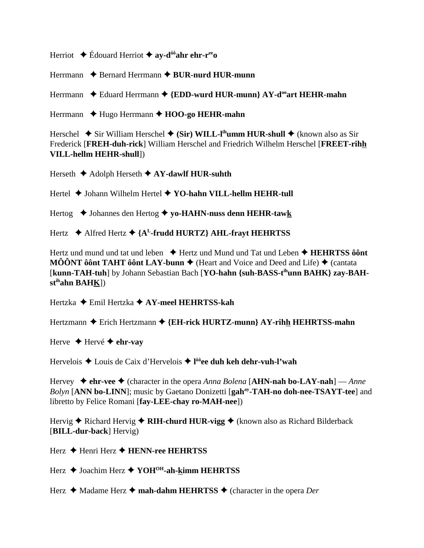Herriot  $\triangle$  Édouard Herriot  $\triangle$  av-d<sup>ôô</sup>ahr ehr-r<sup>ee</sup>o

Herrmann  $\rightarrow$  Bernard Herrmann  $\rightarrow$  BUR-nurd HUR-munn

Herrmann  $\bullet$  Eduard Herrmann  $\bullet$  {EDD-wurd HUR-munn} AY-d<sup>oo</sup>art HEHR-mahn

Herrmann  $\triangle$  Hugo Herrmann  $\triangle$  HOO-go HEHR-mahn

Herschel  $\blacklozenge$  Sir William Herschel  $\blacklozenge$  (Sir) WILL-l<sup>ih</sup>umm HUR-shull  $\blacklozenge$  (known also as Sir Frederick [FREH-duh-rick] William Herschel and Friedrich Wilhelm Herschel [FREET-rihh **VILL-hellm HEHR-shull])** 

Herseth  $\triangle$  Adolph Herseth  $\triangle$  AY-dawlf HUR-suhth

Hertel  $\blacklozenge$  Johann Wilhelm Hertel  $\blacklozenge$  YO-hahn VILL-hellm HEHR-tull

Hertog ◆ Johannes den Hertog ◆ yo-HAHN-nuss denn HEHR-tawk

Hertz  $\leftrightarrow$  Alfred Hertz  $\leftrightarrow$  {A<sup>L</sup>-frudd HURTZ} AHL-fravt HEHRTSS

Hertz und mund und tat und leben  $\rightarrow$  Hertz und Mund und Tat und Leben  $\rightarrow$  **HEHRTSS** ô ont **MÔÔNT ôônt TAHT ôônt LAY-bunn**  $\blacklozenge$  (Heart and Voice and Deed and Life)  $\blacklozenge$  (cantata [kunn-TAH-tuh] by Johann Sebastian Bach [YO-hahn {suh-BASS-t<sup>ih</sup>unn BAHK} zay-BAH $st<sup>ih</sup>ahn BAHK<sub>l</sub>$ )

Hertzka  $\triangle$  Emil Hertzka  $\triangle$  AY-meel HEHRTSS-kah

Hertzmann  $\triangle$  Erich Hertzmann  $\triangle$  {EH-rick HURTZ-munn} AY-rihh HEHRTSS-mahn

Herve  $\triangle$  Hervé  $\triangle$  ehr-vay

Hervelois  $\triangle$  Louis de Caix d'Hervelois  $\triangle$  l<sup>ôô</sup>ee duh keh dehr-vuh-l'wah

Hervey  $\triangleq$  ehr-vee  $\triangleq$  (character in the opera Anna Bolena [AHN-nah bo-LAY-nah] — Anne Bolyn [ANN bo-LINN]; music by Gaetano Donizetti [gah<sup>ay</sup>-TAH-no doh-nee-TSAYT-tee] and libretto by Felice Romani [fay-LEE-chay ro-MAH-nee])

Hervig  $\triangle$  Richard Hervig  $\triangle$  RIH-churd HUR-vigg  $\triangle$  (known also as Richard Bilderback [BILL-dur-back] Hervig)

Herz  $\triangle$  Henri Herz  $\triangle$  HENN-ree HEHRTSS

Herz  $\triangle$  Joachim Herz  $\triangle$  YOH<sup>OH</sup>-ah-kimm HEHRTSS

Herz  $\triangleleft$  Madame Herz  $\triangleleft$  mah-dahm HEHRTSS  $\triangleleft$  (character in the opera Der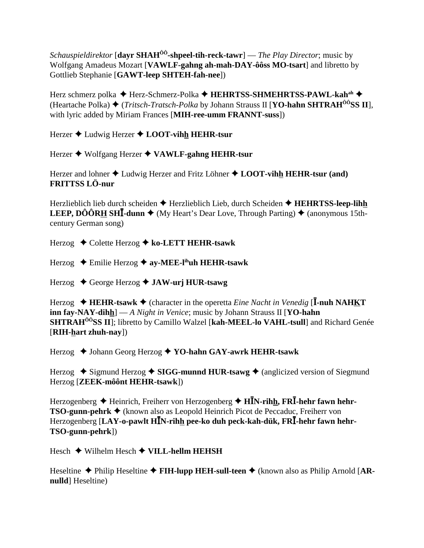*Schauspieldirektor* [dayr SHAH<sup> $\hat{0}$ <sup>0</sup>-shpeel-tih-reck-tawr] — *The Play Director*; music by</sup> Wolfgang Amadeus Mozart [VAWLF-gahng ah-mah-DAY-ôôss MO-tsart] and libretto by Gottlieb Stephanie [GAWT-leep SHTEH-fah-nee])

Herz schmerz polka ◆ Herz-Schmerz-Polka ◆ HEHRTSS-SHMEHRTSS-PAWL-kah<sup>ah</sup> ◆ (Heartache Polka)  $\triangleq$  (*Tritsch-Tratsch-Polka* by Johann Strauss II [**YO-hahn SHTRAH**<sup>ôô</sup>**SS II**], with lyric added by Miriam Frances [MIH-ree-umm FRANNT-suss])

Herzer ♦ Ludwig Herzer ♦ LOOT-vihh HEHR-tsur

Herzer ♦ Wolfgang Herzer ♦ VAWLF-gahng HEHR-tsur

Herzer and lohner  $\triangle$  Ludwig Herzer and Fritz Löhner  $\triangle$  LOOT-vihh HEHR-tsur (and) **FRITTSS LÖ-nur** 

Herzlieblich lieb durch scheiden  $\triangle$  Herzlieblich Lieb, durch Scheiden  $\triangle$  HEHRTSS-leep-lihh **LEEP, DÔÔRH SHI-dunn**  $\blacklozenge$  (My Heart's Dear Love, Through Parting)  $\blacklozenge$  (anonymous 15thcentury German song)

Herzog  $\triangle$  Colette Herzog  $\triangle$  ko-LETT HEHR-tsawk

Herzog  $\triangle$  Emilie Herzog  $\triangle$  ay-MEE-l<sup>in</sup>uh HEHR-tsawk

Herzog  $\triangle$  George Herzog  $\triangle$  JAW-urj HUR-tsawg

Herzog  $\triangleleft$  HEHR-tsawk  $\triangleleft$  (character in the operetta *Eine Nacht in Venedig* [I-nuh NAHKT] **inn fay-NAY-dihh** $]-A$  *Night in Venice*; music by Johann Strauss II [YO-hahn] **SHTRAH<sup>ôô</sup>SS II**: libretto by Camillo Walzel [kah-MEEL-lo VAHL-tsull] and Richard Genée [RIH-hart zhuh-nav])

Herzog ◆ Johann Georg Herzog ◆ YO-hahn GAY-awrk HEHR-tsawk

Herzog  $\triangle$  Sigmund Herzog  $\triangle$  SIGG-munnd HUR-tsawg  $\triangle$  (anglicized version of Siegmund Herzog [ZEEK-môônt HEHR-tsawk])

Herzogenberg  $\triangle$  Heinrich, Freiherr von Herzogenberg  $\triangle$  H**IN-rihh, FRI-hehr fawn hehr-TSO-gunn-pehrk ♦** (known also as Leopold Heinrich Picot de Peccaduc, Freiherr von Herzogenberg [LAY-o-pawlt HIN-rihh pee-ko duh peck-kah-dük, FRI-hehr fawn hehr-TSO-gunn-pehrk])

Hesch  $\blacklozenge$  Wilhelm Hesch  $\blacklozenge$  VILL-hellm HEHSH

Heseltine  $\triangle$  Philip Heseltine  $\triangle$  FIH-lupp HEH-sull-teen  $\triangle$  (known also as Philip Arnold [ARnulld] Heseltine)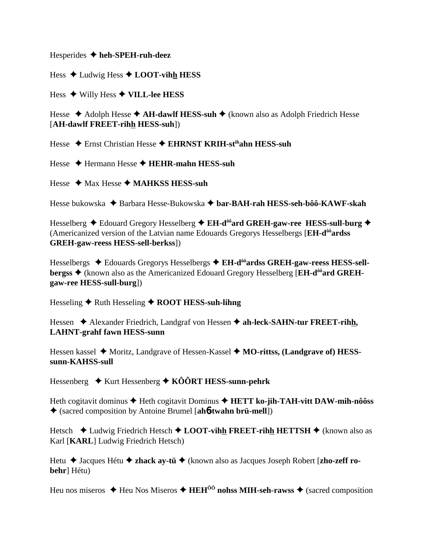Hesperides  $\triangleleft$  heh-SPEH-ruh-deez

Hess  $\triangle$  Ludwig Hess  $\triangle$  LOOT-vihh HESS

Hess  $\blacklozenge$  Willy Hess  $\blacklozenge$  VILL-lee HESS

Hesse  $\triangle$  Adolph Hesse  $\triangle$  AH-dawlf HESS-suh  $\triangle$  (known also as Adolph Friedrich Hesse [AH-dawlf FREET-rihh HESS-suh])

Hesse  $\div$  Ernst Christian Hesse  $\div$  EHRNST KRIH-st<sup>ih</sup>ahn HESS-suh

Hesse  $\triangle$  Hermann Hesse  $\triangle$  HEHR-mahn HESS-suh

Hesse  $\triangleleft$  Max Hesse  $\triangleleft$  MAHKSS HESS-suh

Hesse bukowska ◆ Barbara Hesse-Bukowska ◆ bar-BAH-rah HESS-seh-bôô-KAWF-skah

Hesselberg ◆ Edouard Gregory Hesselberg ◆ EH-d<sup>ôô</sup>ard GREH-gaw-ree HESS-sull-burg ◆ (Americanized version of the Latvian name Edouards Gregorys Hesselbergs [EH-d<sup>ôô</sup>ardss] **GREH-gaw-reess HESS-sell-berkss**])

Hesselbergs  $\triangleleft$  Edouards Gregorys Hesselbergs  $\triangleleft$  EH-d<sup> $\frac{1}{100}$ </sup> ards GREH-gaw-reess HESS-sellbergss ◆ (known also as the Americanized Edouard Gregory Hesselberg [EH-d<sup>ôô</sup>ard GREHgaw-ree HESS-sull-burg])

Hesseling  $\bigstar$  Ruth Hesseling  $\bigstar$  ROOT HESS-suh-lihng

Hessen  $\triangle$  Alexander Friedrich, Landgraf von Hessen  $\triangle$  ah-leck-SAHN-tur FREET-rihh, **LAHNT-grahf fawn HESS-sunn** 

Hessen kassel ◆ Moritz, Landgrave of Hessen-Kassel ◆ MO-rittss, (Landgrave of) HESSsunn-KAHSS-sull

Hessenberg  $\rightarrow$  Kurt Hessenberg  $\rightarrow$  KÔÔRT HESS-sunn-pehrk

Heth cogitavit dominus  $\blacklozenge$  Heth cogitavit Dominus  $\blacklozenge$  HETT ko-jih-TAH-vitt DAW-mih-nôôss  $\triangle$  (sacred composition by Antoine Brumel [ah**o-twahn brü-mell**])

Hetsch  $\triangle$  Ludwig Friedrich Hetsch  $\triangle$  LOOT-vihh FREET-rihh HETTSH  $\triangle$  (known also as Karl [KARL] Ludwig Friedrich Hetsch)

Hetu  $\triangle$  Jacques Hétu  $\triangle$  zhack ay-tü  $\triangle$  (known also as Jacques Joseph Robert [zho-zeff robehr] Hétu)

Heu nos miseros  $\triangle$  Heu Nos Miseros  $\triangle$  HEH<sup> $\hat{0}$ </sup> nohss MIH-seh-rawss  $\triangle$  (sacred composition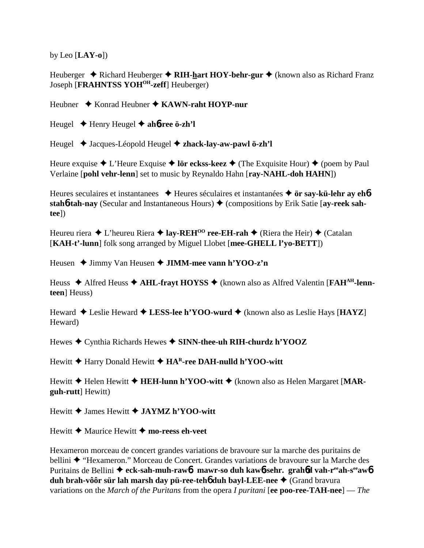by Leo [**LAY-o**])

Heuberger **→** Richard Heuberger **→ RIH-hart HOY-behr-gur →** (known also as Richard Franz Joseph [**FRAHNTSS YOHOH-zeff**] Heuberger)

Heubner ◆ Konrad Heubner ◆ KAWN-raht HOYP-nur

Heugel Henry Heugel **ah**6**-ree ö-zh'l**

Heugel Jacques-Léopold Heugel **zhack-lay-aw-pawl ö-zh'l**

Heure exquise  $\triangle$  L'Heure Exquise  $\triangle$  lör eckss-keez  $\triangle$  (The Exquisite Hour)  $\triangle$  (poem by Paul Verlaine [**pohl vehr-lenn**] set to music by Reynaldo Hahn [**ray-NAHL-doh HAHN**])

Heures seculaires et instantanees **→** Heures séculaires et instantanées → ör say-kü-lehr ay eh**6** stah**6-tah-nay** (Secular and Instantaneous Hours) ♦ (compositions by Erik Satie [ay-reek sah**tee**])

Heureu riera  $\triangle$  L'heureu Riera  $\triangle$  **lay-REH<sup>00</sup> ree-EH-rah**  $\triangle$  (Riera the Heir)  $\triangle$  (Catalan [**KAH-t'-lunn**] folk song arranged by Miguel Llobet [**mee-GHELL l'yo-BETT**])

Heusen **→ Jimmy Van Heusen → JIMM-mee vann h'YOO-z'n** 

Heuss ◆ Alfred Heuss ◆ **AHL-frayt HOYSS** ◆ (known also as Alfred Valentin [**FAH<sup>AH</sup>-lennteen**] Heuss)

Heward Leslie Heward **LESS-lee h'YOO-wurd** (known also as Leslie Hays [**HAYZ**] Heward)

Hewes Cynthia Richards Hewes **SINN-thee-uh RIH-churdz h'YOOZ**

Hewitt **→** Harry Donald Hewitt **→ HA<sup>R</sup>-ree DAH-nulld h'YOO-witt** 

Hewitt **→** Helen Hewitt **→ HEH-lunn h'YOO-witt** → (known also as Helen Margaret [MAR**guh-rutt**] Hewitt)

Hewitt James Hewitt **JAYMZ h'YOO-witt**

Hewitt  $\triangle$  Maurice Hewitt  $\triangle$  mo-reess eh-veet

Hexameron morceau de concert grandes variations de bravoure sur la marche des puritains de bellini ◆ "Hexameron." Morceau de Concert. Grandes variations de bravoure sur la Marche des Puritains de Bellini ◆ eck-sah-muh-raw<sub>0</sub><sup>*t*</sup>. mawr-so duh kaw<sub>0</sub>-sehr. grah<sub>6</sub><sup>d</sup> vah-r<sup>ee</sup>ah-s<sup>ee</sup>aw<sub>0</sub><sup>*t*</sup> **duh brah-vôôr sür lah marsh day pü-ree-teh6 duh bayl-LEE-nee ♦ (Grand bravura**) variations on the *March of the Puritans* from the opera *I puritani* [**ee poo-ree-TAH-nee**] — *The*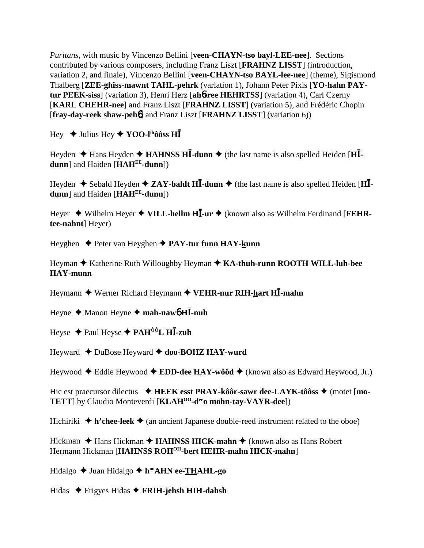Puritans, with music by Vincenzo Bellini [veen-CHAYN-tso bayl-LEE-nee]. Sections contributed by various composers, including Franz Liszt [FRAHNZ LISST] (introduction, variation 2, and finale), Vincenzo Bellini [veen-CHAYN-tso BAYL-lee-nee] (theme), Sigismond Thalberg [ZEE-ghiss-mawnt TAHL-pehrk (variation 1), Johann Peter Pixis [YO-hahn PAYtur PEEK-siss] (variation 3), Henri Herz [ah6-ree HEHRTSS] (variation 4), Carl Czerny [KARL CHEHR-nee] and Franz Liszt [FRAHNZ LISST] (variation 5), and Frédéric Chopin [fray-day-reek shaw-peh6] and Franz Liszt [FRAHNZ LISST] (variation 6))

Hey  $\div$  Julius Hey  $\div$  YOO-l<sup>th</sup>ôôss HI

Heyden  $\triangle$  Hans Heyden  $\triangle$  HAHNSS HI-dunn  $\triangle$  (the last name is also spelled Heiden [HI $dunn$ ] and Haiden [ $HAH<sup>EE</sup>$ -dunn])

Heyden  $\triangle$  Sebald Heyden  $\triangle$  ZAY-bahlt HI-dunn  $\triangle$  (the last name is also spelled Heiden [HIdunn] and Haiden [HAHEE-dunn])

Hever  $\triangle$  Wilhelm Hever  $\triangle$  VILL-hellm HI-ur  $\triangle$  (known also as Wilhelm Ferdinand [FEHRtee-nahnt] Heyer)

Heyghen  $\triangle$  Peter van Heyghen  $\triangle$  PAY-tur funn HAY-kunn

Heyman ◆ Katherine Ruth Willoughby Heyman ◆ KA-thuh-runn ROOTH WILL-luh-bee **HAY-munn** 

Heymann  $\blacklozenge$  Werner Richard Heymann  $\blacklozenge$  VEHR-nur RIH-hart HI-mahn

Heyne  $\triangle$  Manon Heyne  $\triangle$  mah-naw bHI-nuh

Heyse  $\triangle$  Paul Heyse  $\triangle$  PAH<sup> $\hat{0}$ OL H**I**-zuh</sup>

Heyward  $\triangle$  DuBose Heyward  $\triangle$  doo-BOHZ HAY-wurd

Heywood  $\triangle$  Eddie Heywood  $\triangle$  EDD-dee HAY-wôôd  $\triangle$  (known also as Edward Heywood, Jr.)

Hic est praecursor dilectus  $\triangle$  HEEK esst PRAY-kôôr-sawr dee-LAYK-tôôss  $\triangle$  (motet [mo-TETT] by Claudio Monteverdi [KLAH<sup>00</sup>-d<sup>ee</sup>o mohn-tay-VAYR-dee])

Hichiriki  $\triangle$  h'chee-leek  $\triangle$  (an ancient Japanese double-reed instrument related to the oboe)

Hickman  $\triangle$  Hans Hickman  $\triangle$  HAHNSS HICK-mahn  $\triangle$  (known also as Hans Robert Hermann Hickman [HAHNSS ROH<sup>OH</sup>-bert HEHR-mahn HICK-mahn]

Hidalgo  $\triangleq$  Juan Hidalgo  $\triangleq$  h<sup>oo</sup>AHN ee-THAHL-go

Hidas  $\triangle$  Frigyes Hidas  $\triangle$  FRIH-jehsh HIH-dahsh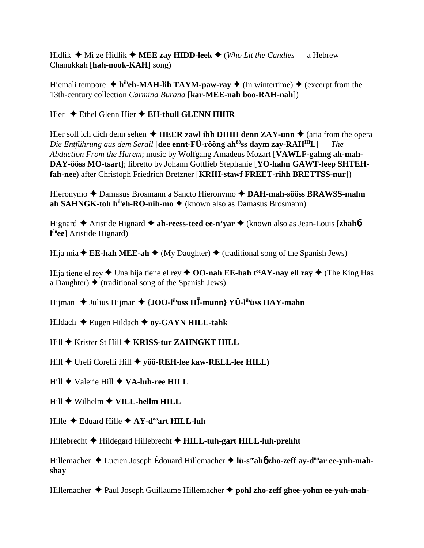Hidlik  $\blacklozenge$  Mi ze Hidlik  $\blacklozenge$  MEE zay HIDD-leek  $\blacklozenge$  (Who Lit the Candles — a Hebrew Chanukkah [hah-nook-KAH] song)

Hiemali tempore  $\triangleq$  h<sup>ih</sup>eh-MAH-lih TAYM-paw-ray  $\triangleq$  (In wintertime)  $\triangleq$  (excerpt from the 13th-century collection *Carmina Burana* [kar-MEE-nah boo-RAH-nah])

Hier  $\triangle$  Ethel Glenn Hier  $\triangle$  EH-thull GLENN HIHR

Hier soll ich dich denn sehen  $\triangle$  HEER zawl ihh DIHH denn ZAY-unn  $\triangle$  (aria from the opera Die Entführung aus dem Serail [dee ennt-FÜ-rôông ah $^{66}$ ss daym zay-RAH $^{IH}L$ ] — The Abduction From the Harem; music by Wolfgang Amadeus Mozart [VAWLF-gahng ah-mah-DAY-ôôss MO-tsart]; libretto by Johann Gottlieb Stephanie [YO-hahn GAWT-leep SHTEHfah-nee) after Christoph Friedrich Bretzner [KRIH-stawf FREET-rihh BRETTSS-nur])

Hieronymo ◆ Damasus Brosmann a Sancto Hieronymo ◆ DAH-mah-sôôss BRAWSS-mahn ah SAHNGK-toh h<sup>ih</sup>eh-RO-nih-mo  $\blacklozenge$  (known also as Damasus Brosmann)

Hignard  $\triangle$  Aristide Hignard  $\triangle$  ah-reess-teed ee-n'yar  $\triangle$  (known also as Jean-Louis [zhah6- $1^{66}$ ee] Aristide Hignard)

Hija mia  $\triangle$  **EE-hah MEE-ah**  $\triangle$  (My Daughter)  $\triangle$  (traditional song of the Spanish Jews)

Hija tiene el rey  $\triangle$  Una hija tiene el rey  $\triangle$  OO-nah EE-hah t<sup>ee</sup> AY-nay ell ray  $\triangle$  (The King Has a Daughter)  $\blacklozenge$  (traditional song of the Spanish Jews)

Hijman  $\triangle$  Julius Hijman  $\triangle$  {JOO-I<sup>ih</sup>uss HII-munn} YÜ-I<sup>ih</sup>üss HAY-mahn

Hildach  $\blacklozenge$  Eugen Hildach  $\blacklozenge$  oy-GAYN HILL-tahk

Hill ◆ Krister St Hill ◆ KRISS-tur ZAHNGKT HILL

Hill  $\blacklozenge$  Ureli Corelli Hill  $\blacklozenge$  yôô-REH-lee kaw-RELL-lee HILL)

Hill  $\blacklozenge$  Valerie Hill  $\blacklozenge$  VA-luh-ree HILL

 $Hill$   $\blacklozenge$  Wilhelm  $\blacklozenge$  VILL-hellm HILL

Hille  $\triangle$  Eduard Hille  $\triangle$  AY-d<sup>oo</sup>art HILL-luh

Hillebrecht  $\blacklozenge$  Hildegard Hillebrecht  $\blacklozenge$  HILL-tuh-gart HILL-luh-prehht

Hillemacher  $\triangle$  Lucien Joseph Édouard Hillemacher  $\triangle$  lü-s<sup>ee</sup>aho zho-zeff av-d<sup>ôô</sup>ar ee-vuh-mahshav

Hillemacher  $\triangle$  Paul Joseph Guillaume Hillemacher  $\triangle$  pohl zho-zeff ghee-yohm ee-yuh-mah-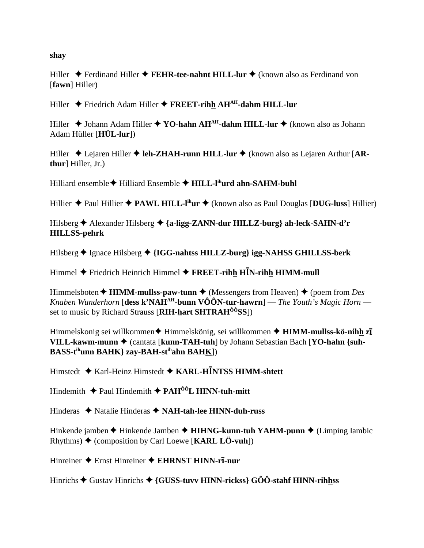shav

Hiller  $\triangle$  Ferdinand Hiller  $\triangle$  FEHR-tee-nahnt HILL-lur  $\triangle$  (known also as Ferdinand von [fawn] Hiller)

Hiller  $\blacklozenge$  Friedrich Adam Hiller  $\blacklozenge$  FREET-rihh AH<sup>AH</sup>-dahm HILL-lur

Hiller  $\triangle$  Johann Adam Hiller  $\triangle$  YO-hahn AH<sup>AH</sup>-dahm HILL-lur  $\triangle$  (known also as Johann Adam Hüller  $[H\ddot{U}L-lur]$ 

Hiller  $\triangle$  Lejaren Hiller  $\triangle$  leh-ZHAH-runn HILL-lur  $\triangle$  (known also as Lejaren Arthur [ARthur Hiller, Jr.)

Hilliard ensemble  $\blacklozenge$  Hilliard Ensemble  $\blacklozenge$  HILL-l<sup>ih</sup>urd ahn-SAHM-buhl

Hillier  $\triangle$  Paul Hillier  $\triangle$  PAWL HILL-I<sup>ih</sup>ur  $\triangle$  (known also as Paul Douglas [DUG-luss] Hillier)

Hilsberg ← Alexander Hilsberg ← {a-ligg-ZANN-dur HILLZ-burg} ah-leck-SAHN-d'r **HILLSS-pehrk** 

Hilsberg  $\triangle$  Ignace Hilsberg  $\triangle$  {IGG-nahtss HILLZ-burg} igg-NAHSS GHILLSS-berk

Himmel  $\blacklozenge$  Friedrich Heinrich Himmel  $\blacklozenge$  FREET-rihh HIN-rihh HIMM-mull

Himmelsboten  $\triangle$  HIMM-mullss-paw-tunn  $\triangle$  (Messengers from Heaven)  $\triangle$  (poem from Des Knaben Wunderhorn [dess k'NAH<sup>AH</sup>-bunn VÔÔN-tur-hawrn] — The Youth's Magic Horn set to music by Richard Strauss [RIH-hart SHTRAH<sup>00</sup>SS])

Himmelskonig sei willkommen  $\bigstar$  Himmelskönig, sei willkommen  $\bigstar$  HIMM-mullss-kö-nihh zī VILL-kawm-munn ♦ (cantata [kunn-TAH-tuh] by Johann Sebastian Bach [YO-hahn {suh-**BASS-tihunn BAHK**} zay-BAH-stihahn BAHK])

Himstedt ♦ Karl-Heinz Himstedt ♦ KARL-HINTSS HIMM-shtett

Hindemith  $\triangleq$  Paul Hindemith  $\triangleq$  PAH<sup> $\hat{0}$ °C HINN-tuh-mitt</sup>

Hinderas  $\triangleleft$  Natalie Hinderas  $\triangleleft$  NAH-tah-lee HINN-duh-russ

Hinkende jamben  $\blacklozenge$  Hinkende Jamben  $\blacklozenge$  HIHNG-kunn-tuh YAHM-punn  $\blacklozenge$  (Limping Iambic Rhythms)  $\blacklozenge$  (composition by Carl Loewe [KARL LÖ-vuh])

Hinreiner  $\triangle$  Ernst Hinreiner  $\triangle$  EHRNST HINN-rī-nur

Hinrichs  $\blacklozenge$  Gustav Hinrichs  $\blacklozenge$  {GUSS-tuvv HINN-rickss} GÔÔ-stahf HINN-rihhss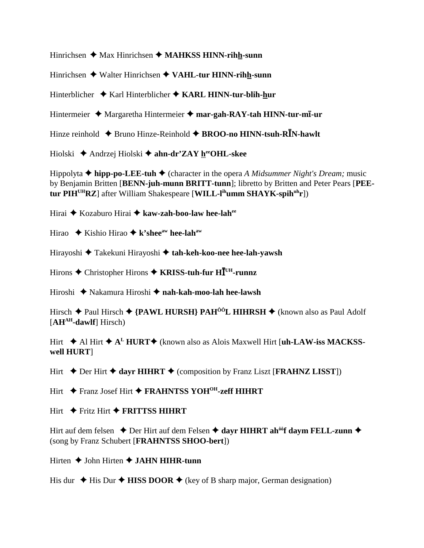Hinrichsen ◆ Max Hinrichsen ◆ MAHKSS HINN-rihh-sunn

Hinrichsen  $\triangle$  Walter Hinrichsen  $\triangle$  VAHL-tur HINN-rihh-sunn

Hinterblicher Karl Hinterblicher **KARL HINN-tur-blih-hur**

Hintermeier  $\triangle$  Margaretha Hintermeier  $\triangle$  mar-gah-RAY-tah HINN-tur-m**i**-ur

Hinze reinhold **◆ Bruno Hinze-Reinhold ◆ BROO-no HINN-tsuh-RIN-hawlt** 

Hiolski Andrzej Hiolski **ahn-dr'ZAY heeOHL-skee**

Hippolyta **hipp-po-LEE-tuh** (character in the opera *A Midsummer Night's Dream;* music by Benjamin Britten [**BENN-juh-munn BRITT-tunn**]; libretto by Britten and Peter Pears [**PEEtur PIHUHRZ**] after William Shakespeare [**WILL-lihumm SHAYK-spihuhr**])

Hirai Kozaburo Hirai **kaw-zah-boo-law hee-lahee**

Hirao **→** Kishio Hirao **→ k'shee**<sup>aw</sup> hee-lah<sup>aw</sup>

Hirayoshi Takekuni Hirayoshi **tah-keh-koo-nee hee-lah-yawsh**

Hirons ◆ Christopher Hirons ◆ KRISS-tuh-fur HI<sup>UH</sup>-runnz

Hiroshi Nakamura Hiroshi **nah-kah-moo-lah hee-lawsh**

Hirsch  $\triangle$  Paul Hirsch  $\triangle$  {PAWL HURSH} PAH<sup>ôô</sup>L HIHRSH  $\triangle$  (known also as Paul Adolf [**AHAH-dawlf**] Hirsch)

Hirt **→** Al Hirt **→ A<sup>L</sup> HURT→** (known also as Alois Maxwell Hirt [**uh-LAW-iss MACKSSwell HURT**]

Hirt  $\triangle$  Der Hirt  $\triangle$  dayr **HIHRT**  $\triangle$  (composition by Franz Liszt [**FRAHNZ LISST**])

Hirt **←** Franz Josef Hirt ← FRAHNTSS YOH<sup>OH</sup>-zeff HIHRT

Hirt  $\rightarrow$  Fritz Hirt  $\rightarrow$  **FRITTSS HIHRT** 

Hirt auf dem felsen  $\triangle$  Der Hirt auf dem Felsen  $\triangle$  dayr HIHRT ah<sup>ôô</sup>f daym FELL-zunn  $\triangle$ (song by Franz Schubert [**FRAHNTSS SHOO-bert**])

Hirten  $\triangle$  John Hirten  $\triangle$  **JAHN HIHR-tunn** 

His dur  $\triangle$  His Dur  $\triangle$  **HISS DOOR**  $\triangle$  (key of B sharp major, German designation)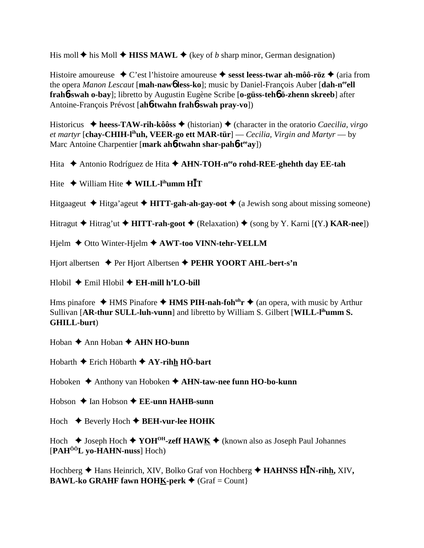His moll  $\blacklozenge$  his Moll  $\blacklozenge$  HISS MAWL  $\blacklozenge$  (key of b sharp minor, German designation)

Histoire amoureuse  $\bullet$  C'est l'histoire amoureuse  $\bullet$  sesst leess-twar ah-môô-röz  $\bullet$  (aria from the opera Manon Lescaut [mah-nawb less-ko]; music by Daniel-François Auber [dah-n<sup>ee</sup>ell] frahó-swah o-bay]; libretto by Augustin Eugène Scribe [o-güss-tehô ö-zhenn skreeb] after Antoine-François Prévost [ah**ó-twahn frahó-swah pray-vo**])

Historicus  $\triangleq$  heess-TAW-rih-kôôss  $\triangleq$  (historian)  $\triangleq$  (character in the oratorio *Caecilia, virgo* et martyr [chav-CHIH-l<sup>ih</sup>uh, VEER-go ett MAR-tür] — Cecilia, Virgin and Martyr — by Marc Antoine Charpentier [mark ah**6-twahn shar-pah6-t<sup>ee</sup>ay**])

Hita  $\triangle$  Antonio Rodríguez de Hita  $\triangle$  AHN-TOH-n<sup>ee</sup> o rohd-REE-ghehth day EE-tah

Hite  $\triangle$  William Hite  $\triangle$  WILL-l<sup>ih</sup>umm HIT

Hitgaageut  $\triangle$  Hitga'ageut  $\triangle$  HITT-gah-ah-gay-oot  $\triangle$  (a Jewish song about missing someone)

Hitragut  $\blacklozenge$  Hitrag'ut  $\blacklozenge$  HITT-rah-goot  $\blacklozenge$  (Relaxation)  $\blacklozenge$  (song by Y. Karni [(Y.) KAR-nee])

Hjelm  $\triangle$  Otto Winter-Hjelm  $\triangle$  AWT-too VINN-tehr-YELLM

Hjort albertsen  $\triangle$  Per Hjort Albertsen  $\triangle$  PEHR YOORT AHL-bert-s'n

 $Hlobil$   $\blacklozenge$  Emil Hlobil  $\blacklozenge$  EH-mill h'LO-bill

Hms pinafore  $\triangle$  HMS Pinafore  $\triangle$  HMS PIH-nah-foh<sup>th</sup>r  $\triangle$  (an opera, with music by Arthur Sullivan [AR-thur SULL-luh-vunn] and libretto by William S. Gilbert [WILL-l<sup>ih</sup>umm S. **GHILL-burt**)

Hoban  $\triangle$  Ann Hoban  $\triangle$  AHN HO-bunn

Hobarth  $\blacklozenge$  Erich Höbarth  $\blacklozenge$  AY-rihh HÖ-bart

Hoboken  $\triangle$  Anthony van Hoboken  $\triangle$  AHN-taw-nee funn HO-bo-kunn

Hobson  $\triangle$  Ian Hobson  $\triangle$  EE-unn HAHB-sunn

Hoch  $\triangle$  Beverly Hoch  $\triangle$  BEH-vur-lee HOHK

Hoch  $\triangle$  Joseph Hoch  $\triangle$  YOH<sup>OH</sup>-zeff HAW<u>K</u>  $\triangle$  (known also as Joseph Paul Johannes  $[PAH<sup>00</sup>L$  yo-HAHN-nuss] Hoch)

Hochberg  $\triangle$  Hans Heinrich, XIV, Bolko Graf von Hochberg  $\triangle$  HAHNSS HIN-rihh, XIV, **BAWL-ko GRAHF fawn HOHK-perk**  $\blacklozenge$  (Graf = Count)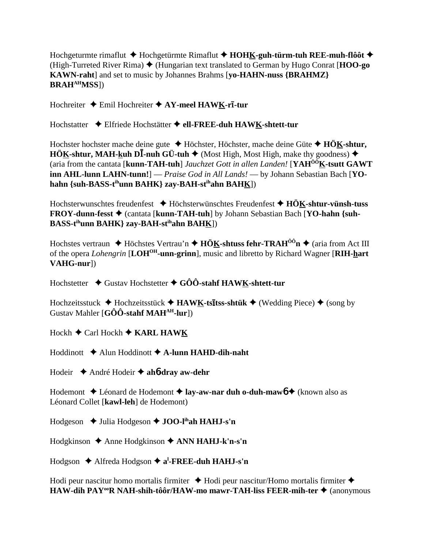Hochgeturmte rimaflut **◆** Hochgetürmte Rimaflut ◆ **HOHK-guh-türm-tuh REE-muh-flôôt** ◆ (High-Turreted River Rima)  $\blacklozenge$  (Hungarian text translated to German by Hugo Conrat [**HOO-go KAWN-raht**] and set to music by Johannes Brahms [**yo-HAHN-nuss {BRAHMZ} BRAHAHMSS**])

Hochreiter ◆ Emil Hochreiter ◆ AY-meel HAWK-ri-tur

Hochstatter Elfriede Hochstätter **ell-FREE-duh HAWK-shtett-tur**

Hochster hochster mache deine gute Höchster, Höchster, mache deine Güte **HÖK-shtur, HÖK-shtur, MAH-kuh D<sup>I</sup>-nuh GÜ-tuh**  $\blacklozenge$  (Most High, Most High, make thy goodness)  $\blacklozenge$ (aria from the cantata [**kunn-TAH-tuh**] *Jauchzet Gott in allen Landen!* [**YAHÔÔK-tsutt GAWT inn AHL-lunn LAHN-tunn!**] — *Praise God in All Lands!* — by Johann Sebastian Bach [**YOhahn {suh-BASS-tihunn BAHK} zay-BAH-stihahn BAHK**])

Hochsterwunschtes freudenfest Höchsterwünschtes Freudenfest **HÖK-shtur-vünsh-tuss FROY-dunn-fesst ♦** (cantata [**kunn-TAH-tuh**] by Johann Sebastian Bach [YO-hahn {suh-**BASS-tihunn BAHK} zay-BAH-stihahn BAHK**])

Hochstes vertraun **→** Höchstes Vertrau'n **→ HÖ<u>K</u>-shtuss fehr-TRAH<sup>ôô</sup>n →** (aria from Act III of the opera *Lohengrin* [**LOHOH-unn-grinn**], music and libretto by Richard Wagner [**RIH-hart VAHG-nur**])

Hochstetter ◆ Gustav Hochstetter ◆ GÔÔ-stahf HAWK-shtett-tur

Hochzeitsstuck ♦ Hochzeitsstück ♦ HAWK-ts**ītss-shtük ♦** (Wedding Piece) ♦ (song by Gustav Mahler [**GÔÔ-stahf MAHAH-lur**])

Hockh **←** Carl Hockh ← KARL HAWK

Hoddinott Alun Hoddinott **A-lunn HAHD-dih-naht**

Hodeir André Hodeir **ah**6**-dray aw-dehr**

Hodemont **→** Léonard de Hodemont **→ lay-aw-nar duh o-duh-maw6 →** (known also as Léonard Collet [**kawl-leh**] de Hodemont)

Hodgeson ◆ Julia Hodgeson **◆ JOO-l<sup>ih</sup>ah HAHJ-s'n** 

Hodgkinson Anne Hodgkinson **ANN HAHJ-k'n-s'n**

Hodgson ♦ Alfreda Hodgson ♦ a<sup>l</sup>-FREE-duh HAHJ-s'n

Hodi peur nascitur homo mortalis firmiter  $\triangle$  Hodi peur nascitur/Homo mortalis firmiter  $\triangle$ **HAW-dih PAY<sup>oo</sup>R NAH-shih-tôôr/HAW-mo mawr-TAH-liss FEER-mih-ter ♦ (anonymous**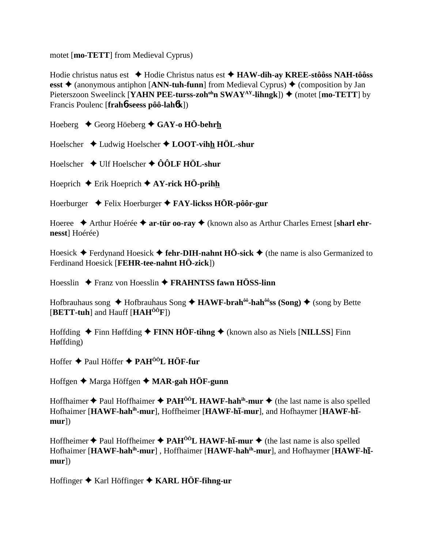motet [mo-TETT] from Medieval Cyprus)

Hodie christus natus est  $\triangle$  Hodie Christus natus est  $\triangle$  HAW-dih-ay KREE-stôôss NAH-tôôss esst  $\triangle$  (anonymous antiphon [ANN-tuh-funn] from Medieval Cyprus)  $\triangle$  (composition by Jan Pieterszoon Sweelinck [YAHN PEE-turss-zoh<sup>oh</sup>n SWAY<sup>AY</sup>-lihngk])  $\blacklozenge$  (motet [mo-TETT] by Francis Poulenc [frah6-seess pôô-lah6k])

Hoeberg  $\triangle$  Georg Höeberg  $\triangle$  GAY-o HÖ-behrh

Hoelscher  $\triangleleft$  Ludwig Hoelscher  $\triangleleft$  LOOT-vihh HÖL-shur

Hoelscher  $\rightarrow$  Ulf Hoelscher  $\rightarrow$  ÔÔLF HÖL-shur

Hoeprich  $\blacklozenge$  Erik Hoeprich  $\blacklozenge$  AY-rick HÖ-prihh

Hoerburger  $\rightarrow$  Felix Hoerburger  $\rightarrow$  FAY-licks HÖR-pôôr-gur

Hoeree  $\triangle$  Arthur Hoérée  $\triangle$  ar-tür oo-ray  $\triangle$  (known also as Arthur Charles Ernest [sharl ehrnesst] Hoérée)

Hoesick  $\triangle$  Ferdynand Hoesick  $\triangle$  fehr-DIH-nahnt HÖ-sick  $\triangle$  (the name is also Germanized to Ferdinand Hoesick [FEHR-tee-nahnt HÖ-zick])

Hoesslin  $\rightarrow$  Franz von Hoesslin  $\rightarrow$  FRAHNTSS fawn HÖSS-linn

Hofbrauhaus song  $\triangle$  Hofbrauhaus Song  $\triangle$  HAWF-brah<sup> $\hat{\theta}$ </sup>-hah<sup> $\hat{\theta}$ </sup>ss (Song)  $\triangle$  (song by Bette  $[BETT-tuh]$  and Hauff  $[HAH^{00}F]$ 

Hoffding  $\triangle$  Finn Høffding  $\triangle$  FINN HÖF-tihng  $\triangle$  (known also as Niels [NILLSS] Finn Høffding)

Hoffer ◆ Paul Höffer ◆ PAH<sup>ÔÔ</sup>L HÖF-fur

Hoffgen ♦ Marga Höffgen ♦ MAR-gah HÖF-gunn

Hoffhaimer  $\triangle$  Paul Hoffhaimer  $\triangle$  PAH<sup>00</sup>L HAWF-hah<sup>ih</sup>-mur  $\triangle$  (the last name is also spelled Hofhaimer [HAWF-hah<sup>ih</sup>-mur], Hoffheimer [HAWF-hī-mur], and Hofhaymer [HAWF-hī $mur$ )

Hoffheimer  $\triangle$  Paul Hoffheimer  $\triangle$  PAH<sup> $\hat{o}$ °L HAWF-h**I-mur**  $\triangle$  (the last name is also spelled</sup> Hofhaimer [HAWF-hah<sup>ih</sup>-mur], Hoffhaimer [HAWF-hah<sup>ih</sup>-mur], and Hofhaymer [HAWF-h**i** $mur$ )

Hoffinger  $\blacklozenge$  Karl Höffinger  $\blacklozenge$  KARL HÖF-filing-ur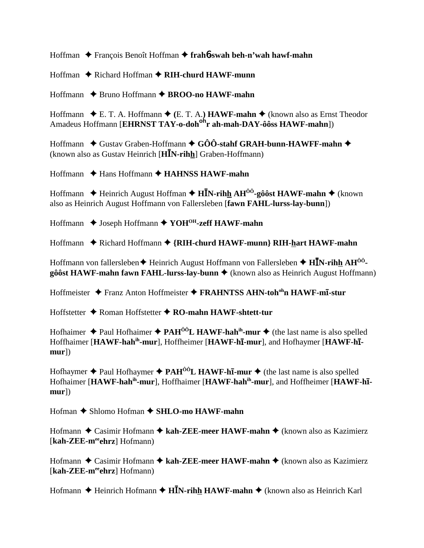Hoffman ◆ François Benoît Hoffman ◆ frahb-swah beh-n'wah hawf-mahn

Hoffman ◆ Richard Hoffman ◆ RIH-churd HAWF-munn

Hoffmann ◆ Bruno Hoffmann ◆ BROO-no HAWF-mahn

Hoffmann  $\bullet$  E. T. A. Hoffmann  $\bullet$  (E. T. A.) **HAWF-mahn**  $\bullet$  (known also as Ernst Theodor Amadeus Hoffmann [EHRNST TAY-o-doh<sup>oh</sup>r ah-mah-DAY-ôôss HAWF-mahn])

Hoffmann  $\triangle$  Gustav Graben-Hoffmann  $\triangle$  GÔÔ-stahf GRAH-bunn-HAWFF-mahn  $\triangle$ (known also as Gustav Heinrich [HIN-rihh] Graben-Hoffmann)

 $H$ offmann  $\triangle$  Hans Hoffmann  $\triangle$  **HAHNSS HAWF-mahn** 

Hoffmann  $\triangle$  Heinrich August Hoffman  $\triangle$  HIN-rihh AH<sup> $\hat{0}$ o<sup>2</sup>-gôost HAWF-mahn  $\triangle$  (known</sup> also as Heinrich August Hoffmann von Fallersleben [fawn FAHL-lurss-lay-bunn])

Hoffmann ◆ Joseph Hoffmann ◆ YOH<sup>OH</sup>-zeff HAWF-mahn

Hoffmann ◆ Richard Hoffmann ◆ {RIH-churd HAWF-munn} RIH-hart HAWF-mahn

Hoffmann von fallersleben  $\blacklozenge$  Heinrich August Hoffmann von Fallersleben  $\blacklozenge$  HIN-rihh AH<sup>00</sup>- $\hat{\mathbf{g}}$ ôst HAWF-mahn fawn FAHL-lurss-lay-bunn  $\triangleq$  (known also as Heinrich August Hoffmann)

Hoffmeister  $\triangleq$  Franz Anton Hoffmeister  $\triangleq$  **FRAHNTSS AHN-toh<sup>oh</sup>n HAWF-mi-stur** 

Hoffstetter  $\triangle$  Roman Hoffstetter  $\triangle$  RO-mahn HAWF-shtett-tur

Hofhaimer  $\triangleq$  Paul Hofhaimer  $\triangleq$  PAH<sup> $\hat{0}$ on<sup> $\hat{0}$ </sup>L HAWF-hah<sup>in</sup>-mur  $\triangleq$  (the last name is also spelled</sup> Hoffhaimer [HAWF-hah<sup>ih</sup>-mur], Hoffheimer [HAWF-hī-mur], and Hofhaymer [HAWF-hī $mur$ )

Hofhaymer  $\triangle$  Paul Hofhaymer  $\triangle$  PAH<sup> $\hat{o}$ O<sub>L</sub> HAWF-h**I-mur**  $\triangle$  (the last name is also spelled</sup> Hofhaimer [HAWF-hah<sup>ih</sup>-mur], Hoffhaimer [HAWF-hah<sup>ih</sup>-mur], and Hoffheimer [HAWF-h1 $mur$ )

Hofman ◆ Shlomo Hofman ◆ SHLO-mo HAWF-mahn

Hofmann  $\triangle$  Casimir Hofmann  $\triangle$  kah-ZEE-meer HAWF-mahn  $\triangle$  (known also as Kazimierz [kah-ZEE-meehrz] Hofmann)

Hofmann  $\triangle$  Casimir Hofmann  $\triangle$  kah-ZEE-meer HAWF-mahn  $\triangle$  (known also as Kazimierz [kah-ZEE-meehrz] Hofmann)

Hofmann  $\triangle$  Heinrich Hofmann  $\triangle$  HIN-rihh HAWF-mahn  $\triangle$  (known also as Heinrich Karl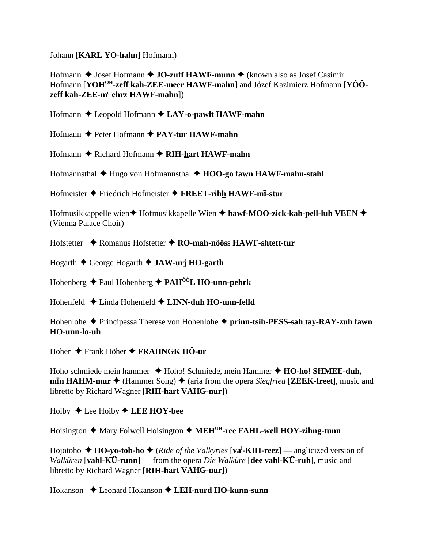Johann [KARL YO-hahn] Hofmann)

Hofmann  $\triangle$  Josef Hofmann  $\triangle$  JO-zuff HAWF-munn  $\triangle$  (known also as Josef Casimir Hofmann [YOH<sup>OH</sup>-zeff kah-ZEE-meer HAWF-mahn] and Józef Kazimierz Hofmann [YÔÔzeff kah-ZEE-meehrz HAWF-mahn])

Hofmann  $\triangle$  Leopold Hofmann  $\triangle$  LAY-o-pawlt HAWF-mahn

Hofmann  $\triangle$  Peter Hofmann  $\triangle$  PAY-tur HAWF-mahn

Hofmann ♦ Richard Hofmann ♦ RIH-hart HAWF-mahn

Hofmannsthal  $\blacklozenge$  Hugo von Hofmannsthal  $\blacklozenge$  HOO-go fawn HAWF-mahn-stahl

Hofmeister  $\triangle$  Friedrich Hofmeister  $\triangle$  FREET-rihh HAWF-mi-stur

Hofmusikkappelle wien ♦ Hofmusikkapelle Wien ♦ hawf-MOO-zick-kah-pell-luh VEEN ♦ (Vienna Palace Choir)

Hofstetter ◆ Romanus Hofstetter ◆ RO-mah-nôôss HAWF-shtett-tur

Hogarth  $\triangle$  George Hogarth  $\triangle$  JAW-urj HO-garth

Hohenberg  $\triangle$  Paul Hohenberg  $\triangle$  PAH<sup> $\hat{0}$ ôL HO-unn-pehrk</sup>

Hohenfeld  $\triangle$  Linda Hohenfeld  $\triangle$  LINN-duh HO-unn-felld

Hohenlohe  $\blacklozenge$  Principessa Therese von Hohenlohe  $\blacklozenge$  prinn-tsih-PESS-sah tay-RAY-zuh fawn HO-unn-lo-uh

Hoher  $\triangle$  Frank Höher  $\triangle$  FRAHNGK HÖ-ur

Hoho schmiede mein hammer  $\triangle$  Hoho! Schmiede, mein Hammer  $\triangle$  **HO-ho! SHMEE-duh, mIn HAHM-mur**  $\blacklozenge$  (Hammer Song)  $\blacklozenge$  (aria from the opera *Siegfried* [**ZEEK-freet**], music and libretto by Richard Wagner [RIH-hart VAHG-nur])

Hoiby  $\triangle$  Lee Hoiby  $\triangle$  LEE HOY-bee

Hoisington  $\triangle$  Mary Folwell Hoisington  $\triangle$  MEH<sup>UH</sup>-ree FAHL-well HOY-zihng-tunn

Hojotoho  $\triangle$  HO-vo-toh-ho  $\triangle$  (*Ride of the Valkyries* [va<sup>1</sup>-KIH-reez] — anglicized version of *Walküren* [vahl-KÜ-runn] — from the opera *Die Walküre* [dee vahl-KÜ-ruh], music and libretto by Richard Wagner [RIH-hart VAHG-nur])

 $Hokanson \triangleleft$  Leonard Hokanson  $\triangleleft$  LEH-nurd HO-kunn-sunn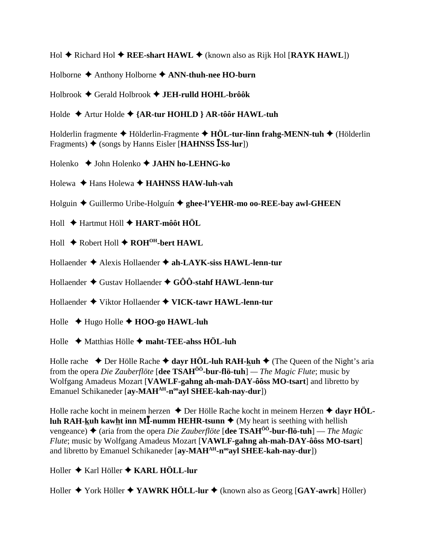Hol **◆** Richard Hol ◆ REE-shart HAWL ◆ (known also as Rijk Hol [RAYK HAWL])

Holborne Anthony Holborne **ANN-thuh-nee HO-burn**

Holbrook Gerald Holbrook **JEH-rulld HOHL-brôôk**

Holde Artur Holde **{AR-tur HOHLD } AR-tôôr HAWL-tuh**

Holderlin fragmente Hölderlin-Fragmente **HÖL-tur-linn frahg-MENN-tuh** (Hölderlin Fragments)  $\triangle$  (songs by Hanns Eisler [**HAHNSS ISS-lur**])

Holenko John Holenko **JAHN ho-LEHNG-ko**

Holewa **→ Hans Holewa → HAHNSS HAW-luh-vah** 

Holguin Guillermo Uribe-Holguín **ghee-l'YEHR-mo oo-REE-bay awl-GHEEN**

Holl Hartmut Höll **HART-môôt HÖL**

Holl ◆ Robert Holl ◆ ROH<sup>OH</sup>-bert HAWL

Hollaender Alexis Hollaender **ah-LAYK-siss HAWL-lenn-tur**

Hollaender Gustav Hollaender **GÔÔ-stahf HAWL-lenn-tur**

Hollaender Viktor Hollaender **VICK-tawr HAWL-lenn-tur**

Holle Hugo Holle **HOO-go HAWL-luh**

Holle Matthias Hölle **maht-TEE-ahss HÖL-luh**

Holle rache  $\triangle$  Der Hölle Rache  $\triangle$  dayr HÖL-luh RAH-kuh  $\triangle$  (The Queen of the Night's aria from the opera *Die Zauberflöte* [**dee TSAHÔÔ-bur-flö-tuh**] *— The Magic Flute*; music by Wolfgang Amadeus Mozart [**VAWLF-gahng ah-mah-DAY-ôôss MO-tsart**] and libretto by Emanuel Schikaneder [ay-MAH<sup>AH</sup>-n<sup>oo</sup>ayl SHEE-kah-nay-dur])

Holle rache kocht in meinem herzen ◆ Der Hölle Rache kocht in meinem Herzen ◆ dayr HÖL**luh RAH-kuh kawht inn M<sup>** $\overline{I}$ **-numm HEHR-tsunn**  $\blacklozenge$  (My heart is seething with hellish</sup> vengeance) (aria from the opera *Die Zauberflöte* [**dee TSAHÔÔ-bur-flö-tuh**] — *The Magic Flute*; music by Wolfgang Amadeus Mozart [**VAWLF-gahng ah-mah-DAY-ôôss MO-tsart**] and libretto by Emanuel Schikaneder [ay-MAH<sup>AH</sup>-n<sup>oo</sup>ayl SHEE-kah-nay-dur])

Holler Karl Höller **KARL HÖLL-lur**

Holler York Höller **YAWRK HÖLL-lur** (known also as Georg [**GAY-awrk**] Höller)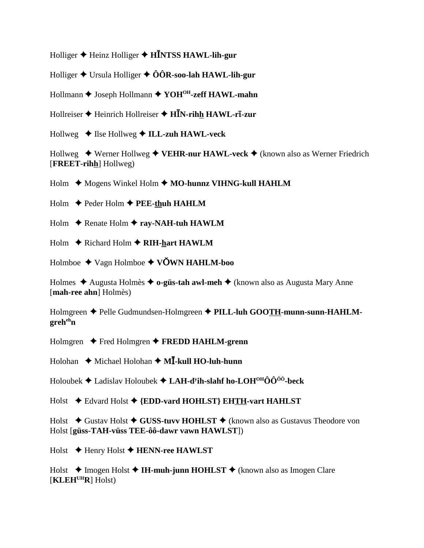Holliger  $\triangle$  Heinz Holliger  $\triangle$  HINTSS HAWL-lih-gur

Holliger  $\triangle$  Ursula Holliger  $\triangle$  ÔÔR-soo-lah HAWL-lih-gur

Hollmann ♦ Joseph Hollmann ♦ YOH<sup>OH</sup>-zeff HAWL-mahn

Hollreiser  $\blacklozenge$  Heinrich Hollreiser  $\blacklozenge$  HIN-rihh HAWL-ri-zur

Hollweg  $\triangleleft$  Ilse Hollweg  $\triangleleft$  ILL-zuh HAWL-veck

Hollweg  $\rightarrow$  Werner Hollweg  $\rightarrow$  VEHR-nur HAWL-veck  $\rightarrow$  (known also as Werner Friedrich [FREET-rihh] Hollweg)

Holm  $\leftrightarrow$  Mogens Winkel Holm  $\leftrightarrow$  MO-hunnz VIHNG-kull HAHLM

Holm  $\rightarrow$  Peder Holm  $\rightarrow$  PEE-thuh HAHLM

Holm  $\triangle$  Renate Holm  $\triangle$  ray-NAH-tuh HAWLM

Holm  $\triangle$  Richard Holm  $\triangle$  RIH-hart HAWLM

Holmboe  $\triangleleft$  Vagn Holmboe  $\triangleleft$  VOWN HAHLM-boo

Holmes  $\triangle$  Augusta Holmès  $\triangle$  o-güs-tah awl-meh  $\triangle$  (known also as Augusta Mary Anne [mah-ree ahn] Holmès)

Holmgreen ◆ Pelle Gudmundsen-Holmgreen ◆ PILL-luh GOOTH-munn-sunn-HAHLM- $\mathbf{greh}^{\text{eh}}$ n

Holmgren  $\blacklozenge$  Fred Holmgren  $\blacklozenge$  FREDD HAHLM-grenn

Holohan  $\triangle$  Michael Holohan  $\triangle$  M**I**-kull HO-luh-hunn

Holoubek  $\blacklozenge$  Ladislav Holoubek  $\blacklozenge$  LAH-d<sup>y</sup>ih-slahf ho-LOH<sup>OH</sup>OO<sup>00</sup>-beck

Holst ♦ Edvard Holst ♦ {EDD-vard HOHLST} EHTH-vart HAHLST

Holst  $\triangle$  Gustav Holst  $\triangle$  GUSS-tuvy HOHLST  $\triangle$  (known also as Gustavus Theodore von Holst [güss-TAH-vüss TEE-ôô-dawr vawn HAWLST])

 $Holst$  + Henry Holst + HENN-ree HAWLST

Holst  $\triangle$  Imogen Holst  $\triangle$  IH-muh-junn HOHLST  $\triangle$  (known also as Imogen Clare  $[\mathbf{KLEH}^{\text{UH}}\mathbf{R}]$  Holst)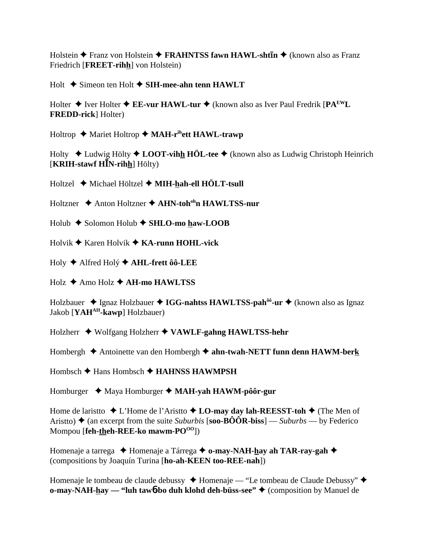Holstein  $\triangle$  Franz von Holstein  $\triangle$  FRAHNTSS fawn HAWL-shtin  $\triangle$  (known also as Franz Friedrich [FREET-rihh] von Holstein)

Holt  $\triangle$  Simeon ten Holt  $\triangle$  SIH-mee-ahn tenn HAWLT

Holter  $\triangle$  Iver Holter  $\triangle$  EE-vur HAWL-tur  $\triangle$  (known also as Iver Paul Fredrik [PA<sup>EW</sup>L **FREDD-rick** Holter)

Holtrop  $\triangleq$  Mariet Holtrop  $\triangleq$  MAH-r<sup>ih</sup>ett HAWL-trawp

Holty  $\triangle$  Ludwig Hölty  $\triangle$  LOOT-vihh HÖL-tee  $\triangle$  (known also as Ludwig Christoph Heinrich  $[KRIH$ -stawf  $H\bar{I}N$ -rihh $|H\ddot{o}|$ 

Holtzel ♦ Michael Höltzel ♦ MIH-hah-ell HÖLT-tsull

Holtzner  $\triangle$  Anton Holtzner  $\triangle$  AHN-toh<sup>oh</sup>n HAWLTSS-nur

Holub  $\triangle$  Solomon Holub  $\triangle$  SHLO-mo haw-LOOB

Holvik  $\blacklozenge$  Karen Holvik  $\blacklozenge$  KA-runn HOHL-vick

Holy ♦ Alfred Holý ♦ AHL-frett ôô-LEE

 $Holz$   $\triangle$  Amo Holz  $\triangle$  AH-mo HAWLTSS

Holzbauer  $\triangle$  Ignaz Holzbauer  $\triangle$  IGG-nahtss HAWLTSS-pah<sup> $\delta$ ô</sup>-ur  $\triangle$  (known also as Ignaz Jakob [YAH<sup>AH</sup>-kawp] Holzbauer)

Holzherr ◆ Wolfgang Holzherr ◆ VAWLF-gahng HAWLTSS-hehr

Hombergh  $\triangle$  Antoinette van den Hombergh  $\triangle$  ahn-twah-NETT funn denn HAWM-berk

Hombsch  $\triangle$  Hans Hombsch  $\triangle$  HAHNSS HAWMPSH

Homburger  $\triangleleft$  Maya Homburger  $\triangleleft$  MAH-yah HAWM-pôôr-gur

Home de laristio  $\triangle$  L'Home de l'Aristio  $\triangle$  LO-may day lah-REESST-toh  $\triangle$  (The Men of Aristto)  $\triangle$  (an excerpt from the suite Suburbis [soo-BÔÔR-biss] — Suburbs — by Federico Mompou [feh-theh-REE-ko mawm-PO<sup>00</sup>])

Homenaje a tarrega ◆ Homenaje a Tárrega ◆ o-may-NAH-hay ah TAR-ray-gah ◆ (compositions by Joaquín Turina [ho-ah-KEEN too-REE-nah])

Homenaje le tombeau de claude debussy → Homenaje — "Le tombeau de Claude Debussy" → o-may-NAH-hay — "luh taw<sup>6</sup>-bo duh klohd deh-büss-see"  $\triangleq$  (composition by Manuel de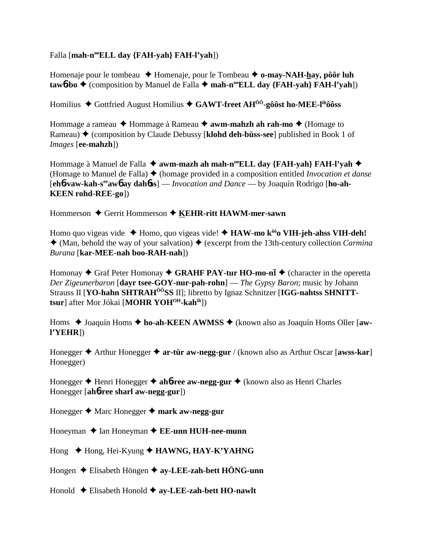Falla [mah-n<sup>oo</sup>ELL day {FAH-yah} FAH-l'yah])

Homenaje pour le tombeau  $\triangle$  Homenaje, pour le Tombeau  $\triangle$  o-may-NAH-hay, pôôr luh  $\text{taw6-bo}$   $\blacklozenge$  (composition by Manuel de Falla  $\blacklozenge$  mah-n<sup>oo</sup>ELL day {FAH-yah} FAH-l'yah])

Homilius  $\blacklozenge$  Gottfried August Homilius  $\blacklozenge$  GAWT-freet AH<sup>00</sup>-gôôst ho-MEE-l<sup>ih</sup>ôôss

Hommage a rameau ◆ Hommage à Rameau ◆ **awm-mahzh ah rah-mo ◆** (Homage to Rameau) **→** (composition by Claude Debussy [**klohd deh-büss-see**] published in Book 1 of *Images* [**ee-mahzh**])

Hommage à Manuel de Falla ◆ awm-mazh ah mah-n<sup>oo</sup>ELL day {FAH-yah} FAH-l'yah ◆ (Homage to Manuel de Falla) (homage provided in a composition entitled *Invocation et danse* [**eh**6**-vaw-kah-seeaw**6 **ay dah**6**ss**] — *Invocation and Dance* — by Joaquín Rodrigo [**ho-ah-KEEN rohd-REE-go**])

Hommerson ♦ Gerrit Hommerson ♦ KEHR-ritt HAWM-mer-sawn

Homo quo vigeas vide  $\triangle$  Homo, quo vigeas vide!  $\triangle$  **HAW-mo k<sup>** $\delta\delta$ **</sup>o VIH-jeh-ahss VIH-deh!**  $\triangleleft$  (Man, behold the way of your salvation)  $\triangleleft$  (excerpt from the 13th-century collection *Carmina Burana* [**kar-MEE-nah boo-RAH-nah**])

Homonay ◆ Graf Peter Homonay ◆ GRAHF PAY-tur HO-mo-nī ◆ (character in the operetta *Der Zigeunerbaron* [**dayr tsee-GOY-nur-pah-rohn**] — *The Gypsy Baron*; music by Johann Strauss II [YO-hahn SHTRAH<sup>ÔÔ</sup>SS II]; libretto by Ignaz Schnitzer [IGG-nahtss SHNITT**tsur**] after Mor Jókai [**MOHR YOHOH-kahih**])

Homs ◆ Joaquín Homs ◆ ho-ah-KEEN AWMSS ◆ (known also as Joaquín Homs Oller [aw**l'YEHR**])

Honegger **→** Arthur Honegger **→ ar-tür aw-negg-gur** / (known also as Arthur Oscar [**awss-kar**] Honegger)

Honegger  $\triangle$  Henri Honegger  $\triangle$  ah**6-ree aw-negg-gur**  $\triangle$  (known also as Henri Charles Honegger [**ah**6**-ree sharl aw-negg-gur**])

Honegger **→** Marc Honegger → mark aw-negg-gur

Honeyman **→** Ian Honeyman ◆ **EE-unn HUH-nee-munn** 

Hong ◆ Hong, Hei-Kyung ◆ **HAWNG, HAY-K'YAHNG** 

Hongen Elisabeth Höngen **ay-LEE-zah-bett HÖNG-unn**

Honold Elisabeth Honold **ay-LEE-zah-bett HO-nawlt**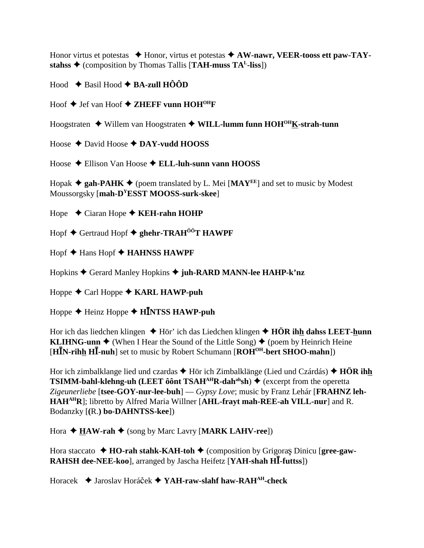Honor virtus et potestas  $\triangle$  Honor, virtus et potestas  $\triangle$  AW-nawr, VEER-tooss ett paw-TAYstahss  $\triangle$  (composition by Thomas Tallis [TAH-muss TA<sup>L</sup>-liss])

Hood  $\triangle$  Basil Hood  $\triangle$  BA-zull HÔÔD

Hoof  $\blacklozenge$  Jef van Hoof  $\blacklozenge$  ZHEFF vunn HOH<sup>OH</sup>F

Hoogstraten  $\triangleq$  Willem van Hoogstraten  $\triangleq$  WILL-lumm funn HOH<sup>OH</sup>K-strah-tunn

Hoose  $\triangle$  David Hoose  $\triangle$  DAY-vudd HOOSS

Hoose ♦ Ellison Van Hoose ♦ ELL-luh-sunn vann HOOSS

Hopak  $\triangle$  gah-PAHK  $\triangle$  (poem translated by L. Mei [MAY<sup>EE</sup>] and set to music by Modest Moussorgsky [mah-D<sup>Y</sup>ESST MOOSS-surk-skee]

Hope  $\triangle$  Ciaran Hope  $\triangle$  KEH-rahn HOHP

Hopf ◆ Gertraud Hopf ◆ ghehr-TRAH<sup>ÔÔ</sup>T HAWPF

Hopf  $\triangle$  Hans Hopf  $\triangle$  HAHNSS HAWPF

Hopkins ♦ Gerard Manley Hopkins ♦ juh-RARD MANN-lee HAHP-k'nz

Hoppe  $\triangle$  Carl Hoppe  $\triangle$  KARL HAWP-puh

Hoppe  $\triangle$  Heinz Hoppe  $\triangle$  HINTSS HAWP-puh

Hor ich das liedchen klingen  $\triangle$  Hör' ich das Liedchen klingen  $\triangle$  HÖR ihh dahss LEET-hunn **KLIHNG-unn**  $\blacklozenge$  (When I Hear the Sound of the Little Song)  $\blacklozenge$  (poem by Heinrich Heine [ $H\bar{I}N$ -rihh  $H\bar{I}$ -nuh] set to music by Robert Schumann [ $ROH^{OH}$ -bert SHOO-mahn])

Hor ich zimbalklange lied und czardas  $\triangle$  Hör ich Zimbalklänge (Lied und Czárdás)  $\triangle$  HÖR ihh **TSIMM-bahl-klehng-uh (LEET ôônt TSAH<sup>AH</sup>R-dah<sup>ah</sup>sh)**  $\blacklozenge$  **(excerpt from the operetta)** Zigeunerliebe [tsee-GOY-nur-lee-buh] — Gypsy Love; music by Franz Lehár [FRAHNZ leh-HAHAHR]; libretto by Alfred Maria Willner [AHL-frayt mah-REE-ah VILL-nur] and R. Bodanzky [(R.) bo-DAHNTSS-kee])

Hora  $\triangle$  HAW-rah  $\triangle$  (song by Marc Lavry [MARK LAHV-ree])

Hora staccato  $\rightarrow$  HO-rah stahk-KAH-toh  $\rightarrow$  (composition by Grigoras Dinicu [gree-gaw-RAHSH dee-NEE-kool, arranged by Jascha Heifetz [YAH-shah HI-futtss])

Horacek → Jaroslav Horáček → YAH-raw-slahf haw-RAH<sup>AH</sup>-check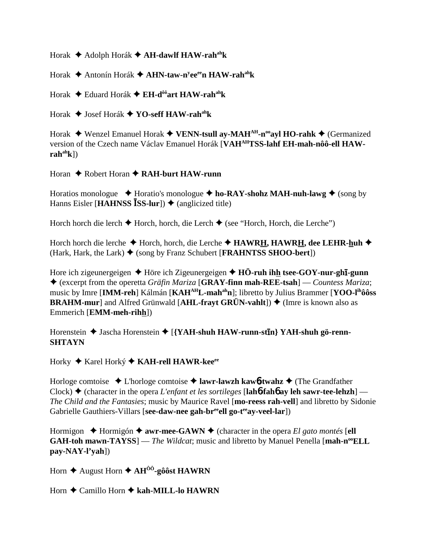Horak Adolph Horák **AH-dawlf HAW-rahahk**

Horak Antonín Horák **AHN-taw-ny eeeen HAW-rahahk**

Horak Eduard Horák **EH-dôôart HAW-rahahk**

Horak Josef Horák **YO-seff HAW-rahahk**

Horak  **◆** Wenzel Emanuel Horak ◆ VENN-tsull ay-MAH<sup>AH</sup>-n<sup>oo</sup>ayl HO-rahk ◆ (Germanized version of the Czech name Václav Emanuel Horák [**VAHAHTSS-lahf EH-mah-nôô-ell HAW-** $\text{rah}^{\text{ah}}(k)$ 

Horan **→** Robert Horan **→ RAH-burt HAW-runn** 

Horatios monologue  $\triangle$  Horatio's monologue  $\triangle$  ho-RAY-shohz MAH-nuh-lawg  $\triangle$  (song by Hanns Eisler [**HAHNSS ISS-lur**])  $\triangle$  (anglicized title)

Horch horch die lerch  $\triangle$  Horch, horch, die Lerch  $\triangle$  (see "Horch, Horch, die Lerche")

Horch horch die lerche ◆ Horch, horch, die Lerche ◆ HAWRH, HAWRH, dee LEHR-huh ◆ (Hark, Hark, the Lark)  $\blacklozenge$  (song by Franz Schubert [**FRAHNTSS SHOO-bert**])

Hore ich zigeunergeigen ◆ Höre ich Zigeunergeigen ◆ HÖ-ruh ihh tsee-GOY-nur-ghī-gunn (excerpt from the operetta *Gräfin Mariza* [**GRAY-finn mah-REE-tsah**] — *Countess Mariza*; music by Imre [**IMM-reh**] Kálmán [**KAHAHL-mahahn**]; libretto by Julius Brammer [**YOO-lihôôss BRAHM-mur**] and Alfred Grünwald  $[AHL-fravt GRUN-vahlt]$  (Imre is known also as Emmerich [**EMM-meh-rihh**])

Horenstein  $\triangle$  Jascha Horenstein  $\triangle$  [{YAH-shuh HAW-runn-stIn} YAH-shuh gö-renn-**SHTAYN**

Horky ◆ Karel Horký ◆ KA**H-rell HAWR-kee**<sup>ee</sup>

Horloge comtoise L'horloge comtoise **lawr-lawzh kaw**6**-twahz** (The Grandfather Clock)  $\triangle$  (character in the opera *L'enfant et les sortileges* [lah**6**-fah**6** ay leh sawr-tee-lehzh] — *The Child and the Fantasies*; music by Maurice Ravel [**mo-reess rah-vell**] and libretto by Sidonie Gabrielle Gauthiers-Villars [see-daw-nee gah-br<sup>ee</sup>ell go-t<sup>ee</sup>ay-veel-lar])

Hormigon  $\triangle$  Hormigón  $\triangle$  awr-mee-GAWN  $\triangle$  (character in the opera *El gato montés* [ell **GAH-toh mawn-TAYSS**] — *The Wildcat*; music and libretto by Manuel Penella [mah-n<sup>oo</sup>ELL **pay-NAY-l'yah**])

Horn  $\triangle$  August Horn  $\triangle$  AH<sup> $\hat{O}$ °-gôôst HAWRN</sup>

Horn **←** Camillo Horn ← kah-MILL-lo HAWRN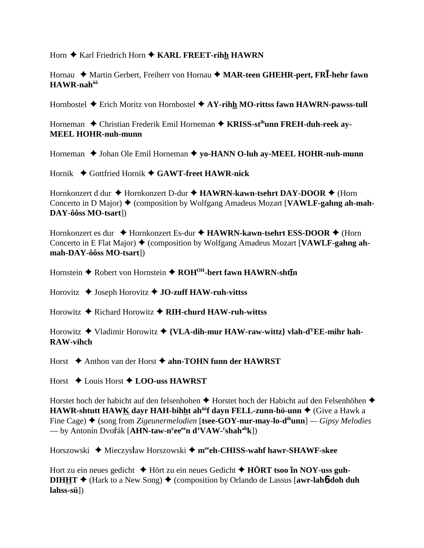Horn ♦ Karl Friedrich Horn ♦ KARL FREET-rihh HAWRN

Hornau ◆ Martin Gerbert, Freiherr von Hornau ◆ MAR-teen GHEHR-pert, FRI-hehr fawn HAWR-nah<sup>ôô</sup>

Hornbostel  $\triangle$  Erich Moritz von Hornbostel  $\triangle$  AY-rihh MO-rittss fawn HAWRN-pawss-tull

Horneman ◆ Christian Frederik Emil Horneman ◆ KRISS-st<sup>ih</sup>unn FREH-duh-reek av-**MEEL HOHR-nuh-munn** 

Horneman ◆ Johan Ole Emil Horneman ◆ yo-HANN O-luh ay-MEEL HOHR-nuh-munn

Hornik  $\blacklozenge$  Gottfried Hornik  $\blacklozenge$  GAWT-freet HAWR-nick

Hornkonzert d dur  $\triangle$  Hornkonzert D-dur  $\triangle$  HAWRN-kawn-tsehrt DAY-DOOR  $\triangle$  (Horn Concerto in D Major)  $\triangle$  (composition by Wolfgang Amadeus Mozart [VAWLF-gahng ah-mah-DAY-ôôss MO-tsart])

Hornkonzert es dur  $\triangle$  Hornkonzert Es-dur  $\triangle$  HAWRN-kawn-tsehrt ESS-DOOR  $\triangle$  (Horn Concerto in E Flat Major)  $\triangle$  (composition by Wolfgang Amadeus Mozart [VAWLF-gahng ahmah-DAY-ôôss MO-tsart])

Hornstein ♦ Robert von Hornstein ♦ ROH<sup>OH</sup>-bert fawn HAWRN-shtin

Horovitz  $\triangleleft$  Joseph Horovitz  $\triangleleft$  JO-zuff HAW-ruh-vittss

Horowitz  $\triangle$  Richard Horowitz  $\triangle$  RIH-churd HAW-ruh-wittss

Horowitz  $\blacklozenge$  Vladimir Horowitz  $\blacklozenge$  {VLA-dih-mur HAW-raw-wittz} vlah-d<sup>Y</sup>EE-mihr hah-**RAW-vihch** 

Horst  $\triangle$  Anthon van der Horst  $\triangle$  ahn-TOHN funn der HAWRST

Horst ◆ Louis Horst ◆ LOO-uss HAWRST

Horstet hoch der habicht auf den felsenhohen ◆ Horstet hoch der Habicht auf den Felsenhöhen ◆ **HAWR-shtutt HAWK dayr HAH-bihht ah<sup>ôô</sup>f dayn FELL-zunn-hö-unn**  $\blacklozenge$  (Give a Hawk a Fine Cage)  $\blacklozenge$  (song from Zigeunermelodien [tsee-GOY-nur-may-lo-d<sup>ih</sup>unn] — Gipsy Melodies — by Antonín Dvořák [AHN-taw-n<sup>y</sup>ee<sup>ee</sup>n d'VAW-<sup>r</sup>shah<sup>ah</sup>k])

Horszowski ◆ Mieczysław Horszowski ◆ m<sup>ee</sup>eh-CHISS-wahf hawr-SHAWF-skee

Hort zu ein neues gedicht  $\triangle$  Hört zu ein neues Gedicht  $\triangle$  HÖRT tsoo In NOY-uss guh-**DIHHT**  $\blacklozenge$  (Hark to a New Song)  $\blacklozenge$  (composition by Orlando de Lassus [awr-lah**6-doh duh**  $lahss-sii$ ])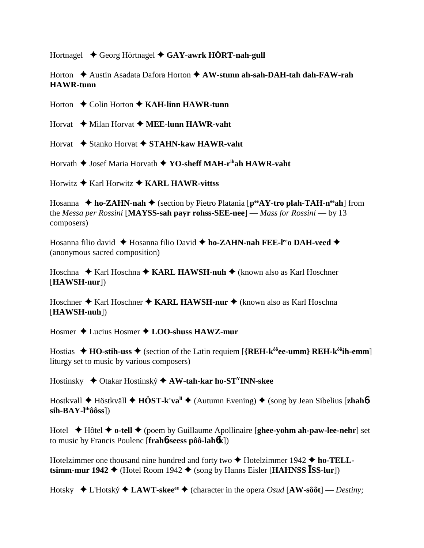Hortnagel **→** Georg Hörtnagel ◆ GAY-awrk HÖRT-nah-gull

Horton ◆ Austin Asadata Dafora Horton ◆ AW-stunn ah-sah-DAH-tah dah-FAW-rah **HAWR-tunn**

Horton **→** Colin Horton **→ KAH-linn HAWR-tunn** 

Horvat **→** Milan Horvat **→ MEE-lunn HAWR-vaht** 

Horvat **→** Stanko Horvat → STAHN-kaw HAWR-vaht

Horvath ♦ Josef Maria Horvath ♦ YO-sheff MAH-r<sup>ih</sup>ah HAWR-vaht

Horwitz Karl Horwitz **KARL HAWR-vittss**

Hosanna **← ho-ZAHN-nah ←** (section by Pietro Platania [peeAY-tro plah-TAH-n<sup>ee</sup>ah] from the *Messa per Rossini* [**MAYSS-sah payr rohss-SEE-nee**] — *Mass for Rossini* — by 13 composers)

Hosanna filio david ◆ Hosanna filio David ◆ ho-ZAHN-nah FEE-l<sup>ee</sup>o DAH-veed ◆ (anonymous sacred composition)

Hoschna ◆ Karl Hoschna ◆ KARL HAWSH-nuh ◆ (known also as Karl Hoschner [**HAWSH-nur**])

Hoschner ◆ Karl Hoschner ◆ KARL HAWSH-nur ◆ (known also as Karl Hoschna [**HAWSH-nuh**])

Hosmer Lucius Hosmer **LOO-shuss HAWZ-mur**

Hostias  $\triangle$  **HO-stih-uss**  $\triangle$  (section of the Latin requiem [{REH-k $^{66}$ ee-umm} REH-k $^{66}$ ih-emm] liturgy set to music by various composers)

Hostinsky ◆ Otakar Hostinský ◆ AW-tah-kar ho-ST<sup>Y</sup>INN-skee

Hostkvall **→** Höstkväll ◆ **HÖST-k'va<sup>ll</sup>** → (Autumn Evening) ◆ (song by Jean Sibelius [**zhah**6  $\sin-BAY-I<sup>ih</sup>ôôss$ ])

Hotel Hôtel **o-tell** (poem by Guillaume Apollinaire [**ghee-yohm ah-paw-lee-nehr**] set to music by Francis Poulenc [**frah**6**-seess pôô-lah**6**k**])

Hotelzimmer one thousand nine hundred and forty two **↑** Hotelzimmer 1942 ◆ ho-TELL**tsimm-mur 1942**  $\blacklozenge$  (Hotel Room 1942  $\blacklozenge$  (song by Hanns Eisler [**HAHNSS ISS-lur**])

Hotsky  $\triangle$  L'Hotský  $\triangle$  **LAWT-skee**<sup>ee</sup>  $\triangle$  (character in the opera *Osud* [**AW-sôôt**] — *Destinv*: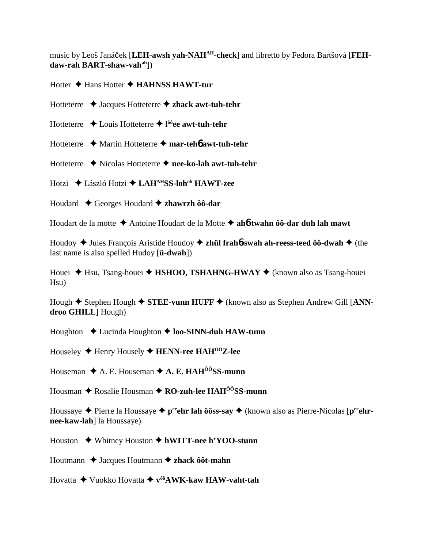music by Leoš Janáček [LEH-awsh yah-NAH<sup>AH</sup>-check] and libretto by Fedora Bartšová [FEH**daw-rah BART-shaw-vahah**])

Hotter **↓** Hans Hotter ◆ HAHNSS HAWT-tur

Hotteterre Jacques Hotteterre **zhack awt-tuh-tehr**

- Hotteterre Louis Hotteterre **l ôôee awt-tuh-tehr**
- Hotteterre Martin Hotteterre **mar-teh**6 **awt-tuh-tehr**
- Hotteterre Nicolas Hotteterre **nee-ko-lah awt-tuh-tehr**

Hotzi László Hotzi **LAHAHSS-lohoh HAWT-zee**

Houdard Georges Houdard **zhawrzh ôô-dar**

Houdart de la motte Antoine Houdart de la Motte **ah**6**-twahn ôô-dar duh lah mawt**

Houdoy ◆ Jules François Aristide Houdoy ◆ zhül frah**6**-swah ah-reess-teed ôô-dwah ◆ (the last name is also spelled Hudoy [**ü-dwah**])

Houei ◆ Hsu, Tsang-houei ◆ HSHOO, TSHAHNG-HWAY ◆ (known also as Tsang-houei Hsu)

Hough **→** Stephen Hough ◆ STEE-vunn HUFF ◆ (known also as Stephen Andrew Gill [ANN**droo GHILL**] Hough)

Houghton **↓** Lucinda Houghton ◆ **loo-SINN-duh HAW-tunn** 

Houseley Henry Housely **HENN-ree HAHÔÔZ-lee**

Houseman  $\triangle$  A. E. Houseman  $\triangle$  A. E. HAH<sup> $\hat{o}$ o<sup>o</sup>SS-munn</sup>

Housman ◆ Rosalie Housman ◆ **RO-zuh-lee HAH<sup>ôô</sup>SS-munn** 

Houssaye ◆ Pierre la Houssaye ◆ p<sup>ee</sup>ehr lah ôôss-say ◆ (known also as Pierre-Nicolas [p<sup>ee</sup>ehr**nee-kaw-lah**] la Houssaye)

Houston Whitney Houston **hWITT-nee h'YOO-stunn**

Houtmann ◆ Jacques Houtmann **◆ zhack ôôt-mahn** 

Hovatta Vuokko Hovatta **vôôAWK-kaw HAW-vaht-tah**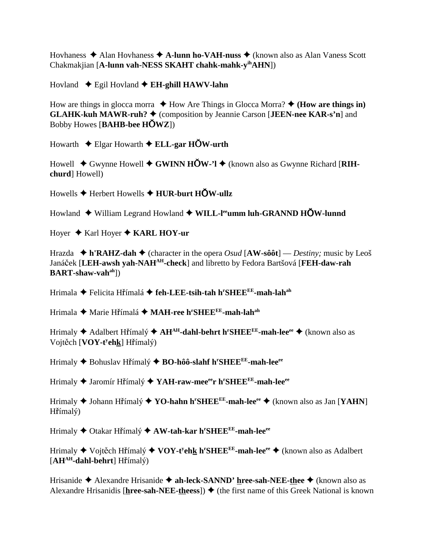Hovhaness Alan Hovhaness **A-lunn ho-VAH-nuss** (known also as Alan Vaness Scott Chakmakjian [**A-lunn vah-NESS SKAHT chahk-mahk-yihAHN**])

Hovland Egil Hovland **EH-ghill HAWV-lahn**

How are things in glocca morra  $\triangle$  How Are Things in Glocca Morra?  $\triangle$  (**How are things in**) **GLAHK-kuh MAWR-ruh? ♦** (composition by Jeannie Carson [**JEEN-nee KAR-s'n**] and Bobby Howes [**BAHB-bee HWZ**])

Howarth Elgar Howarth **ELL-gar HW-urth**

Howell ◆ Gwynne Howell ◆ GWINN HOW-'l ◆ (known also as Gwynne Richard [RIH**churd**] Howell)

Howells **→** Herbert Howells **→ HUR-burt HOW-ullz** 

Howland  $\blacklozenge$  William Legrand Howland  $\blacklozenge$  WILL-l<sup>ee</sup>umm luh-GRANND HOW-lunnd

Hoyer ◆ Karl Hoyer ◆ **KARL HOY-ur** 

Hrazda  $\blacklozenge$  h'RAHZ-dah  $\blacklozenge$  (character in the opera *Osud* [AW-sôôt] — *Destiny*; music by Leoš Janáek [**LEH-awsh yah-NAHAH-check**] and libretto by Fedora Bartšová [**FEH-daw-rah BART-shaw-vahah**])

Hrimala ◆ Felicita Hřímalá **◆ feh-LEE-tsih-tah h<sup>r</sup>SHEE<sup>EE</sup>-mah-lah<sup>ah</sup>** 

Hrimala ◆ Marie Hřímalá ◆ MAH-ree h<sup>r</sup>SHEE<sup>EE</sup>-mah-lah<sup>ah</sup>

Hrimaly ◆ Adalbert H**ř**ímalý ◆ **AH<sup>AH</sup>-dahl-behrt h<sup>r</sup>SHEE<sup>EE</sup>-mah-lee<sup>ee</sup> ◆** (known also as Vojtěch [**VOY-t<sup>y</sup>eh<u>k</u>] Hř**ímalý)

Hrimaly Bohuslav Hímalý **BO-hôô-slahf hr SHEEEE-mah-leeee**

Hrimaly ◆ Jaromír H**ř**ímalý ◆ YA**H-raw-mee<sup>ee</sup>r h<sup>r</sup>SHEE<sup>EE</sup>-mah-lee<sup>ee</sup>** 

Hrimaly Johann Hímalý **YO-hahn hr SHEEEE-mah-leeee** (known also as Jan [**YAHN**] Hřímalý)

Hrimaly Otakar Hímalý **AW-tah-kar hr SHEEEE-mah-leeee**

Hrimaly ◆ Vojt<mark>ěch Hřímalý ◆ VOY-t<sup>y</sup>eh<u>k</u> h<sup>r</sup>SHEE<sup>EE</sup>-mah-lee<sup>ee</sup> ◆ (known also as Adalbert</mark>  $[AH^{AH}-dahl-behrt] H\check{r}$ ímalý)

Hrisanide Alexandre Hrisanide **ah-leck-SANND' hree-sah-NEE-thee** (known also as Alexandre Hrisanidis [ $here-sah-NEE-theess$ ])  $\blacklozenge$  (the first name of this Greek National is known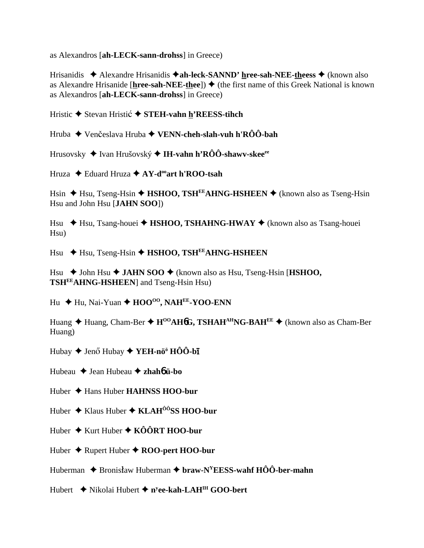as Alexandros [ah-LECK-sann-drohss] in Greece)

Hrisanidis  $\triangle$  Alexandre Hrisanidis  $\triangle$  ah-leck-SANND' hree-sah-NEE-theess  $\triangle$  (known also as Alexandre Hrisanide [hree-sah-NEE-thee])  $\blacklozenge$  (the first name of this Greek National is known as Alexandros [ah-LECK-sann-drohss] in Greece)

Hristic ♦ Stevan Hristic ♦ STEH-vahn h'REESS-tihch

Hruba  $\blacklozenge$  Venčeslava Hruba  $\blacklozenge$  VENN-cheh-slah-vuh h'RÔÔ-bah

Hrusovsky  $\blacklozenge$  Ivan Hrušovský  $\blacklozenge$  IH-vahn h'RÔÔ-shawv-skee<sup>ee</sup>

Hruza  $\triangle$  Eduard Hruza  $\triangle$  AY-d<sup>oo</sup>art h'ROO-tsah

Hsin  $\triangle$  Hsu, Tseng-Hsin  $\triangle$  HSHOO, TSH<sup>EE</sup>AHNG-HSHEEN  $\triangle$  (known also as Tseng-Hsin Hsu and John Hsu [JAHN SOO])

Hsu  $\star$  Hsu, Tsang-houei  $\star$  HSHOO, TSHAHNG-HWAY  $\star$  (known also as Tsang-houei  $Hsu)$ 

Hsu  $\leftrightarrow$  Hsu, Tseng-Hsin  $\leftrightarrow$  HSHOO, TSH<sup>EE</sup>AHNG-HSHEEN

Hsu  $\triangle$  John Hsu  $\triangle$  JAHN SOO  $\triangle$  (known also as Hsu, Tseng-Hsin [HSHOO, **TSHEEAHNG-HSHEEN** and Tseng-Hsin Hsu

Hu  $\div$  Hu, Nai-Yuan  $\div$  HOO<sup>oo</sup>, NAH<sup>EE</sup>-YOO-ENN

Huang  $\triangle$  Huang, Cham-Ber  $\triangle$  H<sup>00</sup>AH**6G**, TSHAH<sup>AH</sup>NG-BAH<sup>EE</sup>  $\triangle$  (known also as Cham-Ber Huang)

Hubay  $\blacklozenge$  Jenő Hubay  $\blacklozenge$  YEH-nö<sup>®</sup> HÔÔ-bī

Hubeau  $\triangle$  Jean Hubeau  $\triangle$  zhahó ü-bo

Huber  $\triangle$  Hans Huber **HAHNSS HOO-bur** 

Huber  $\triangleq$  Klaus Huber  $\triangleq$  KLAH<sup> $\hat{o}$ ôSS HOO-bur</sup>

Huber  $\triangle$  Kurt Huber  $\triangle$  KÔÔRT HOO-bur

Huber  $\triangle$  Rupert Huber  $\triangle$  ROO-pert HOO-bur

Huberman  $\triangle$  Bronisław Huberman  $\triangle$  braw-N<sup>Y</sup>EESS-wahf HÔÔ-ber-mahn

Hubert  $\triangle$  Nikolai Hubert  $\triangle$  n<sup>y</sup>ee-kah-LAH<sup>IH</sup> GOO-bert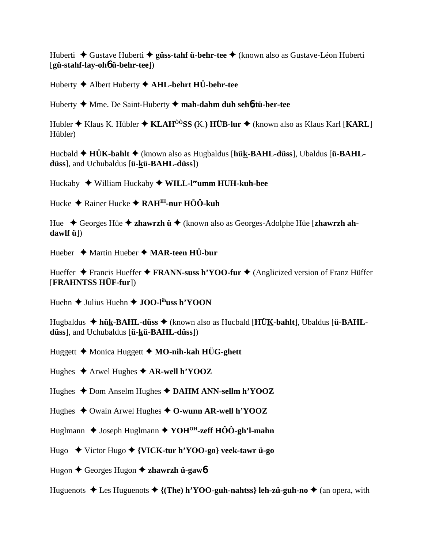Huberti  $\triangleq$  Gustave Huberti  $\triangleq$  güss-tahf ü-behr-tee  $\triangleq$  (known also as Gustave-Léon Huberti [gü-stahf-lay-oh**o** ü-behr-tee])

Huberty  $\triangle$  Albert Huberty  $\triangle$  AHL-behrt HÜ-behr-tee

Huberty  $\blacklozenge$  Mme. De Saint-Huberty  $\blacklozenge$  mah-dahm duh seh $\blacklozenge$ tü-ber-tee

Hubler  $\triangle$  Klaus K. Hübler  $\triangle$  KLAH<sup> $\hat{o}$ ôSS (K.) HÜB-lur  $\triangleq$  (known also as Klaus Karl [KARL]</sup> Hübler)

Hucbald  $\triangle$  HÜK-bahlt  $\triangle$  (known also as Hugbaldus [hük-BAHL-düss], Ubaldus [ü-BAHLdüss], and Uchubaldus [ü-kü-BAHL-düss])

Huckaby  $\blacklozenge$  William Huckaby  $\blacklozenge$  WILL-l<sup>ee</sup>umm HUH-kuh-bee

Hucke  $\triangle$  Rainer Hucke  $\triangle$  RAH<sup>IH</sup>-nur HÔÔ-kuh

Hue ◆ Georges Hüe ◆ zhawrzh ü ◆ (known also as Georges-Adolphe Hüe [zhawrzh ah $dawIf ii$ 

Hueber  $\triangleq$  Martin Hueber  $\triangleq$  MAR-teen HÜ-bur

Hueffer  $\triangle$  Francis Hueffer  $\triangle$  FRANN-suss h'YOO-fur  $\triangle$  (Anglicized version of Franz Hüffer [FRAHNTSS HÜF-fur])

Huehn  $\triangle$  Julius Huehn  $\triangle$  JOO-l<sup>ih</sup>uss h'YOON

Hugbaldus  $\triangle$  hük-BAHL-düss  $\triangle$  (known also as Hucbald [HÜK-bahlt], Ubaldus [ü-BAHLdüss], and Uchubaldus [ü-kü-BAHL-düss])

Huggett  $\triangle$  Monica Huggett  $\triangle$  MO-nih-kah HÜG-ghett

Hughes  $\triangle$  Arwel Hughes  $\triangle$  AR-well h'YOOZ

Hughes  $\triangle$  Dom Anselm Hughes  $\triangle$  DAHM ANN-sellm h'YOOZ

Hughes  $\triangle$  Owain Arwel Hughes  $\triangle$  O-wunn AR-well h'YOOZ

Huglmann  $\triangle$  Joseph Huglmann  $\triangle$  YOH<sup>OH</sup>-zeff HÔÔ-gh'l-mahn

Hugo  $\blacklozenge$  Victor Hugo  $\blacklozenge$  {VICK-tur h'YOO-go} veek-tawr ü-go

Hugon  $\triangle$  Georges Hugon  $\triangle$  zhawrzh ü-gawó

Huguenots  $\triangle$  Les Huguenots  $\triangle$  {(The) h'YOO-guh-nahtss} leh-zü-guh-no  $\triangle$  (an opera, with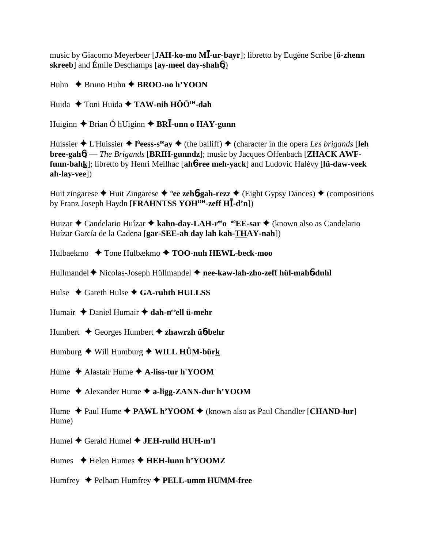music by Giacomo Meyerbeer [**JAH-ko-mo M-ur-bayr**]; libretto by Eugène Scribe [**ö-zhenn skreeb**] and Émile Deschamps [**ay-meel day-shah**6])

Huhn **→** Bruno Huhn **→ BROO-no h'YOON** 

Huida **→** Toni Huida → **TAW-nih HÔÔ<sup>IH</sup>-dah** 

Huiginn ◆ Brian Ó hUiginn ◆ **BRI**-unn o **HAY-gunn** 

Huissier ◆ L'Huissier ◆ l<sup>ü</sup>eess-s<sup>ee</sup>ay ◆ (the bailiff) ◆ (character in the opera *Les brigands* [leh **bree-gah**6] — *The Brigands* [**BRIH-gunndz**]; music by Jacques Offenbach [**ZHACK AWFfunn-bahk**]; libretto by Henri Meilhac [**ah**6**-ree meh-yack**] and Ludovic Halévy [**lü-daw-veek ah-lay-vee**])

Huit zingarese Huit Zingarese **<sup>ü</sup> ee zeh**6**-gah-rezz** (Eight Gypsy Dances) (compositions by Franz Joseph Haydn [**FRAHNTSS YOHOH-zeff H-d'n**])

Huizar ◆ Candelario Huízar ◆ kahn-day-LAH-r<sup>ee</sup>o <sup>oo</sup>EE-sar ◆ (known also as Candelario Huízar García de la Cadena [**gar-SEE-ah day lah kah-THAY-nah**])

Hulbaekmo **→** Tone Hulbækmo → **TOO-nuh HEWL-beck-moo** 

Hullmandel ◆ Nicolas-Joseph Hüllmandel ◆ nee-kaw-lah-zho-zeff hül-mah6-duhl

Hulse **→** Gareth Hulse **→ GA-ruhth HULLSS** 

Humair ◆ Daniel Humair ◆ dah-n<sup>ee</sup>ell ü-mehr

Humbert Georges Humbert **zhawrzh ü**6**-behr**

Humburg ◆ Will Humburg ◆ WILL HÜM-bürk

Hume Alastair Hume **A-liss-tur h'YOOM**

Hume Alexander Hume **a-ligg-ZANN-dur h'YOOM**

Hume **→** Paul Hume ◆ PAWL h'YOOM ◆ (known also as Paul Chandler [CHAND-lur] Hume)

Humel Gerald Humel **JEH-rulld HUH-m'l**

Humes **→** Helen Humes → **HEH-lunn h'YOOMZ** 

Humfrey Pelham Humfrey **PELL-umm HUMM-free**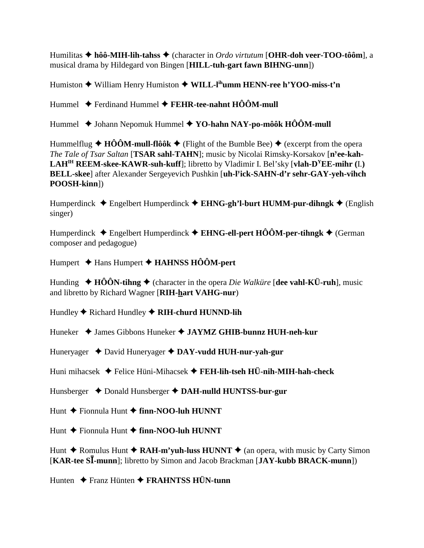Humilitas **hôô-MIH-lih-tahss** (character in *Ordo virtutum* [**OHR-doh veer-TOO-tôôm**], a musical drama by Hildegard von Bingen [**HILL-tuh-gart fawn BIHNG-unn**])

Humiston **→** William Henry Humiston ◆ WILL-l<sup>ih</sup>umm HENN-ree h'YOO-miss-t'n

Hummel Ferdinand Hummel **FEHR-tee-nahnt HÔÔM-mull**

Hummel ◆ Johann Nepomuk Hummel ◆ YO-hahn NAY-po-môôk HÔÔM-mull

Hummelflug  $\triangle$  HÔÔM-mull-flôôk  $\triangle$  (Flight of the Bumble Bee)  $\triangle$  (excerpt from the opera *The Tale of Tsar Saltan* [**TSAR sahl-TAHN**]; music by Nicolai Rimsky-Korsakov [**ny ee-kah-LAHIH REEM-skee-KAWR-suh-kuff**]; libretto by Vladimir I. Bel'sky [**vlah-DYEE-mihr (**I.**) BELL-skee**] after Alexander Sergeyevich Pushkin [**uh-ly ick-SAHN-d'r sehr-GAY-yeh-vihch POOSH-kinn**])

Humperdinck Engelbert Humperdinck **EHNG-gh'l-burt HUMM-pur-dihngk** (English singer)

Humperdinck  $\triangle$  Engelbert Humperdinck  $\triangle$  **EHNG-ell-pert HÔÔM-per-tihngk**  $\triangle$  (German composer and pedagogue)

Humpert Hans Humpert **HAHNSS HÔÔM-pert**

Hunding  $\blacklozenge$  **HÔÔN-tihng**  $\blacklozenge$  (character in the opera *Die Walküre* [dee vahl-KÜ-ruh], music and libretto by Richard Wagner [**RIH-hart VAHG-nur**)

Hundley ♦ Richard Hundley ♦ RIH-churd HUNND-lih

Huneker James Gibbons Huneker **JAYMZ GHIB-bunnz HUH-neh-kur**

Huneryager David Huneryager  **DAY-vudd HUH-nur-yah-gur**

Huni mihacsek Felice Hüni-Mihacsek **FEH-lih-tseh HÜ-nih-MIH-hah-check**

Hunsberger **→** Donald Hunsberger → DAH-nulld HUNTSS-bur-gur

Hunt **→** Fionnula Hunt → finn-NOO-luh HUNNT

Hunt **←** Fionnula Hunt ← finn-NOO-luh HUNNT

Hunt  $\triangle$  Romulus Hunt  $\triangle$  RAH-m'yuh-luss HUNNT  $\triangle$  (an opera, with music by Carty Simon [**KAR-tee S-munn**]; libretto by Simon and Jacob Brackman [**JAY-kubb BRACK-munn**])

Hunten Franz Hünten **FRAHNTSS HÜN-tunn**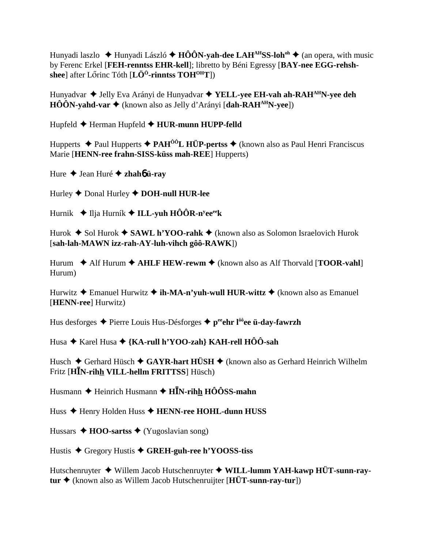Hunyadi laszlo  $\triangle$  Hunyadi László  $\triangle$  HÔÔN-vah-dee LAH<sup>AH</sup>SS-loh<sup>oh</sup>  $\triangle$  (an opera, with music by Ferenc Erkel [FEH-renntss EHR-kell]; libretto by Béni Egressy [BAY-nee EGG-rehshshee] after Lőrinc Tóth  $[L\ddot{O}^0$ -rinntss TOH<sup>OH</sup>T])

Hunyadvar ◆ Jelly Eva Arányi de Hunyadvar ◆ YELL-yee EH-vah ah-RAH<sup>AH</sup>N-vee deh  $H\hat{O}\hat{O}N$ -yahd-var  $\blacklozenge$  (known also as Jelly d'Arányi [dah-RAH<sup>AH</sup>N-yee])

Hupfeld ← Herman Hupfeld ← HUR-munn HUPP-felld

Hupperts  $\triangle$  Paul Hupperts  $\triangle$  PAH<sup> $\hat{0}$ o $\hat{0}$ L HÜP-pertss  $\triangle$  (known also as Paul Henri Franciscus</sup> Marie [HENN-ree frahn-SISS-küss mah-REE] Hupperts)

Hure  $\triangle$  Jean Huré  $\triangle$  zhahó ü-ray

Hurley  $\blacklozenge$  Donal Hurley  $\blacklozenge$  DOH-null HUR-lee

Hurnik  $\blacklozenge$  Ilja Hurník  $\blacklozenge$  ILL-yuh HÔÔR-n<sup>y</sup>ee<sup>ee</sup>k

Hurok  $\triangle$  Sol Hurok  $\triangle$  SAWL h'YOO-rahk  $\triangle$  (known also as Solomon Israelovich Hurok [sah-lah-MAWN izz-rah-AY-luh-vihch gôô-RAWK])

Hurum  $\triangle$  Alf Hurum  $\triangle$  AHLF HEW-rewm  $\triangle$  (known also as Alf Thorvald [TOOR-vahl] Hurum)

Hurwitz  $\triangle$  Emanuel Hurwitz  $\triangle$  ih-MA-n'yuh-wull HUR-wittz  $\triangle$  (known also as Emanuel [HENN-ree] Hurwitz)

Hus desforges  $\triangle$  Pierre Louis Hus-Désforges  $\triangle$  p<sup>ee</sup>ehr l<sup>ôô</sup>ee **ü-day-fawrzh** 

Husa  $\triangle$  Karel Husa  $\triangle$  {KA-rull h'YOO-zah} KAH-rell HÔÔ-sah

Husch  $\blacklozenge$  Gerhard Hüsch  $\blacklozenge$  GAYR-hart HÜSH  $\blacklozenge$  (known also as Gerhard Heinrich Wilhelm Fritz [HIN-rihh VILL-hellm FRITTSS] Hüsch)

Husmann  $\triangle$  Heinrich Husmann  $\triangle$  HIN-rihh HÔÔSS-mahn

Huss ◆ Henry Holden Huss ◆ HENN-ree HOHL-dunn HUSS

Hussars  $\triangle$  HOO-sartss  $\triangle$  (Yugoslavian song)

Hustis ◆ Gregory Hustis ◆ GREH-guh-ree h'YOOSS-tiss

Hutschenruyter  $\blacklozenge$  Willem Jacob Hutschenruyter  $\blacklozenge$  WILL-lumm YAH-kawp HÜT-sunn-ray- $\mathbf{u} \cdot \mathbf{v}$  (known also as Willem Jacob Hutschenruiter [ $\mathbf{H} \ddot{\mathbf{U}}$ **T**-sunn-rav-tur])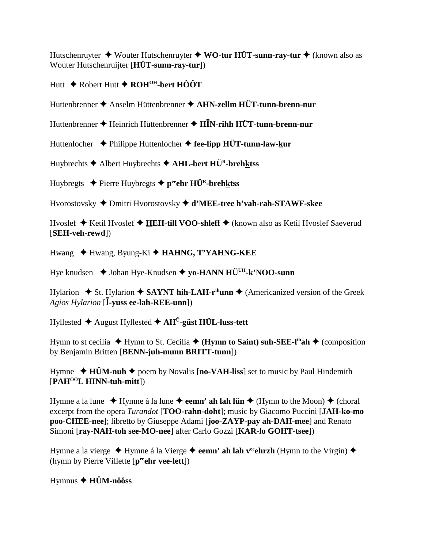Hutschenruvter  $\triangleq$  Wouter Hutschenruvter  $\triangleq$  WO-tur HÜT-sunn-ray-tur  $\triangleq$  (known also as Wouter Hutschenruijter [HÜT-sunn-ray-tur])

# Hutt ◆ Robert Hutt ◆ ROH<sup>OH</sup>-bert HÔÔT

Huttenbrenner ♦ Anselm Hüttenbrenner ♦ AHN-zellm HÜT-tunn-brenn-nur

Huttenbrenner ◆ Heinrich Hüttenbrenner ◆ HĪN-rihh HÜT-tunn-brenn-nur

Huttenlocher  $\rightarrow$  Philippe Huttenlocher  $\rightarrow$  fee-lipp HÜT-tunn-law-kur

Huybrechts ◆ Albert Huybrechts ◆ AHL-bert HÜ<sup>R</sup>-brehktss

Huybregts  $\triangle$  Pierre Huybregts  $\triangle$  p<sup>ee</sup>ehr HÜ<sup>R</sup>-brehktss

Hvorostovsky ♦ Dmitri Hvorostovsky ♦ d'MEE-tree h'vah-rah-STAWF-skee

Hvoslef ◆ Ketil Hvoslef ◆ HEH-till VOO-shleff ◆ (known also as Ketil Hvoslef Saeverud [SEH-veh-rewd])

Hwang ◆ Hwang, Byung-Ki ◆ HAHNG, T'YAHNG-KEE

Hye knudsen  $\triangle$  Johan Hye-Knudsen  $\triangle$  yo-HANN HÜ<sup>UH</sup>-k'NOO-sunn

Hylarion  $\div$  St. Hylarion  $\div$  SAYNT hih-LAH-r<sup>ih</sup>unn  $\div$  (Americanized version of the Greek *Agios Hylarion* [**I**-yuss ee-lah-REE-unn])

Hyllested  $\triangle$  August Hyllested  $\triangle$  AH<sup>U</sup>-güst HÜL-luss-tett

Hymn to st cecilia  $\blacklozenge$  Hymn to St. Cecilia  $\blacklozenge$  (Hymn to Saint) suh-SEE-l<sup>in</sup>ah  $\blacklozenge$  (composition by Benjamin Britten [BENN-juh-munn BRITT-tunn])

Hymne  $\triangle$  HÜM-nuh  $\triangle$  poem by Novalis [no-VAH-liss] set to music by Paul Hindemith  $[PAH<sup>00</sup>L HINN-tuh-mitt]$ 

Hymne a la lune  $\rightarrow$  Hymne à la lune  $\rightarrow$  eemn' ah lah lün  $\rightarrow$  (Hymn to the Moon)  $\rightarrow$  (choral excerpt from the opera *Turandot* [**TOO-rahn-doht**]; music by Giacomo Puccini [JAH-ko-mo] poo-CHEE-nee]; libretto by Giuseppe Adami [joo-ZAYP-pay ah-DAH-mee] and Renato Simoni [ray-NAH-toh see-MO-nee] after Carlo Gozzi [KAR-lo GOHT-tsee])

Hymne a la vierge  $\triangle$  Hymne á la Vierge  $\triangle$  eemn' ah lah v<sup>ee</sup>ehrzh (Hymn to the Virgin)  $\triangle$ (hymn by Pierre Villette [peehr vee-lett])

 $Hymnus \triangleleft H\ddot{U}M-n\hat{o}\hat{o}ss$